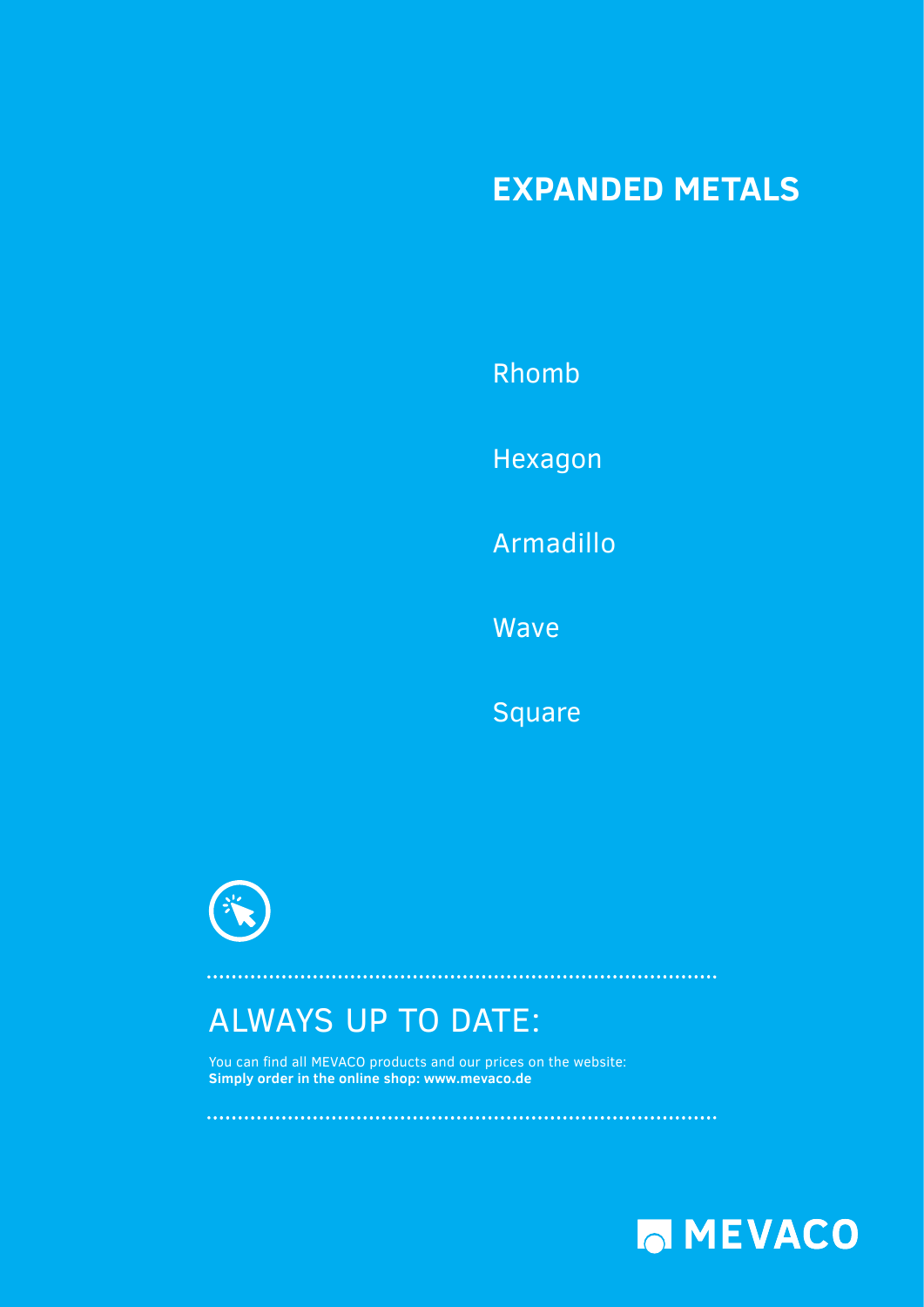### **EXPANDED METALS**

[Rhomb](#page-1-0)  [Hexagon](#page-23-0)  Armadillo

[Wave](#page-29-0) 

**[Square](#page-31-0)** 



# ALWAYS UP TO DATE:

You can find all MEVACO products and our prices on the website: **Simply order in the online shop: www.mevaco.de**

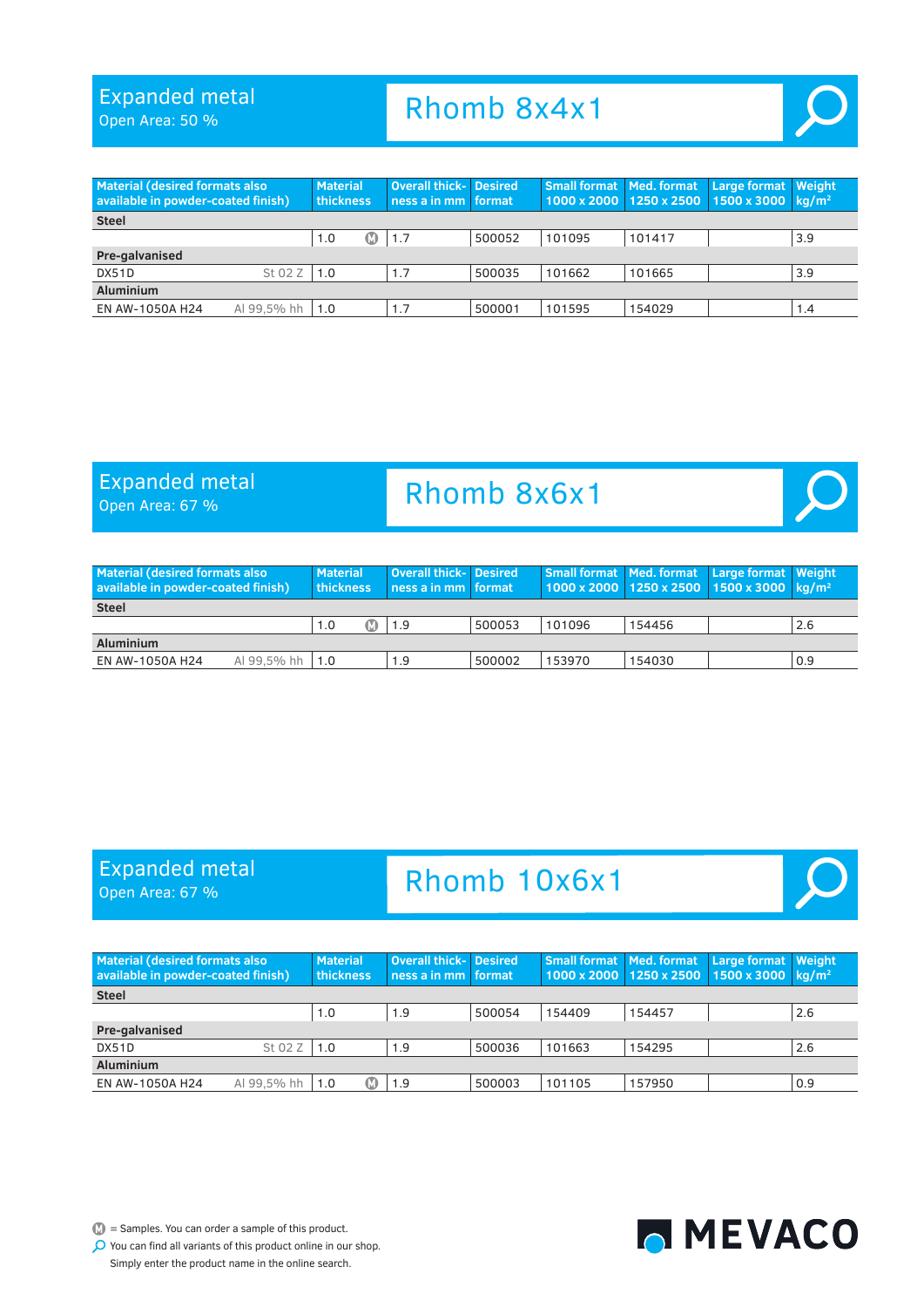Open Area: 50 %

# Rhomb 8x4x1

<span id="page-1-0"></span>

| <b>Material (desired formats also</b><br>available in powder-coated finish) |             | <b>Material</b><br>thickness |    | <b>Overall thick- Desired</b><br>ness a in mm format |        |        |        | Small format   Med. format   Large format   Weight<br>1000 x 2000 1250 x 2500 1500 x 3000 kg/m <sup>2</sup> |     |
|-----------------------------------------------------------------------------|-------------|------------------------------|----|------------------------------------------------------|--------|--------|--------|-------------------------------------------------------------------------------------------------------------|-----|
| <b>Steel</b>                                                                |             |                              |    |                                                      |        |        |        |                                                                                                             |     |
|                                                                             |             | 1.0                          | KD | 1.7                                                  | 500052 | 101095 | 101417 |                                                                                                             | 3.9 |
| Pre-galvanised                                                              |             |                              |    |                                                      |        |        |        |                                                                                                             |     |
| DX51D                                                                       | St 02 Z     | 1.0                          |    | 1.7                                                  | 500035 | 101662 | 101665 |                                                                                                             | 3.9 |
| <b>Aluminium</b>                                                            |             |                              |    |                                                      |        |        |        |                                                                                                             |     |
| EN AW-1050A H24                                                             | Al 99.5% hh | 1.0                          |    | 1.7                                                  | 500001 | 101595 | 154029 |                                                                                                             | 1.4 |

#### Expanded metal

Expanded metal

Open Area: 67 %

Open Area: 67 %

### Rhomb 8x6x1



| Material (desired formats also<br>available in powder-coated finish) | <b>Material</b><br><b>thickness</b> | <b>Overall thick- Desired</b><br>ness a in mm format |        |        |        | Small format   Med. format   Large format   Weight<br>$1000 \times 2000$ 1250 x 2500 1500 x 3000 kg/m <sup>2</sup> |     |
|----------------------------------------------------------------------|-------------------------------------|------------------------------------------------------|--------|--------|--------|--------------------------------------------------------------------------------------------------------------------|-----|
| <b>Steel</b>                                                         |                                     |                                                      |        |        |        |                                                                                                                    |     |
|                                                                      | 1.0<br>Œ                            | 1.9                                                  | 500053 | 101096 | 154456 |                                                                                                                    | 2.6 |
| <b>Aluminium</b>                                                     |                                     |                                                      |        |        |        |                                                                                                                    |     |
| Al 99.5% hh $\vert$ 1.0<br>EN AW-1050A H24                           |                                     | 1.9                                                  | 500002 | 153970 | 154030 |                                                                                                                    | 0.9 |



| <b>Material (desired formats also</b><br>available in powder-coated finish) |         | <b>Material</b><br><b>thickness</b> | <b>Overall thick-</b> Desired<br>ness a in mm format |        |        | Small format   Med. format | Large format Weight<br>$1000 \times 2000$ 1250 x 2500 1500 x 3000 kg/m <sup>2</sup> |     |
|-----------------------------------------------------------------------------|---------|-------------------------------------|------------------------------------------------------|--------|--------|----------------------------|-------------------------------------------------------------------------------------|-----|
| <b>Steel</b>                                                                |         |                                     |                                                      |        |        |                            |                                                                                     |     |
|                                                                             |         | 1.0                                 | 1.9                                                  | 500054 | 154409 | 154457                     |                                                                                     | 2.6 |
| Pre-galvanised                                                              |         |                                     |                                                      |        |        |                            |                                                                                     |     |
| DX51D                                                                       | St 02 Z | $\vert$ 1.0                         | 1.9                                                  | 500036 | 101663 | 154295                     |                                                                                     | 2.6 |
| Aluminium                                                                   |         |                                     |                                                      |        |        |                            |                                                                                     |     |
| Al 99.5% hh<br>EN AW-1050A H24                                              |         | 1.0                                 | 1.9                                                  | 500003 | 101105 | 157950                     |                                                                                     | 0.9 |

 $\mathbb{D}$  = Samples. You can order a sample of this product.

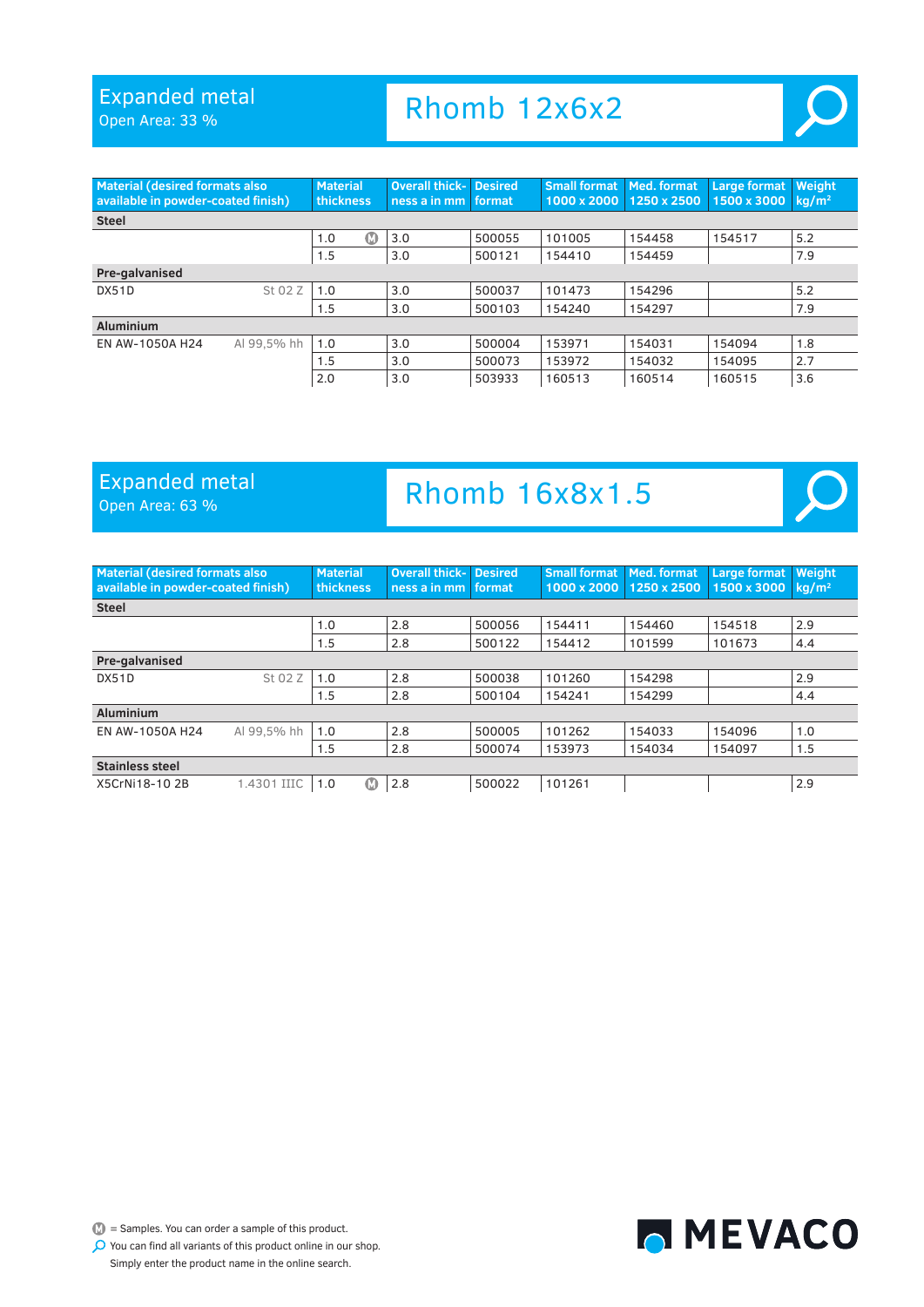Open Area: 33 %

| <b>Material (desired formats also</b><br>available in powder-coated finish) |             | <b>Material</b><br>thickness | <b>Overall thick-</b><br>ness a in mm | <b>Desired</b><br>format | <b>Small format</b><br>1000 x 2000 | Med. format<br>1250 x 2500 | <b>Large format</b><br>1500 x 3000 | Weight<br>kg/m <sup>2</sup> |
|-----------------------------------------------------------------------------|-------------|------------------------------|---------------------------------------|--------------------------|------------------------------------|----------------------------|------------------------------------|-----------------------------|
| <b>Steel</b>                                                                |             |                              |                                       |                          |                                    |                            |                                    |                             |
|                                                                             |             | 1.0<br>M                     | 3.0                                   | 500055                   | 101005                             | 154458                     | 154517                             | 5.2                         |
|                                                                             |             | 1.5                          | 3.0                                   | 500121                   | 154410                             | 154459                     |                                    | 7.9                         |
| Pre-galvanised                                                              |             |                              |                                       |                          |                                    |                            |                                    |                             |
| <b>DX51D</b>                                                                | St 02 Z     | 1.0                          | 3.0                                   | 500037                   | 101473                             | 154296                     |                                    | 5.2                         |
|                                                                             |             | 1.5                          | 3.0                                   | 500103                   | 154240                             | 154297                     |                                    | 7.9                         |
| <b>Aluminium</b>                                                            |             |                              |                                       |                          |                                    |                            |                                    |                             |
| EN AW-1050A H24                                                             | Al 99.5% hh | 1.0                          | 3.0                                   | 500004                   | 153971                             | 154031                     | 154094                             | 1.8                         |
|                                                                             |             | 1.5                          | 3.0                                   | 500073                   | 153972                             | 154032                     | 154095                             | 2.7                         |
|                                                                             |             | 2.0                          | 3.0                                   | 503933                   | 160513                             | 160514                     | 160515                             | 3.6                         |

Rhomb 12x6x2

#### Expanded metal

### Expanded metal Rhomb 16x8x1.5





 $\mathbb{D}$  = Samples. You can order a sample of this product.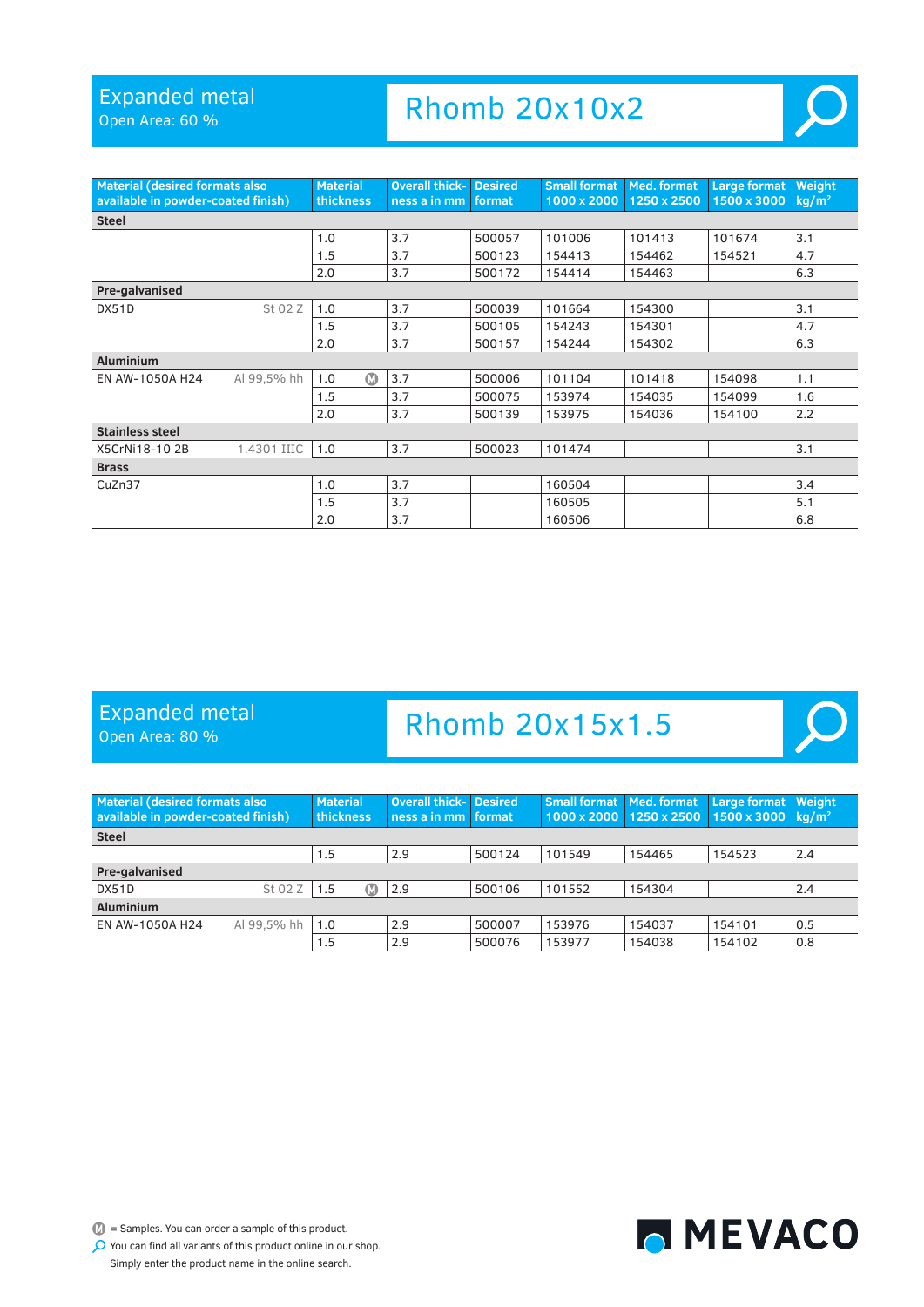Open Area: 60 %

### Rhomb 20x10x2



 $\boldsymbol{\mathsf{O}}$ 

| <b>Material (desired formats also</b><br>available in powder-coated finish) |             | <b>Material</b><br><b>thickness</b> | <b>Overall thick-</b><br>ness a in mm | <b>Desired</b><br>format | <b>Small format</b><br>1000 x 2000 | Med. format<br>1250 x 2500 | <b>Large format</b><br>1500 x 3000 | Weight<br>kg/m <sup>2</sup> |
|-----------------------------------------------------------------------------|-------------|-------------------------------------|---------------------------------------|--------------------------|------------------------------------|----------------------------|------------------------------------|-----------------------------|
| <b>Steel</b>                                                                |             |                                     |                                       |                          |                                    |                            |                                    |                             |
|                                                                             |             | 1.0                                 | 3.7                                   | 500057                   | 101006                             | 101413                     | 101674                             | 3.1                         |
|                                                                             |             | 1.5                                 | 3.7                                   | 500123                   | 154413                             | 154462                     | 154521                             | 4.7                         |
|                                                                             |             | 2.0                                 | 3.7                                   | 500172                   | 154414                             | 154463                     |                                    | 6.3                         |
| Pre-galvanised                                                              |             |                                     |                                       |                          |                                    |                            |                                    |                             |
| DX51D                                                                       | St 02 Z     | 1.0                                 | 3.7                                   | 500039                   | 101664                             | 154300                     |                                    | 3.1                         |
|                                                                             |             | 1.5                                 | 3.7                                   | 500105                   | 154243                             | 154301                     |                                    | 4.7                         |
|                                                                             |             | 2.0                                 | 3.7                                   | 500157                   | 154244                             | 154302                     |                                    | 6.3                         |
| <b>Aluminium</b>                                                            |             |                                     |                                       |                          |                                    |                            |                                    |                             |
| EN AW-1050A H24                                                             | Al 99,5% hh | စ<br>1.0                            | 3.7                                   | 500006                   | 101104                             | 101418                     | 154098                             | 1.1                         |
|                                                                             |             | 1.5                                 | 3.7                                   | 500075                   | 153974                             | 154035                     | 154099                             | 1.6                         |
|                                                                             |             | 2.0                                 | 3.7                                   | 500139                   | 153975                             | 154036                     | 154100                             | 2.2                         |
| <b>Stainless steel</b>                                                      |             |                                     |                                       |                          |                                    |                            |                                    |                             |
| X5CrNi18-102B                                                               | 1.4301 IIIC | 1.0                                 | 3.7                                   | 500023                   | 101474                             |                            |                                    | 3.1                         |
| <b>Brass</b>                                                                |             |                                     |                                       |                          |                                    |                            |                                    |                             |
| CuZn37                                                                      |             | 1.0                                 | 3.7                                   |                          | 160504                             |                            |                                    | 3.4                         |
|                                                                             |             | 1.5                                 | 3.7                                   |                          | 160505                             |                            |                                    | 5.1                         |
|                                                                             |             | 2.0                                 | 3.7                                   |                          | 160506                             |                            |                                    | 6.8                         |

### Expanded metal

Open Area: 80 %

# Rhomb 20x15x1.5

| <b>Material (desired formats also</b><br>available in powder-coated finish) |             | <b>Material</b><br><b>thickness</b> | <b>Overall thick-</b><br>ness a in mm | <b>Desired</b><br><b>format</b> | <b>Small format</b> | Med. format<br>1000 x 2000 1250 x 2500 | Large format<br>1500 x 3000 $kg/m2$ | <b>Weight</b> |
|-----------------------------------------------------------------------------|-------------|-------------------------------------|---------------------------------------|---------------------------------|---------------------|----------------------------------------|-------------------------------------|---------------|
| <b>Steel</b>                                                                |             |                                     |                                       |                                 |                     |                                        |                                     |               |
|                                                                             |             | 1.5                                 | 2.9                                   | 500124                          | 101549              | 154465                                 | 154523                              | 2.4           |
| Pre-galvanised                                                              |             |                                     |                                       |                                 |                     |                                        |                                     |               |
| DX51D                                                                       | St 02 Z     | 1.5<br>M                            | 2.9                                   | 500106                          | 101552              | 154304                                 |                                     | 2.4           |
| <b>Aluminium</b>                                                            |             |                                     |                                       |                                 |                     |                                        |                                     |               |
| EN AW-1050A H24                                                             | Al 99.5% hh | 1.0                                 | 2.9                                   | 500007                          | 153976              | 154037                                 | 154101                              | 0.5           |
|                                                                             |             | 1.5                                 | 2.9                                   | 500076                          | 153977              | 154038                                 | 154102                              | 0.8           |



 $\mathbb{D}$  = Samples. You can order a sample of this product.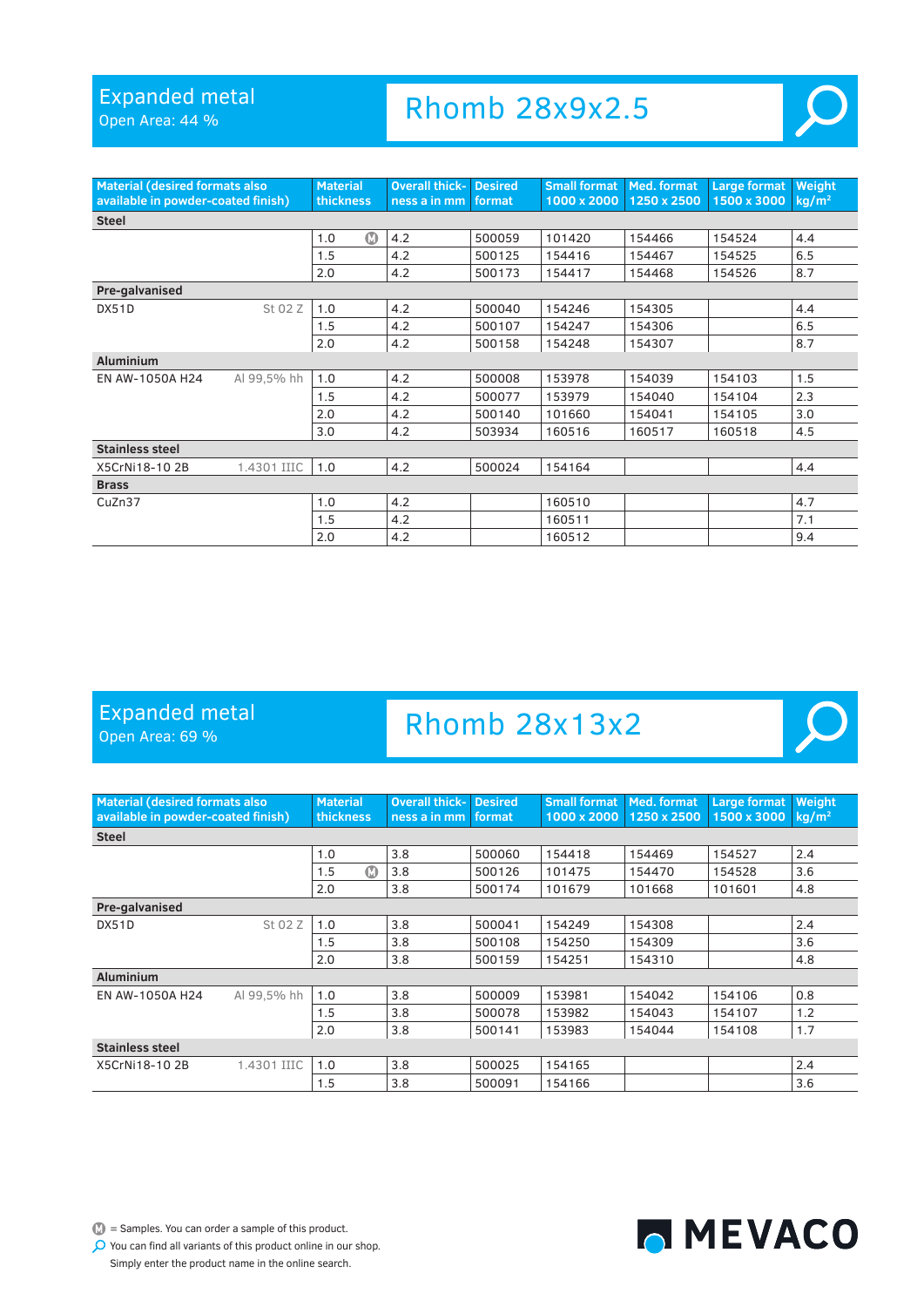Open Area: 44 %

### Rhomb 28x9x2.5



 $\overline{O}$ 

| <b>Material (desired formats also</b><br>available in powder-coated finish) |             | <b>Material</b><br><b>thickness</b> | <b>Overall thick-</b><br>ness a in mm | <b>Desired</b><br>format | <b>Small format</b><br>1000 x 2000 | Med. format<br>1250 x 2500 | <b>Large format</b><br>1500 x 3000 | Weight<br>kg/m <sup>2</sup> |
|-----------------------------------------------------------------------------|-------------|-------------------------------------|---------------------------------------|--------------------------|------------------------------------|----------------------------|------------------------------------|-----------------------------|
| <b>Steel</b>                                                                |             |                                     |                                       |                          |                                    |                            |                                    |                             |
|                                                                             |             | $\bf \Omega$<br>1.0                 | 4.2                                   | 500059                   | 101420                             | 154466                     | 154524                             | 4.4                         |
|                                                                             |             | 1.5                                 | 4.2                                   | 500125                   | 154416                             | 154467                     | 154525                             | 6.5                         |
|                                                                             |             | 2.0                                 | 4.2                                   | 500173                   | 154417                             | 154468                     | 154526                             | 8.7                         |
| Pre-galvanised                                                              |             |                                     |                                       |                          |                                    |                            |                                    |                             |
| DX51D                                                                       | St 02 Z     | 1.0                                 | 4.2                                   | 500040                   | 154246                             | 154305                     |                                    | 4.4                         |
|                                                                             |             | 1.5                                 | 4.2                                   | 500107                   | 154247                             | 154306                     |                                    | 6.5                         |
|                                                                             |             | 2.0                                 | 4.2                                   | 500158                   | 154248                             | 154307                     |                                    | 8.7                         |
| <b>Aluminium</b>                                                            |             |                                     |                                       |                          |                                    |                            |                                    |                             |
| EN AW-1050A H24                                                             | Al 99,5% hh | 1.0                                 | 4.2                                   | 500008                   | 153978                             | 154039                     | 154103                             | 1.5                         |
|                                                                             |             | 1.5                                 | 4.2                                   | 500077                   | 153979                             | 154040                     | 154104                             | 2.3                         |
|                                                                             |             | 2.0                                 | 4.2                                   | 500140                   | 101660                             | 154041                     | 154105                             | 3.0                         |
|                                                                             |             | 3.0                                 | 4.2                                   | 503934                   | 160516                             | 160517                     | 160518                             | 4.5                         |
| <b>Stainless steel</b>                                                      |             |                                     |                                       |                          |                                    |                            |                                    |                             |
| X5CrNi18-102B                                                               | 1.4301 IIIC | 1.0                                 | 4.2                                   | 500024                   | 154164                             |                            |                                    | 4.4                         |
| <b>Brass</b>                                                                |             |                                     |                                       |                          |                                    |                            |                                    |                             |
| CuZn37                                                                      |             | 1.0                                 | 4.2                                   |                          | 160510                             |                            |                                    | 4.7                         |
|                                                                             |             | 1.5                                 | 4.2                                   |                          | 160511                             |                            |                                    | 7.1                         |
|                                                                             |             | 2.0                                 | 4.2                                   |                          | 160512                             |                            |                                    | 9.4                         |

### Expanded metal

Open Area: 69 %

# Rhomb 28x13x2

| <b>Material (desired formats also</b><br>available in powder-coated finish) |             | <b>Material</b><br><b>thickness</b> | <b>Overall thick-</b><br>ness a in mm | <b>Desired</b><br>format | <b>Small format</b><br>1000 x 2000 | Med. format<br>1250 x 2500 | <b>Large format</b><br>1500 x 3000 | Weight<br>$kq/m^2$ |
|-----------------------------------------------------------------------------|-------------|-------------------------------------|---------------------------------------|--------------------------|------------------------------------|----------------------------|------------------------------------|--------------------|
| <b>Steel</b>                                                                |             |                                     |                                       |                          |                                    |                            |                                    |                    |
|                                                                             |             | 1.0                                 | 3.8                                   | 500060                   | 154418                             | 154469                     | 154527                             | 2.4                |
|                                                                             |             | $\boldsymbol{\Omega}$<br>1.5        | 3.8                                   | 500126                   | 101475                             | 154470                     | 154528                             | 3.6                |
|                                                                             |             | 2.0                                 | 3.8                                   | 500174                   | 101679                             | 101668                     | 101601                             | 4.8                |
| Pre-galvanised                                                              |             |                                     |                                       |                          |                                    |                            |                                    |                    |
| DX51D                                                                       | St 02 Z     | 1.0                                 | 3.8                                   | 500041                   | 154249                             | 154308                     |                                    | 2.4                |
|                                                                             |             | 1.5                                 | 3.8                                   | 500108                   | 154250                             | 154309                     |                                    | 3.6                |
|                                                                             |             | 2.0                                 | 3.8                                   | 500159                   | 154251                             | 154310                     |                                    | 4.8                |
| <b>Aluminium</b>                                                            |             |                                     |                                       |                          |                                    |                            |                                    |                    |
| EN AW-1050A H24                                                             | Al 99.5% hh | 1.0                                 | 3.8                                   | 500009                   | 153981                             | 154042                     | 154106                             | 0.8                |
|                                                                             |             | 1.5                                 | 3.8                                   | 500078                   | 153982                             | 154043                     | 154107                             | 1.2                |
|                                                                             |             | 2.0                                 | 3.8                                   | 500141                   | 153983                             | 154044                     | 154108                             | 1.7                |
| <b>Stainless steel</b>                                                      |             |                                     |                                       |                          |                                    |                            |                                    |                    |
| X5CrNi18-102B                                                               | 1.4301 IIIC | 1.0                                 | 3.8                                   | 500025                   | 154165                             |                            |                                    | 2.4                |
|                                                                             |             | 1.5                                 | 3.8                                   | 500091                   | 154166                             |                            |                                    | 3.6                |

 $\bullet$  = Samples. You can order a sample of this product.

MEVACO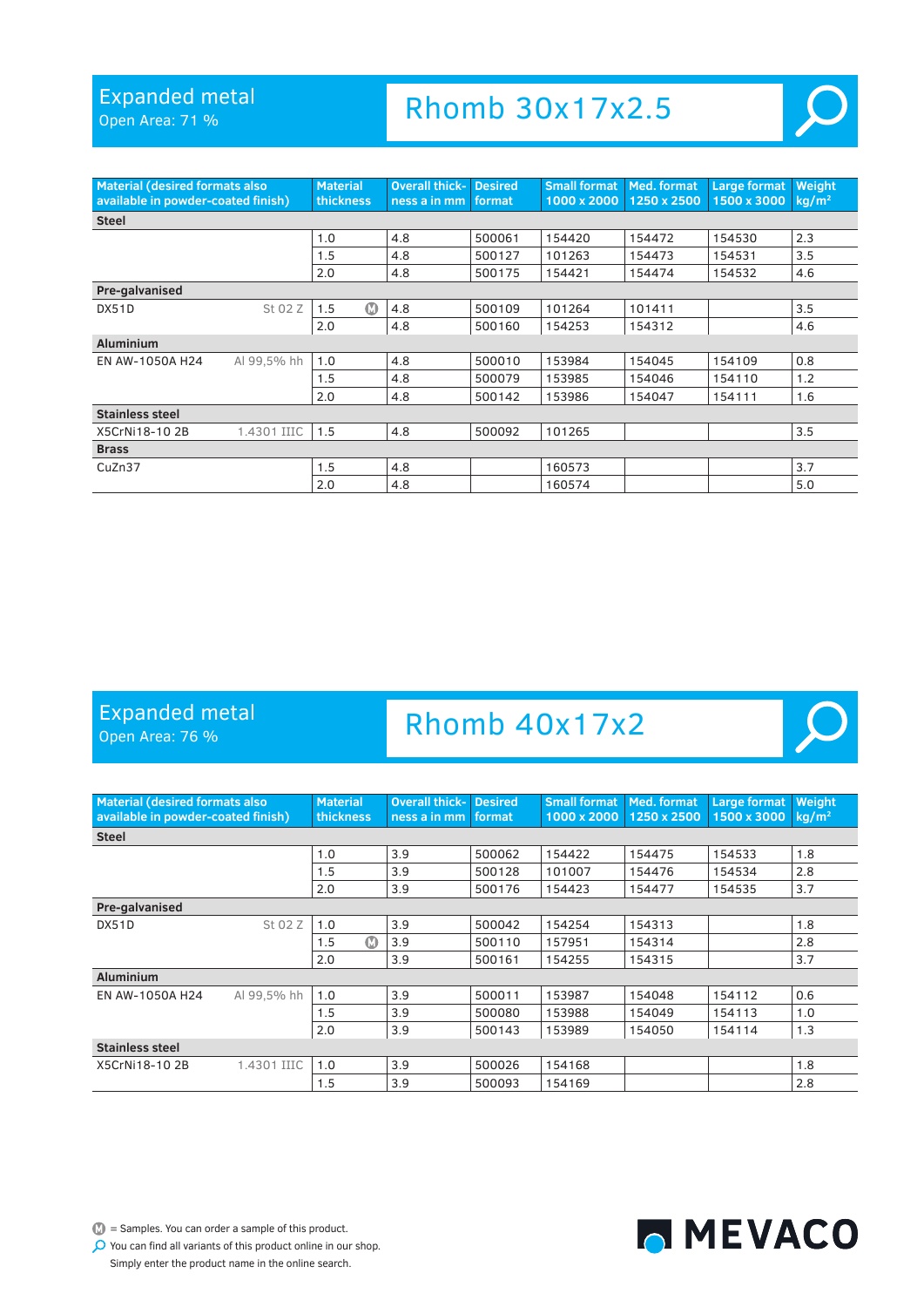Open Area: 71 %

### Rhomb 30x17x2.5



| <b>Material (desired formats also</b><br>available in powder-coated finish) |             | <b>Material</b><br>thickness | <b>Overall thick- Desired</b><br>ness a in mm | format. | <b>Small format   Med. format</b><br>1000 x 2000 | 1250 x 2500 | Large format<br>1500 x 3000 | Weight<br>$kq/m^2$ |
|-----------------------------------------------------------------------------|-------------|------------------------------|-----------------------------------------------|---------|--------------------------------------------------|-------------|-----------------------------|--------------------|
| <b>Steel</b>                                                                |             |                              |                                               |         |                                                  |             |                             |                    |
|                                                                             |             | 1.0                          | 4.8                                           | 500061  | 154420                                           | 154472      | 154530                      | 2.3                |
|                                                                             |             | 1.5                          | 4.8                                           | 500127  | 101263                                           | 154473      | 154531                      | 3.5                |
|                                                                             |             | 2.0                          | 4.8                                           | 500175  | 154421                                           | 154474      | 154532                      | 4.6                |
| Pre-galvanised                                                              |             |                              |                                               |         |                                                  |             |                             |                    |
| DX51D                                                                       | St 02 Z     | ത<br>1.5                     | 4.8                                           | 500109  | 101264                                           | 101411      |                             | 3.5                |
|                                                                             |             | 2.0                          | 4.8                                           | 500160  | 154253                                           | 154312      |                             | 4.6                |
| <b>Aluminium</b>                                                            |             |                              |                                               |         |                                                  |             |                             |                    |
| EN AW-1050A H24                                                             | Al 99,5% hh | 1.0                          | 4.8                                           | 500010  | 153984                                           | 154045      | 154109                      | 0.8                |
|                                                                             |             | 1.5                          | 4.8                                           | 500079  | 153985                                           | 154046      | 154110                      | 1.2                |
|                                                                             |             | 2.0                          | 4.8                                           | 500142  | 153986                                           | 154047      | 154111                      | 1.6                |
| <b>Stainless steel</b>                                                      |             |                              |                                               |         |                                                  |             |                             |                    |
| X5CrNi18-102B                                                               | 1.4301 IIIC | 1.5                          | 4.8                                           | 500092  | 101265                                           |             |                             | 3.5                |
| <b>Brass</b>                                                                |             |                              |                                               |         |                                                  |             |                             |                    |
| CuZn37                                                                      |             | 1.5                          | 4.8                                           |         | 160573                                           |             |                             | 3.7                |
|                                                                             |             | 2.0                          | 4.8                                           |         | 160574                                           |             |                             | 5.0                |

#### Expanded metal

Open Area: 76 %

### Rhomb 40x17x2



 $\mathbb{D}$  = Samples. You can order a sample of this product.

MEVACO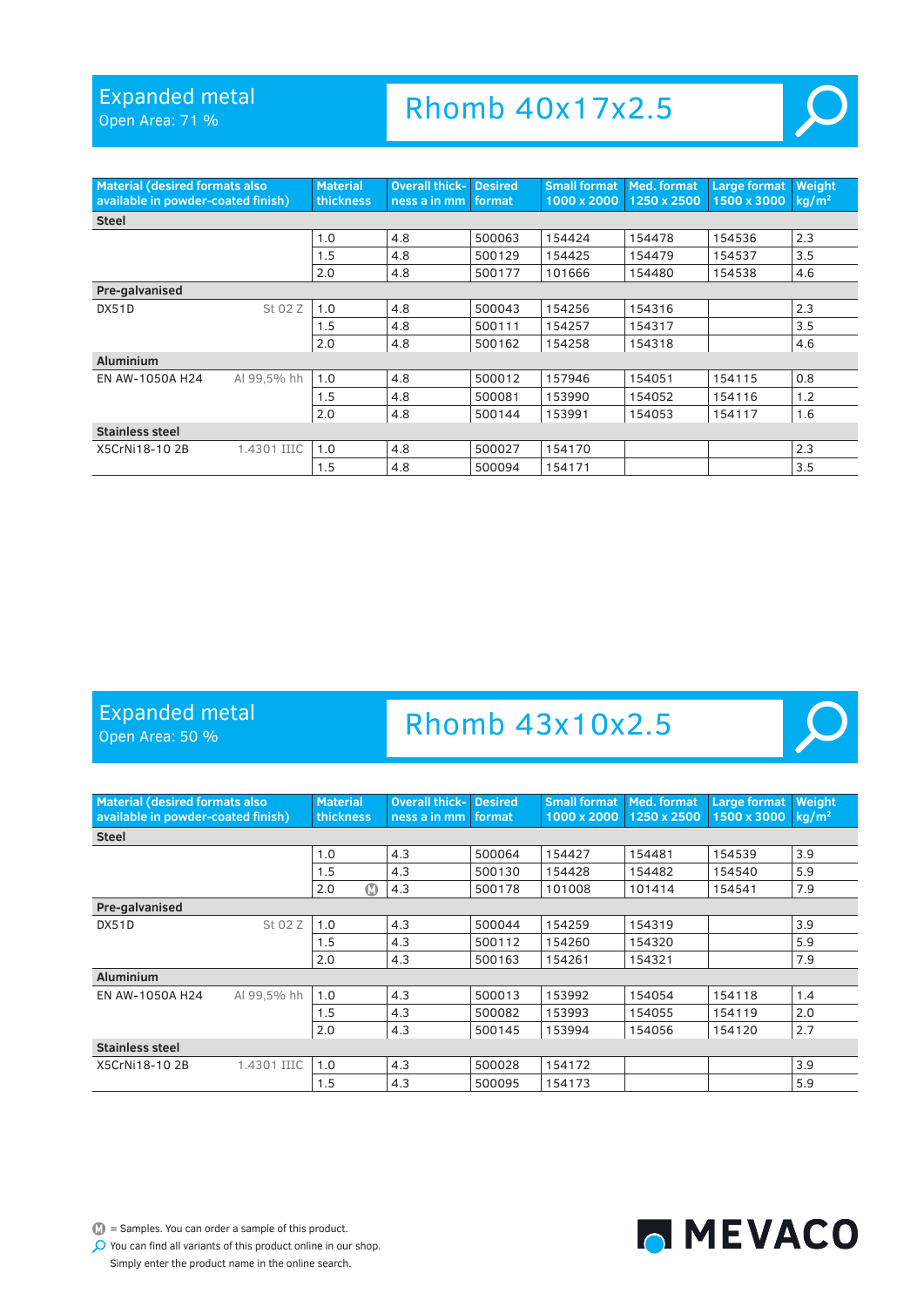Open Area: 71 %

### Rhomb 40x17x2.5



| <b>Material (desired formats also</b><br>available in powder-coated finish) |             | <b>Material</b><br>thickness | <b>Overall thick-</b><br>ness a in mm | <b>Desired</b><br>format | <b>Small format</b><br>1000 x 2000 | Med. format<br>1250 x 2500 | <b>Large format</b><br>1500 x 3000 | Weight<br>$kq/m^2$ |
|-----------------------------------------------------------------------------|-------------|------------------------------|---------------------------------------|--------------------------|------------------------------------|----------------------------|------------------------------------|--------------------|
| <b>Steel</b>                                                                |             |                              |                                       |                          |                                    |                            |                                    |                    |
|                                                                             |             | 1.0                          | 4.8                                   | 500063                   | 154424                             | 154478                     | 154536                             | 2.3                |
|                                                                             |             | 1.5                          | 4.8                                   | 500129                   | 154425                             | 154479                     | 154537                             | 3.5                |
|                                                                             |             | 2.0                          | 4.8                                   | 500177                   | 101666                             | 154480                     | 154538                             | 4.6                |
| Pre-galvanised                                                              |             |                              |                                       |                          |                                    |                            |                                    |                    |
| DX51D                                                                       | St 02 Z     | 1.0                          | 4.8                                   | 500043                   | 154256                             | 154316                     |                                    | 2.3                |
|                                                                             |             | 1.5                          | 4.8                                   | 500111                   | 154257                             | 154317                     |                                    | 3.5                |
|                                                                             |             | 2.0                          | 4.8                                   | 500162                   | 154258                             | 154318                     |                                    | 4.6                |
| <b>Aluminium</b>                                                            |             |                              |                                       |                          |                                    |                            |                                    |                    |
| EN AW-1050A H24                                                             | Al 99,5% hh | 1.0                          | 4.8                                   | 500012                   | 157946                             | 154051                     | 154115                             | 0.8                |
|                                                                             |             | 1.5                          | 4.8                                   | 500081                   | 153990                             | 154052                     | 154116                             | 1.2                |
|                                                                             |             | 2.0                          | 4.8                                   | 500144                   | 153991                             | 154053                     | 154117                             | 1.6                |
| <b>Stainless steel</b>                                                      |             |                              |                                       |                          |                                    |                            |                                    |                    |
| X5CrNi18-102B                                                               | 1.4301 IIIC | 1.0                          | 4.8                                   | 500027                   | 154170                             |                            |                                    | 2.3                |
|                                                                             |             | 1.5                          | 4.8                                   | 500094                   | 154171                             |                            |                                    | 3.5                |

#### Expanded metal

Open Area: 50 %

### Rhomb 43x10x2.5



 $\mathbb{D}$  = Samples. You can order a sample of this product.

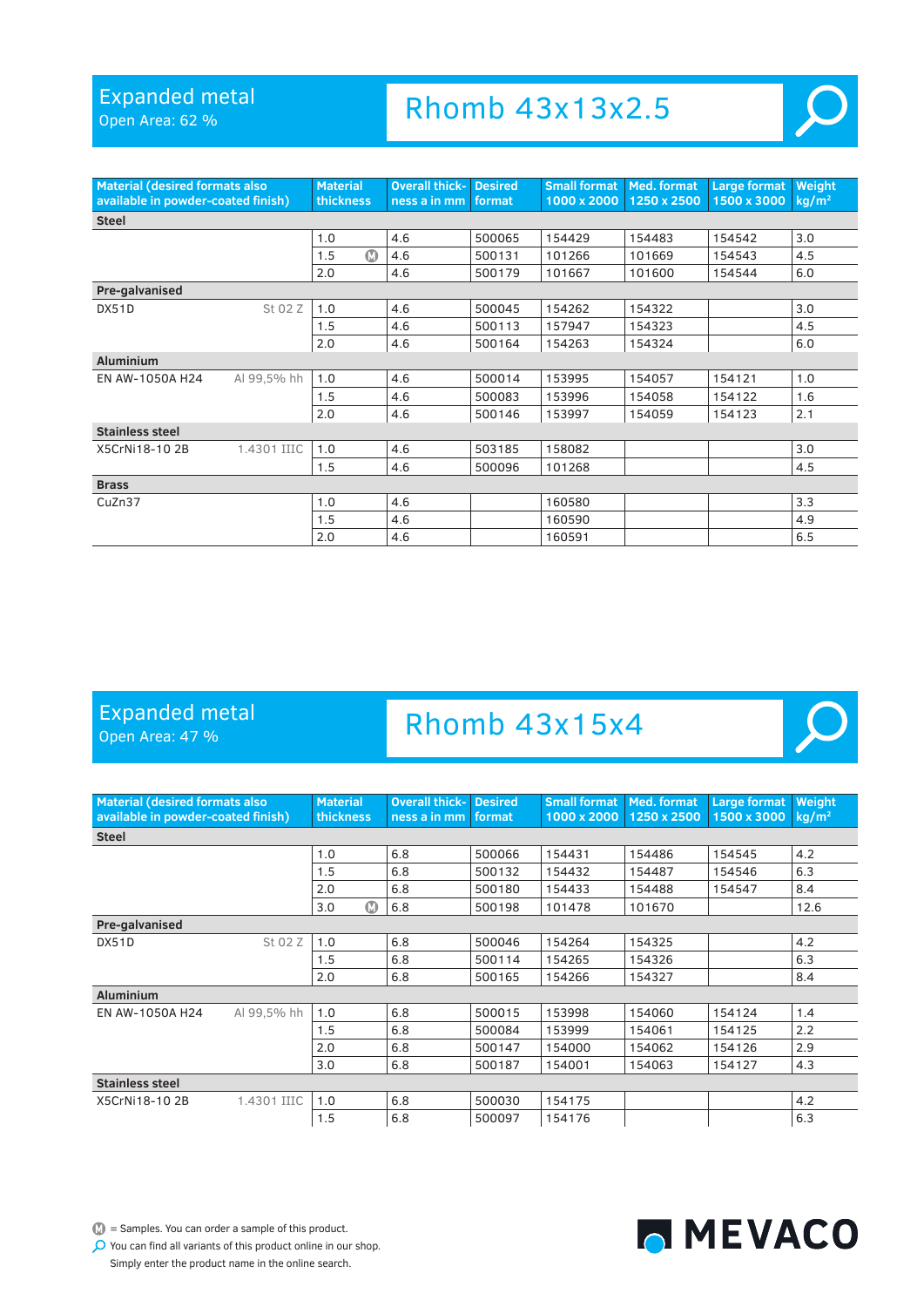Open Area: 62 %

### Rhomb 43x13x2.5



| <b>Material (desired formats also</b><br>available in powder-coated finish) |             | <b>Material</b><br>thickness | <b>Overall thick-</b><br>ness a in mm | <b>Desired</b><br>format | <b>Small format</b><br>1000 x 2000 | Med. format<br>1250 x 2500 | Large format<br>1500 x 3000 | Weight<br>kg/m <sup>2</sup> |
|-----------------------------------------------------------------------------|-------------|------------------------------|---------------------------------------|--------------------------|------------------------------------|----------------------------|-----------------------------|-----------------------------|
| <b>Steel</b>                                                                |             |                              |                                       |                          |                                    |                            |                             |                             |
|                                                                             |             | 1.0                          | 4.6                                   | 500065                   | 154429                             | 154483                     | 154542                      | 3.0                         |
|                                                                             |             | $\bf \Phi$<br>1.5            | 4.6                                   | 500131                   | 101266                             | 101669                     | 154543                      | 4.5                         |
|                                                                             |             | 2.0                          | 4.6                                   | 500179                   | 101667                             | 101600                     | 154544                      | 6.0                         |
| Pre-galvanised                                                              |             |                              |                                       |                          |                                    |                            |                             |                             |
| DX51D                                                                       | St 02 Z     | 1.0                          | 4.6                                   | 500045                   | 154262                             | 154322                     |                             | 3.0                         |
|                                                                             |             | 1.5                          | 4.6                                   | 500113                   | 157947                             | 154323                     |                             | 4.5                         |
|                                                                             |             | 2.0                          | 4.6                                   | 500164                   | 154263                             | 154324                     |                             | 6.0                         |
| <b>Aluminium</b>                                                            |             |                              |                                       |                          |                                    |                            |                             |                             |
| EN AW-1050A H24                                                             | Al 99,5% hh | 1.0                          | 4.6                                   | 500014                   | 153995                             | 154057                     | 154121                      | 1.0                         |
|                                                                             |             | 1.5                          | 4.6                                   | 500083                   | 153996                             | 154058                     | 154122                      | 1.6                         |
|                                                                             |             | 2.0                          | 4.6                                   | 500146                   | 153997                             | 154059                     | 154123                      | 2.1                         |
| <b>Stainless steel</b>                                                      |             |                              |                                       |                          |                                    |                            |                             |                             |
| X5CrNi18-102B                                                               | 1.4301 IIIC | 1.0                          | 4.6                                   | 503185                   | 158082                             |                            |                             | 3.0                         |
|                                                                             |             | 1.5                          | 4.6                                   | 500096                   | 101268                             |                            |                             | 4.5                         |
| <b>Brass</b>                                                                |             |                              |                                       |                          |                                    |                            |                             |                             |
| CuZn37                                                                      |             | 1.0                          | 4.6                                   |                          | 160580                             |                            |                             | 3.3                         |
|                                                                             |             | 1.5                          | 4.6                                   |                          | 160590                             |                            |                             | 4.9                         |
|                                                                             |             | 2.0                          | 4.6                                   |                          | 160591                             |                            |                             | 6.5                         |

### Expanded metal

Open Area: 47 %

### Rhomb 43x15x4



 $\mathbb{D}$  = Samples. You can order a sample of this product.

MEVACO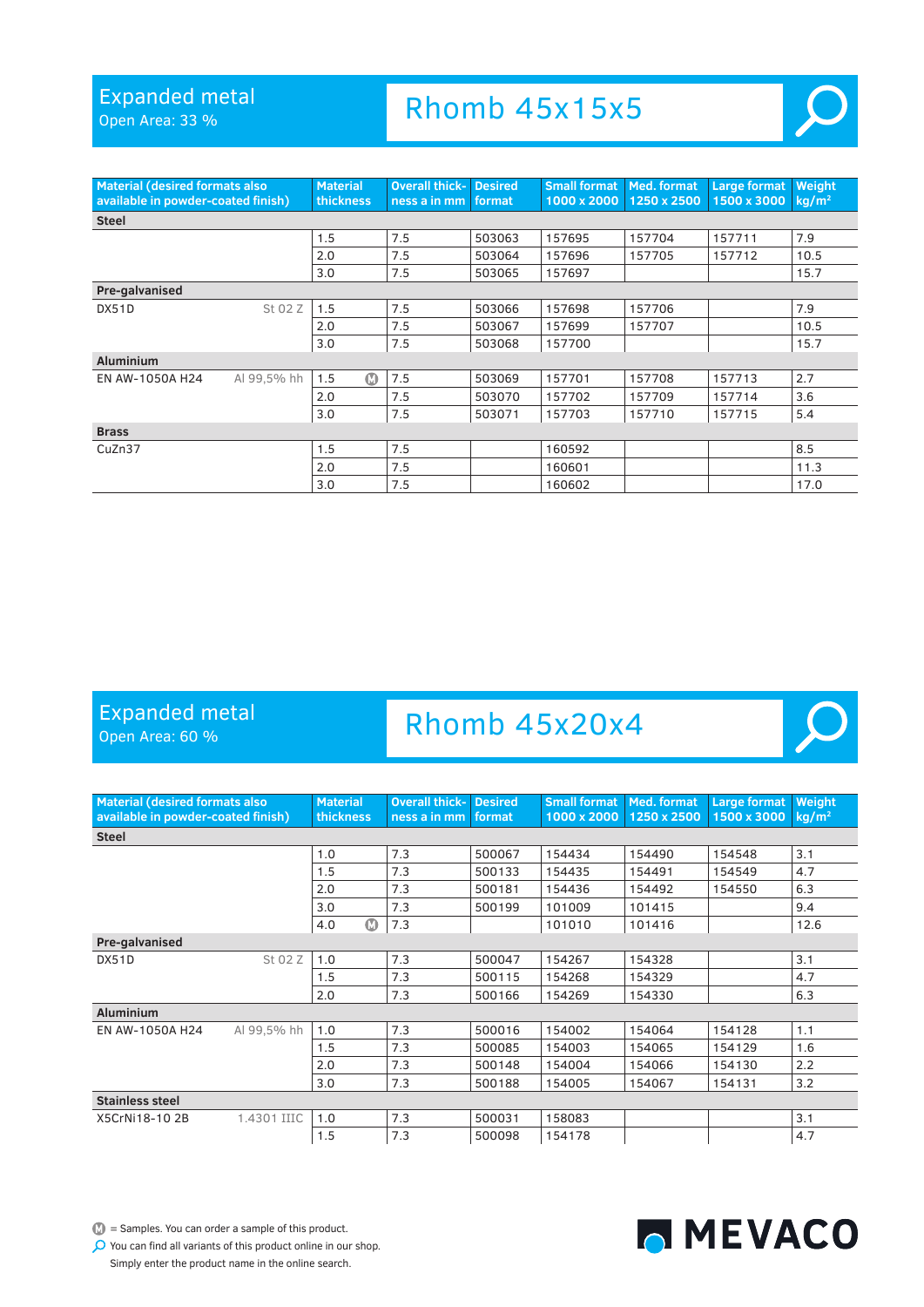Open Area: 33 %

### Rhomb 45x15x5



 $\mathcal{L}(\mathcal{L})$ 

| <b>Material (desired formats also</b><br>available in powder-coated finish) |             | <b>Material</b><br>thickness | <b>Overall thick- Desired</b><br>ness a in mm | format | <b>Small format Med. format</b><br>1000 x 2000 | 1250 x 2500 | Large format<br>1500 x 3000 | Weight<br>$kq/m^2$ |
|-----------------------------------------------------------------------------|-------------|------------------------------|-----------------------------------------------|--------|------------------------------------------------|-------------|-----------------------------|--------------------|
| <b>Steel</b>                                                                |             |                              |                                               |        |                                                |             |                             |                    |
|                                                                             |             | 1.5                          | 7.5                                           | 503063 | 157695                                         | 157704      | 157711                      | 7.9                |
|                                                                             |             | 2.0                          | 7.5                                           | 503064 | 157696                                         | 157705      | 157712                      | 10.5               |
|                                                                             |             | 3.0                          | 7.5                                           | 503065 | 157697                                         |             |                             | 15.7               |
| Pre-galvanised                                                              |             |                              |                                               |        |                                                |             |                             |                    |
| DX51D                                                                       | St 02 Z     | 1.5                          | 7.5                                           | 503066 | 157698                                         | 157706      |                             | 7.9                |
|                                                                             |             | 2.0                          | 7.5                                           | 503067 | 157699                                         | 157707      |                             | 10.5               |
|                                                                             |             | 3.0                          | 7.5                                           | 503068 | 157700                                         |             |                             | 15.7               |
| <b>Aluminium</b>                                                            |             |                              |                                               |        |                                                |             |                             |                    |
| EN AW-1050A H24                                                             | Al 99,5% hh | $\Omega$<br>1.5              | 7.5                                           | 503069 | 157701                                         | 157708      | 157713                      | 2.7                |
|                                                                             |             | 2.0                          | 7.5                                           | 503070 | 157702                                         | 157709      | 157714                      | 3.6                |
|                                                                             |             | 3.0                          | 7.5                                           | 503071 | 157703                                         | 157710      | 157715                      | 5.4                |
| <b>Brass</b>                                                                |             |                              |                                               |        |                                                |             |                             |                    |
| CuZn37                                                                      |             | 1.5                          | 7.5                                           |        | 160592                                         |             |                             | 8.5                |
|                                                                             |             | 2.0                          | 7.5                                           |        | 160601                                         |             |                             | 11.3               |
|                                                                             |             | 3.0                          | 7.5                                           |        | 160602                                         |             |                             | 17.0               |

#### Expanded metal

Open Area: 60 %

### Rhomb 45x20x4

| <b>Material (desired formats also)</b><br>available in powder-coated finish) |             | <b>Material</b><br>thickness | <b>Overall thick-</b><br>ness a in mm | <b>Desired</b><br>format | <b>Small format</b><br>1000 x 2000 | Med. format<br>1250 x 2500 | Large format<br>1500 x 3000 | Weight<br>$kq/m^2$ |
|------------------------------------------------------------------------------|-------------|------------------------------|---------------------------------------|--------------------------|------------------------------------|----------------------------|-----------------------------|--------------------|
| <b>Steel</b>                                                                 |             |                              |                                       |                          |                                    |                            |                             |                    |
|                                                                              |             | 1.0                          | 7.3                                   | 500067                   | 154434                             | 154490                     | 154548                      | 3.1                |
|                                                                              |             | 1.5                          | 7.3                                   | 500133                   | 154435                             | 154491                     | 154549                      | 4.7                |
|                                                                              |             | 2.0                          | 7.3                                   | 500181                   | 154436                             | 154492                     | 154550                      | 6.3                |
|                                                                              |             | 3.0                          | 7.3                                   | 500199                   | 101009                             | 101415                     |                             | 9.4                |
|                                                                              |             | $\bf \Phi$<br>4.0            | 7.3                                   |                          | 101010                             | 101416                     |                             | 12.6               |
| Pre-galvanised                                                               |             |                              |                                       |                          |                                    |                            |                             |                    |
| DX51D                                                                        | St 02 Z     | 1.0                          | 7.3                                   | 500047                   | 154267                             | 154328                     |                             | 3.1                |
|                                                                              |             | 1.5                          | 7.3                                   | 500115                   | 154268                             | 154329                     |                             | 4.7                |
|                                                                              |             | 2.0                          | 7.3                                   | 500166                   | 154269                             | 154330                     |                             | 6.3                |
| <b>Aluminium</b>                                                             |             |                              |                                       |                          |                                    |                            |                             |                    |
| EN AW-1050A H24                                                              | Al 99,5% hh | 1.0                          | 7.3                                   | 500016                   | 154002                             | 154064                     | 154128                      | 1.1                |
|                                                                              |             | 1.5                          | 7.3                                   | 500085                   | 154003                             | 154065                     | 154129                      | 1.6                |
|                                                                              |             | 2.0                          | 7.3                                   | 500148                   | 154004                             | 154066                     | 154130                      | 2.2                |
|                                                                              |             | 3.0                          | 7.3                                   | 500188                   | 154005                             | 154067                     | 154131                      | 3.2                |
| <b>Stainless steel</b>                                                       |             |                              |                                       |                          |                                    |                            |                             |                    |
| X5CrNi18-102B                                                                | 1.4301 IIIC | 1.0                          | 7.3                                   | 500031                   | 158083                             |                            |                             | 3.1                |
|                                                                              |             | 1.5                          | 7.3                                   | 500098                   | 154178                             |                            |                             | 4.7                |



MEVACO

Simply enter the product name in the online search.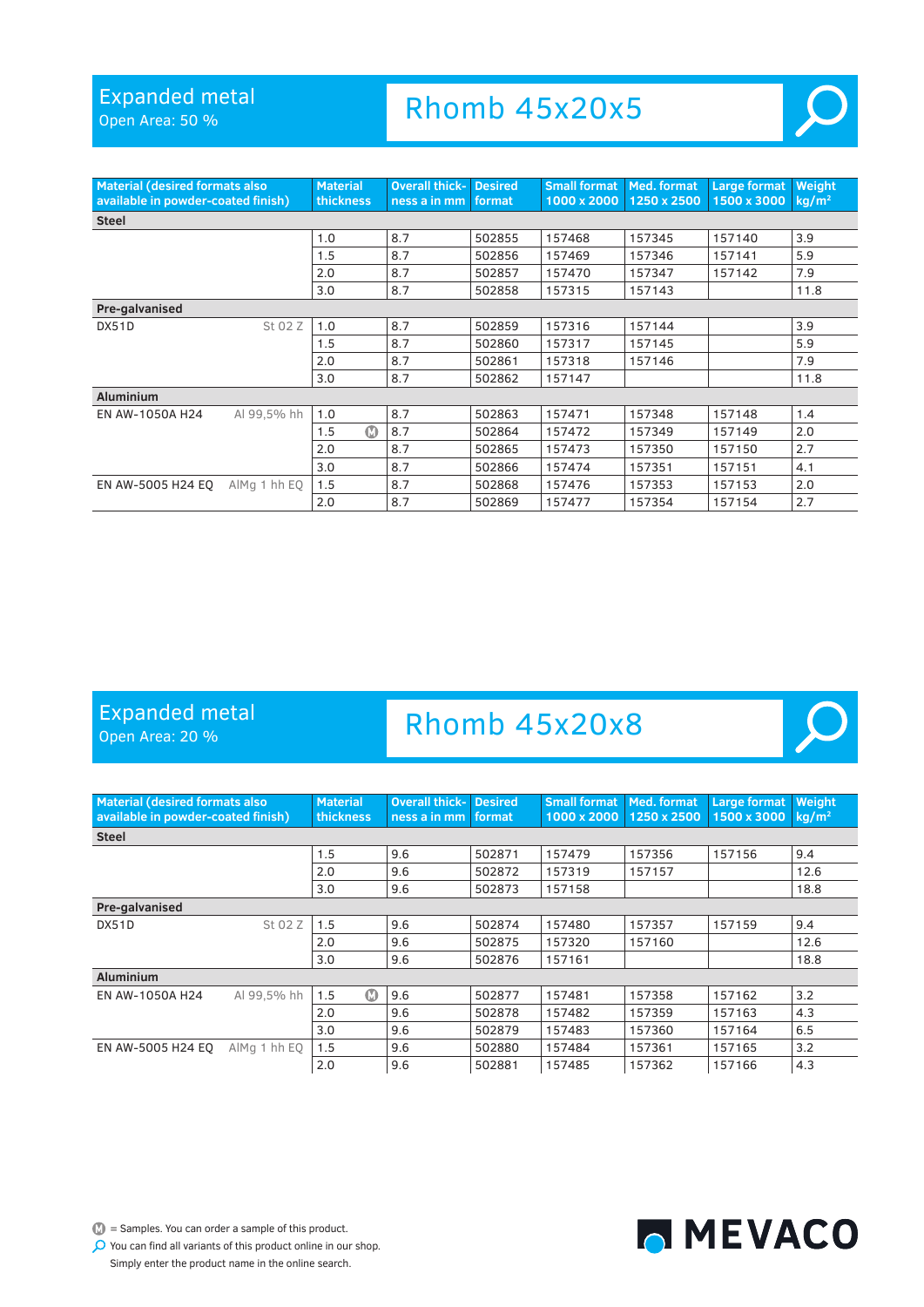Open Area: 50 %

Rhomb 45x20x5



| <b>Material (desired formats also</b><br>available in powder-coated finish) |              | <b>Material</b><br>thickness | <b>Overall thick-</b><br>ness a in mm | <b>Desired</b><br>format | <b>Small format   Med. format</b><br>1000 x 2000 | 1250 x 2500 | <b>Large format</b><br>1500 x 3000 | Weight<br>kg/m <sup>2</sup> |
|-----------------------------------------------------------------------------|--------------|------------------------------|---------------------------------------|--------------------------|--------------------------------------------------|-------------|------------------------------------|-----------------------------|
| <b>Steel</b>                                                                |              |                              |                                       |                          |                                                  |             |                                    |                             |
|                                                                             |              | 1.0                          | 8.7                                   | 502855                   | 157468                                           | 157345      | 157140                             | 3.9                         |
|                                                                             |              | 1.5                          | 8.7                                   | 502856                   | 157469                                           | 157346      | 157141                             | 5.9                         |
|                                                                             |              | 2.0                          | 8.7                                   | 502857                   | 157470                                           | 157347      | 157142                             | 7.9                         |
|                                                                             |              | 3.0                          | 8.7                                   | 502858                   | 157315                                           | 157143      |                                    | 11.8                        |
| Pre-galvanised                                                              |              |                              |                                       |                          |                                                  |             |                                    |                             |
| DX51D                                                                       | St 02 Z      | 1.0                          | 8.7                                   | 502859                   | 157316                                           | 157144      |                                    | 3.9                         |
|                                                                             |              | 1.5                          | 8.7                                   | 502860                   | 157317                                           | 157145      |                                    | 5.9                         |
|                                                                             |              | 2.0                          | 8.7                                   | 502861                   | 157318                                           | 157146      |                                    | 7.9                         |
|                                                                             |              | 3.0                          | 8.7                                   | 502862                   | 157147                                           |             |                                    | 11.8                        |
| <b>Aluminium</b>                                                            |              |                              |                                       |                          |                                                  |             |                                    |                             |
| EN AW-1050A H24                                                             | Al 99,5% hh  | 1.0                          | 8.7                                   | 502863                   | 157471                                           | 157348      | 157148                             | 1.4                         |
|                                                                             |              | $\bf \Phi$<br>1.5            | 8.7                                   | 502864                   | 157472                                           | 157349      | 157149                             | 2.0                         |
|                                                                             |              | 2.0                          | 8.7                                   | 502865                   | 157473                                           | 157350      | 157150                             | 2.7                         |
|                                                                             |              | 3.0                          | 8.7                                   | 502866                   | 157474                                           | 157351      | 157151                             | 4.1                         |
| EN AW-5005 H24 EO                                                           | AlMg 1 hh EQ | 1.5                          | 8.7                                   | 502868                   | 157476                                           | 157353      | 157153                             | 2.0                         |
|                                                                             |              | 2.0                          | 8.7                                   | 502869                   | 157477                                           | 157354      | 157154                             | 2.7                         |

### Expanded metal

Open Area: 20 %

### Rhomb 45x20x8

| <b>Material (desired formats also</b><br>available in powder-coated finish) |              | <b>Material</b><br><b>thickness</b> | <b>Overall thick- Desired</b><br>ness a in mm | format | <b>Small format</b><br>1000 x 2000 | Med. format<br>1250 x 2500 | <b>Large format</b><br>1500 x 3000 | Weight<br>$kq/m^2$ |
|-----------------------------------------------------------------------------|--------------|-------------------------------------|-----------------------------------------------|--------|------------------------------------|----------------------------|------------------------------------|--------------------|
| <b>Steel</b>                                                                |              |                                     |                                               |        |                                    |                            |                                    |                    |
|                                                                             |              | 1.5                                 | 9.6                                           | 502871 | 157479                             | 157356                     | 157156                             | 9.4                |
|                                                                             |              | 2.0                                 | 9.6                                           | 502872 | 157319                             | 157157                     |                                    | 12.6               |
|                                                                             |              | 3.0                                 | 9.6                                           | 502873 | 157158                             |                            |                                    | 18.8               |
| Pre-galvanised                                                              |              |                                     |                                               |        |                                    |                            |                                    |                    |
| DX51D                                                                       | St 02 Z      | 1.5                                 | 9.6                                           | 502874 | 157480                             | 157357                     | 157159                             | 9.4                |
|                                                                             |              | 2.0                                 | 9.6                                           | 502875 | 157320                             | 157160                     |                                    | 12.6               |
|                                                                             |              | 3.0                                 | 9.6                                           | 502876 | 157161                             |                            |                                    | 18.8               |
| <b>Aluminium</b>                                                            |              |                                     |                                               |        |                                    |                            |                                    |                    |
| EN AW-1050A H24                                                             | Al 99.5% hh  | $\bf \Phi$<br>1.5                   | 9.6                                           | 502877 | 157481                             | 157358                     | 157162                             | 3.2                |
|                                                                             |              | 2.0                                 | 9.6                                           | 502878 | 157482                             | 157359                     | 157163                             | 4.3                |
|                                                                             |              | 3.0                                 | 9.6                                           | 502879 | 157483                             | 157360                     | 157164                             | 6.5                |
| EN AW-5005 H24 EO                                                           | AlMg 1 hh EQ | 1.5                                 | 9.6                                           | 502880 | 157484                             | 157361                     | 157165                             | 3.2                |
|                                                                             |              | 2.0                                 | 9.6                                           | 502881 | 157485                             | 157362                     | 157166                             | 4.3                |



 $\bullet$  = Samples. You can order a sample of this product.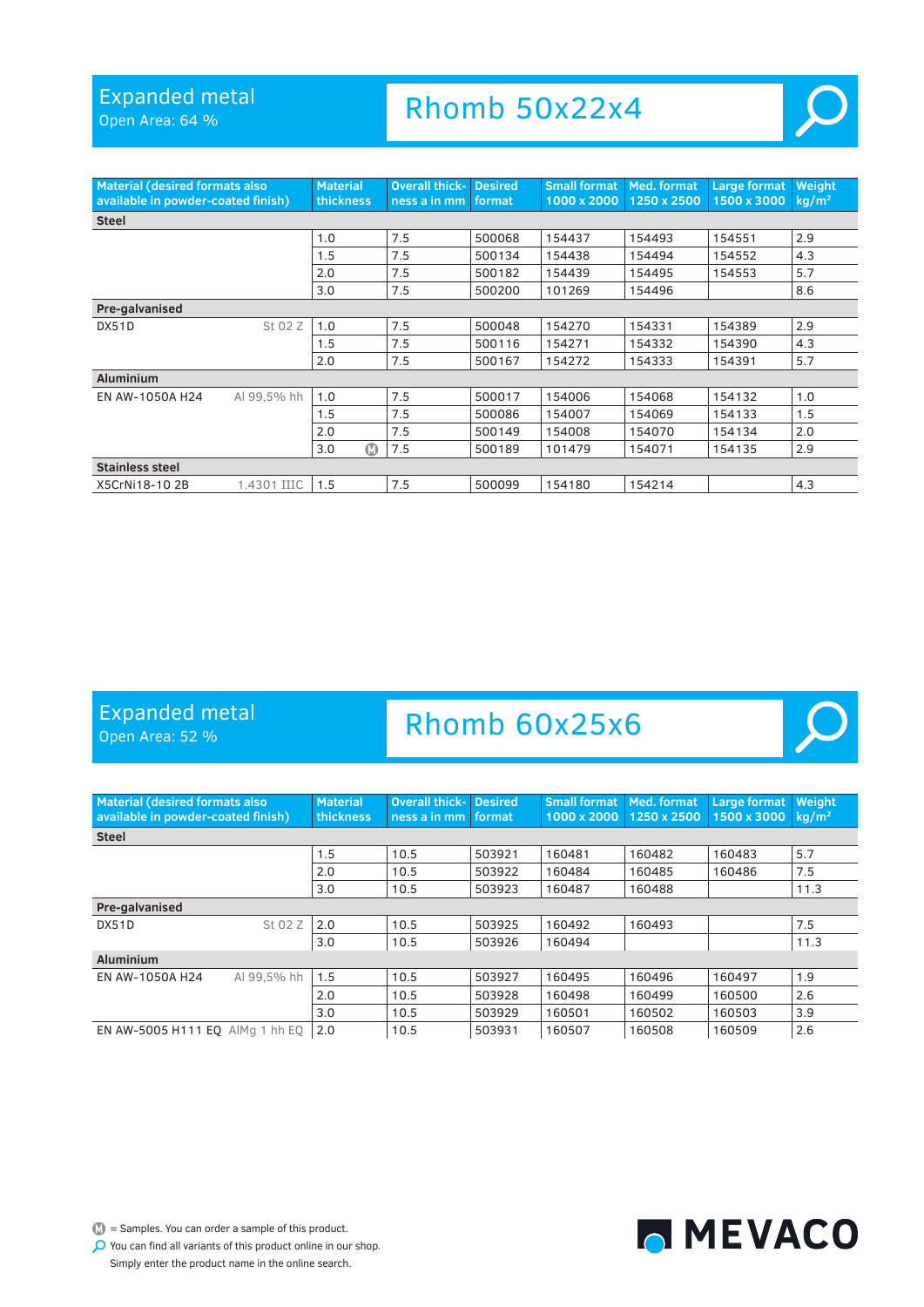Open Area: 64 %

Rhomb 50x22x4



 $\mathcal{L}$ 

| <b>Material (desired formats also)</b><br>available in powder-coated finish) |             | <b>Material</b><br>thickness | <b>Overall thick-</b><br>ness a in mm | <b>Desired</b><br>format | Small format<br>1000 x 2000 | Med. format<br>1250 x 2500 | Large format<br>1500 x 3000 | Weight<br>kg/m <sup>2</sup> |
|------------------------------------------------------------------------------|-------------|------------------------------|---------------------------------------|--------------------------|-----------------------------|----------------------------|-----------------------------|-----------------------------|
| <b>Steel</b>                                                                 |             |                              |                                       |                          |                             |                            |                             |                             |
|                                                                              |             | 1.0                          | 7.5                                   | 500068                   | 154437                      | 154493                     | 154551                      | 2.9                         |
|                                                                              |             | 1.5                          | 7.5                                   | 500134                   | 154438                      | 154494                     | 154552                      | 4.3                         |
|                                                                              |             | 2.0                          | 7.5                                   | 500182                   | 154439                      | 154495                     | 154553                      | 5.7                         |
|                                                                              |             | 3.0                          | 7.5                                   | 500200                   | 101269                      | 154496                     |                             | 8.6                         |
| Pre-galvanised                                                               |             |                              |                                       |                          |                             |                            |                             |                             |
| DX51D                                                                        | St 02 Z     | 1.0                          | 7.5                                   | 500048                   | 154270                      | 154331                     | 154389                      | 2.9                         |
|                                                                              |             | 1.5                          | 7.5                                   | 500116                   | 154271                      | 154332                     | 154390                      | 4.3                         |
|                                                                              |             | 2.0                          | 7.5                                   | 500167                   | 154272                      | 154333                     | 154391                      | 5.7                         |
| <b>Aluminium</b>                                                             |             |                              |                                       |                          |                             |                            |                             |                             |
| EN AW-1050A H24                                                              | Al 99.5% hh | 1.0                          | 7.5                                   | 500017                   | 154006                      | 154068                     | 154132                      | 1.0                         |
|                                                                              |             | 1.5                          | 7.5                                   | 500086                   | 154007                      | 154069                     | 154133                      | 1.5                         |
|                                                                              |             | 2.0                          | 7.5                                   | 500149                   | 154008                      | 154070                     | 154134                      | 2.0                         |
|                                                                              |             | ത<br>3.0                     | 7.5                                   | 500189                   | 101479                      | 154071                     | 154135                      | 2.9                         |
| <b>Stainless steel</b>                                                       |             |                              |                                       |                          |                             |                            |                             |                             |
| X5CrNi18-102B                                                                | 1.4301 IIIC | 1.5                          | 7.5                                   | 500099                   | 154180                      | 154214                     |                             | 4.3                         |

#### Expanded metal

Open Area: 52 %

# Rhomb 60x25x6

| <b>Material (desired formats also)</b><br>available in powder-coated finish) |             | <b>Material</b><br>thickness | Overall thick-<br>ness a in mm | <b>Desired</b><br>format | <b>Small format</b><br>1000 x 2000 | Med. format<br>1250 x 2500 | <b>Large format</b><br>1500 x 3000 | Weight<br>$kq/m^2$ |
|------------------------------------------------------------------------------|-------------|------------------------------|--------------------------------|--------------------------|------------------------------------|----------------------------|------------------------------------|--------------------|
| <b>Steel</b>                                                                 |             |                              |                                |                          |                                    |                            |                                    |                    |
|                                                                              |             | 1.5                          | 10.5                           | 503921                   | 160481                             | 160482                     | 160483                             | 5.7                |
|                                                                              |             | 2.0                          | 10.5                           | 503922                   | 160484                             | 160485                     | 160486                             | 7.5                |
|                                                                              |             | 3.0                          | 10.5                           | 503923                   | 160487                             | 160488                     |                                    | 11.3               |
| Pre-galvanised                                                               |             |                              |                                |                          |                                    |                            |                                    |                    |
| DX51D                                                                        | St 02 Z     | 2.0                          | 10.5                           | 503925                   | 160492                             | 160493                     |                                    | 7.5                |
|                                                                              |             | 3.0                          | 10.5                           | 503926                   | 160494                             |                            |                                    | 11.3               |
| <b>Aluminium</b>                                                             |             |                              |                                |                          |                                    |                            |                                    |                    |
| EN AW-1050A H24                                                              | Al 99.5% hh | 1.5                          | 10.5                           | 503927                   | 160495                             | 160496                     | 160497                             | 1.9                |
|                                                                              |             | 2.0                          | 10.5                           | 503928                   | 160498                             | 160499                     | 160500                             | 2.6                |
|                                                                              |             | 3.0                          | 10.5                           | 503929                   | 160501                             | 160502                     | 160503                             | 3.9                |
| EN AW-5005 H111 EO AlMa 1 hh EO                                              |             | 2.0                          | 10.5                           | 503931                   | 160507                             | 160508                     | 160509                             | 2.6                |

 $\bullet$  = Samples. You can order a sample of this product. You can find all variants of this product online in our shop. Simply enter the product name in the online search.

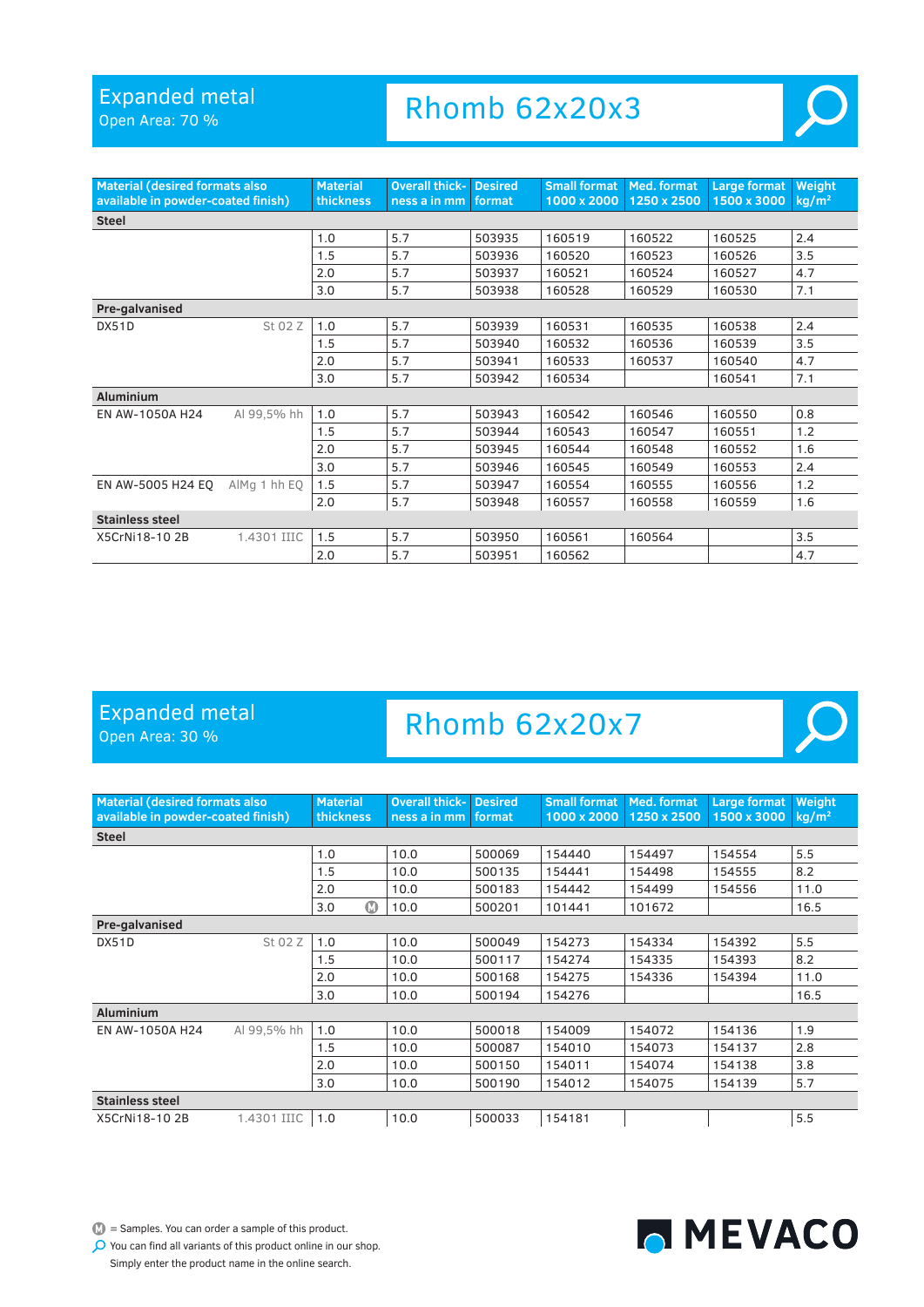Open Area: 70 %

### Rhomb 62x20x3



 $\overline{O}$ 

| <b>Material (desired formats also</b><br>available in powder-coated finish) |              | <b>Material</b><br>thickness | <b>Overall thick-</b><br>ness a in mm | <b>Desired</b><br>format | <b>Small format</b><br>1000 x 2000 | Med. format<br>1250 x 2500 | <b>Large format</b><br>1500 x 3000 | Weight<br>kg/m <sup>2</sup> |  |
|-----------------------------------------------------------------------------|--------------|------------------------------|---------------------------------------|--------------------------|------------------------------------|----------------------------|------------------------------------|-----------------------------|--|
| <b>Steel</b>                                                                |              |                              |                                       |                          |                                    |                            |                                    |                             |  |
|                                                                             |              | 1.0                          | 5.7                                   | 503935                   | 160519                             | 160522                     | 160525                             | 2.4                         |  |
|                                                                             |              | 1.5                          | 5.7                                   | 503936                   | 160520                             | 160523                     | 160526                             | 3.5                         |  |
|                                                                             |              | 2.0                          | 5.7                                   | 503937                   | 160521                             | 160524                     | 160527                             | 4.7                         |  |
|                                                                             |              | 3.0                          | 5.7                                   | 503938                   | 160528                             | 160529                     | 160530                             | 7.1                         |  |
| Pre-galvanised                                                              |              |                              |                                       |                          |                                    |                            |                                    |                             |  |
| DX51D                                                                       | St 02 Z      | 1.0                          | 5.7                                   | 503939                   | 160531                             | 160535                     | 160538                             | 2.4                         |  |
|                                                                             |              | 1.5                          | 5.7                                   | 503940                   | 160532                             | 160536                     | 160539                             | 3.5                         |  |
|                                                                             |              | 2.0                          | 5.7                                   | 503941                   | 160533                             | 160537                     | 160540                             | 4.7                         |  |
|                                                                             |              | 3.0                          | 5.7                                   | 503942                   | 160534                             |                            | 160541                             | 7.1                         |  |
| <b>Aluminium</b>                                                            |              |                              |                                       |                          |                                    |                            |                                    |                             |  |
| EN AW-1050A H24                                                             | Al 99.5% hh  | 1.0                          | 5.7                                   | 503943                   | 160542                             | 160546                     | 160550                             | 0.8                         |  |
|                                                                             |              | 1.5                          | 5.7                                   | 503944                   | 160543                             | 160547                     | 160551                             | 1.2                         |  |
|                                                                             |              | 2.0                          | 5.7                                   | 503945                   | 160544                             | 160548                     | 160552                             | 1.6                         |  |
|                                                                             |              | 3.0                          | 5.7                                   | 503946                   | 160545                             | 160549                     | 160553                             | 2.4                         |  |
| EN AW-5005 H24 EO                                                           | AlMg 1 hh EQ | 1.5                          | 5.7                                   | 503947                   | 160554                             | 160555                     | 160556                             | 1.2                         |  |
|                                                                             |              | 2.0                          | 5.7                                   | 503948                   | 160557                             | 160558                     | 160559                             | 1.6                         |  |
| <b>Stainless steel</b>                                                      |              |                              |                                       |                          |                                    |                            |                                    |                             |  |
| X5CrNi18-102B                                                               | 1.4301 IIIC  | 1.5                          | 5.7                                   | 503950                   | 160561                             | 160564                     |                                    | 3.5                         |  |
|                                                                             |              | 2.0                          | 5.7                                   | 503951                   | 160562                             |                            |                                    | 4.7                         |  |

#### Expanded metal

Open Area: 30 %

# Rhomb 62x20x7

| <b>Material (desired formats also</b><br>available in powder-coated finish) |             | <b>Material</b><br>thickness | <b>Overall thick-</b><br>ness a in mm | <b>Desired</b><br>format | Small format<br>1000 x 2000 | Med. format<br>1250 x 2500 | Large format<br>1500 x 3000 | Weight<br>kg/m <sup>2</sup> |  |
|-----------------------------------------------------------------------------|-------------|------------------------------|---------------------------------------|--------------------------|-----------------------------|----------------------------|-----------------------------|-----------------------------|--|
| <b>Steel</b>                                                                |             |                              |                                       |                          |                             |                            |                             |                             |  |
|                                                                             |             | 1.0                          | 10.0                                  | 500069                   | 154440                      | 154497                     | 154554                      | 5.5                         |  |
|                                                                             |             | 1.5                          | 10.0                                  | 500135                   | 154441                      | 154498                     | 154555                      | 8.2                         |  |
|                                                                             |             | 2.0                          | 10.0                                  | 500183                   | 154442                      | 154499                     | 154556                      | 11.0                        |  |
|                                                                             |             | $\bullet$<br>3.0             | 10.0                                  | 500201                   | 101441                      | 101672                     |                             | 16.5                        |  |
| Pre-galvanised                                                              |             |                              |                                       |                          |                             |                            |                             |                             |  |
| DX51D                                                                       | St 02 Z     | 1.0                          | 10.0                                  | 500049                   | 154273                      | 154334                     | 154392                      | 5.5                         |  |
|                                                                             |             | 1.5                          | 10.0                                  | 500117                   | 154274                      | 154335                     | 154393                      | 8.2                         |  |
|                                                                             |             | 2.0                          | 10.0                                  | 500168                   | 154275                      | 154336                     | 154394                      | 11.0                        |  |
|                                                                             |             | 3.0                          | 10.0                                  | 500194                   | 154276                      |                            |                             | 16.5                        |  |
| <b>Aluminium</b>                                                            |             |                              |                                       |                          |                             |                            |                             |                             |  |
| EN AW-1050A H24                                                             | Al 99,5% hh | 1.0                          | 10.0                                  | 500018                   | 154009                      | 154072                     | 154136                      | 1.9                         |  |
|                                                                             |             | 1.5                          | 10.0                                  | 500087                   | 154010                      | 154073                     | 154137                      | 2.8                         |  |
|                                                                             |             | 2.0                          | 10.0                                  | 500150                   | 154011                      | 154074                     | 154138                      | 3.8                         |  |
|                                                                             |             | 3.0                          | 10.0                                  | 500190                   | 154012                      | 154075                     | 154139                      | 5.7                         |  |
| Stainless steel                                                             |             |                              |                                       |                          |                             |                            |                             |                             |  |
| X5CrNi18-102B                                                               | 1.4301 IIIC | 1.0                          | 10.0                                  | 500033                   | 154181                      |                            |                             | 5.5                         |  |

 $\bullet$  = Samples. You can order a sample of this product.

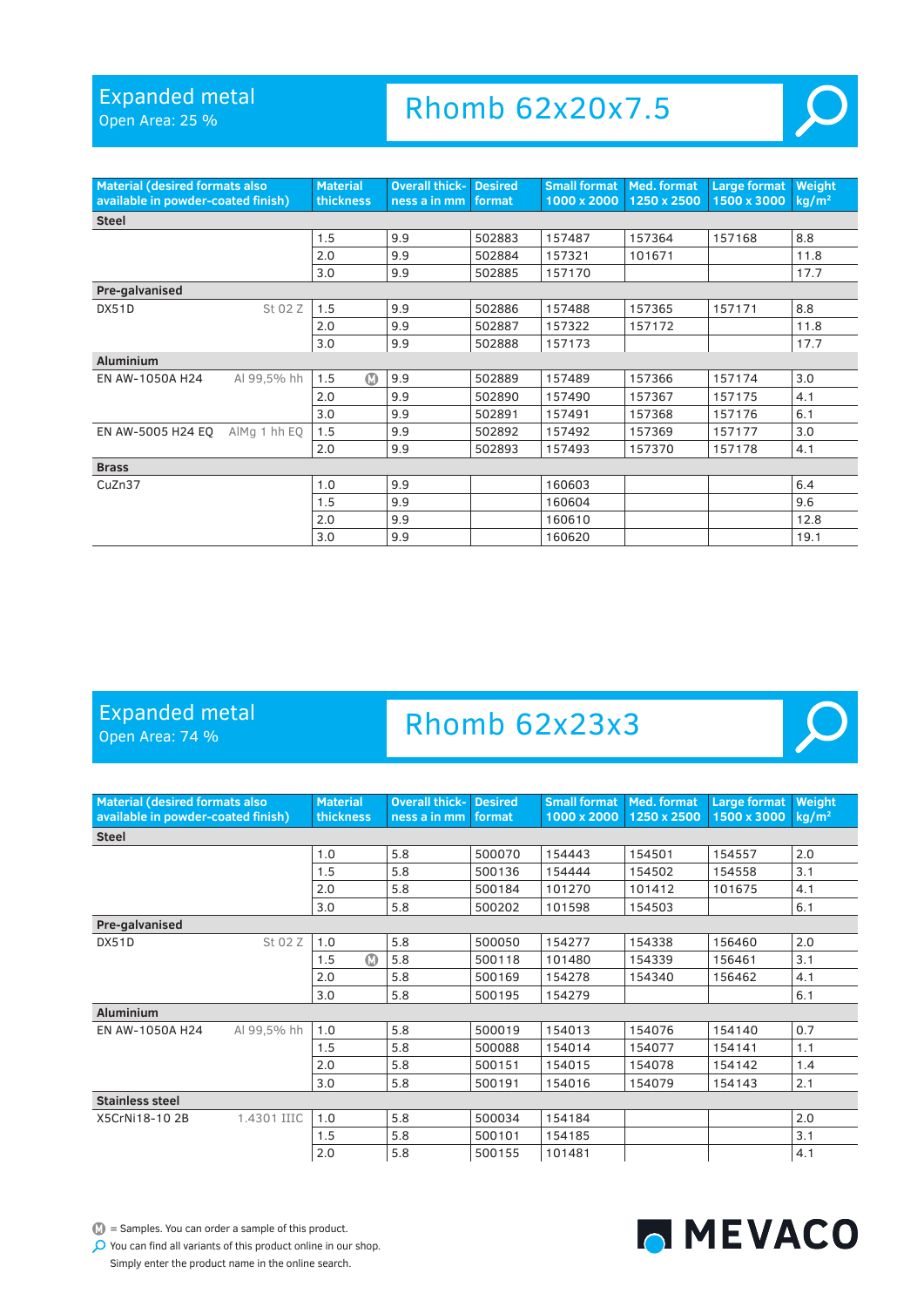Open Area: 25 %

# Rhomb 62x20x7.5



 $\overline{O}$ 

| <b>Material (desired formats also</b><br>available in powder-coated finish) |              | <b>Material</b><br>thickness | <b>Overall thick-</b><br>ness a in mm | <b>Desired</b><br>format | <b>Small format</b><br>1000 x 2000 | <b>Med. format</b><br>1250 x 2500 | Large format<br>1500 x 3000 | Weight<br>kg/m <sup>2</sup> |  |
|-----------------------------------------------------------------------------|--------------|------------------------------|---------------------------------------|--------------------------|------------------------------------|-----------------------------------|-----------------------------|-----------------------------|--|
| <b>Steel</b>                                                                |              |                              |                                       |                          |                                    |                                   |                             |                             |  |
|                                                                             |              | 1.5                          | 9.9                                   | 502883                   | 157487                             | 157364                            | 157168                      | 8.8                         |  |
|                                                                             |              | 2.0                          | 9.9                                   | 502884                   | 157321                             | 101671                            |                             | 11.8                        |  |
|                                                                             |              | 3.0                          | 9.9                                   | 502885                   | 157170                             |                                   |                             | 17.7                        |  |
| Pre-galvanised                                                              |              |                              |                                       |                          |                                    |                                   |                             |                             |  |
| DX51D                                                                       | St 02 Z      | 1.5                          | 9.9                                   | 502886                   | 157488                             | 157365                            | 157171                      | 8.8                         |  |
|                                                                             |              | 2.0                          | 9.9                                   | 502887                   | 157322                             | 157172                            |                             | 11.8                        |  |
|                                                                             |              | 3.0                          | 9.9                                   | 502888                   | 157173                             |                                   |                             | 17.7                        |  |
| <b>Aluminium</b>                                                            |              |                              |                                       |                          |                                    |                                   |                             |                             |  |
| EN AW-1050A H24                                                             | Al 99,5% hh  | $\bf \Phi$<br>1.5            | 9.9                                   | 502889                   | 157489                             | 157366                            | 157174                      | 3.0                         |  |
|                                                                             |              | 2.0                          | 9.9                                   | 502890                   | 157490                             | 157367                            | 157175                      | 4.1                         |  |
|                                                                             |              | 3.0                          | 9.9                                   | 502891                   | 157491                             | 157368                            | 157176                      | 6.1                         |  |
| EN AW-5005 H24 EQ                                                           | AlMg 1 hh EO | 1.5                          | 9.9                                   | 502892                   | 157492                             | 157369                            | 157177                      | 3.0                         |  |
|                                                                             |              | 2.0                          | 9.9                                   | 502893                   | 157493                             | 157370                            | 157178                      | 4.1                         |  |
| <b>Brass</b>                                                                |              |                              |                                       |                          |                                    |                                   |                             |                             |  |
| CuZn37                                                                      |              | 1.0                          | 9.9                                   |                          | 160603                             |                                   |                             | 6.4                         |  |
|                                                                             |              | 1.5                          | 9.9                                   |                          | 160604                             |                                   |                             | 9.6                         |  |
|                                                                             |              | 2.0                          | 9.9                                   |                          | 160610                             |                                   |                             | 12.8                        |  |
|                                                                             |              | 3.0                          | 9.9                                   |                          | 160620                             |                                   |                             | 19.1                        |  |

### Expanded metal

Open Area: 74 %

# Rhomb 62x23x3

| <b>Material (desired formats also</b><br>available in powder-coated finish) |             | <b>Material</b><br>thickness | <b>Overall thick-</b><br>ness a in mm | <b>Desired</b><br>format | <b>Small format</b><br>1000 x 2000 | Med. format<br>1250 x 2500 | Large format<br>1500 x 3000 | Weight<br>kg/m <sup>2</sup> |  |  |
|-----------------------------------------------------------------------------|-------------|------------------------------|---------------------------------------|--------------------------|------------------------------------|----------------------------|-----------------------------|-----------------------------|--|--|
| <b>Steel</b>                                                                |             |                              |                                       |                          |                                    |                            |                             |                             |  |  |
|                                                                             |             | 1.0                          | 5.8                                   | 500070                   | 154443                             | 154501                     | 154557                      | 2.0                         |  |  |
|                                                                             |             | 1.5                          | 5.8                                   | 500136                   | 154444                             | 154502                     | 154558                      | 3.1                         |  |  |
|                                                                             |             | 2.0                          | 5.8                                   | 500184                   | 101270                             | 101412                     | 101675                      | 4.1                         |  |  |
|                                                                             |             | 3.0                          | 5.8                                   | 500202                   | 101598                             | 154503                     |                             | 6.1                         |  |  |
| Pre-galvanised                                                              |             |                              |                                       |                          |                                    |                            |                             |                             |  |  |
| DX51D                                                                       | St 02 Z     | 1.0                          | 5.8                                   | 500050                   | 154277                             | 154338                     | 156460                      | 2.0                         |  |  |
|                                                                             |             | $\Omega$<br>1.5              | 5.8                                   | 500118                   | 101480                             | 154339                     | 156461                      | 3.1                         |  |  |
|                                                                             |             | 2.0                          | 5.8                                   | 500169                   | 154278                             | 154340                     | 156462                      | 4.1                         |  |  |
|                                                                             |             | 3.0                          | 5.8                                   | 500195                   | 154279                             |                            |                             | 6.1                         |  |  |
| <b>Aluminium</b>                                                            |             |                              |                                       |                          |                                    |                            |                             |                             |  |  |
| EN AW-1050A H24                                                             | Al 99,5% hh | 1.0                          | 5.8                                   | 500019                   | 154013                             | 154076                     | 154140                      | 0.7                         |  |  |
|                                                                             |             | 1.5                          | 5.8                                   | 500088                   | 154014                             | 154077                     | 154141                      | 1.1                         |  |  |
|                                                                             |             | 2.0                          | 5.8                                   | 500151                   | 154015                             | 154078                     | 154142                      | 1.4                         |  |  |
|                                                                             |             | 3.0                          | 5.8                                   | 500191                   | 154016                             | 154079                     | 154143                      | 2.1                         |  |  |
| <b>Stainless steel</b>                                                      |             |                              |                                       |                          |                                    |                            |                             |                             |  |  |
| X5CrNi18-10 2B                                                              | 1.4301 IIIC | 1.0                          | 5.8                                   | 500034                   | 154184                             |                            |                             | 2.0                         |  |  |
|                                                                             |             | 1.5                          | 5.8                                   | 500101                   | 154185                             |                            |                             | 3.1                         |  |  |
|                                                                             |             | 2.0                          | 5.8                                   | 500155                   | 101481                             |                            |                             | 4.1                         |  |  |

 $\bullet$  = Samples. You can order a sample of this product.

You can find all variants of this product online in our shop.

Simply enter the product name in the online search.

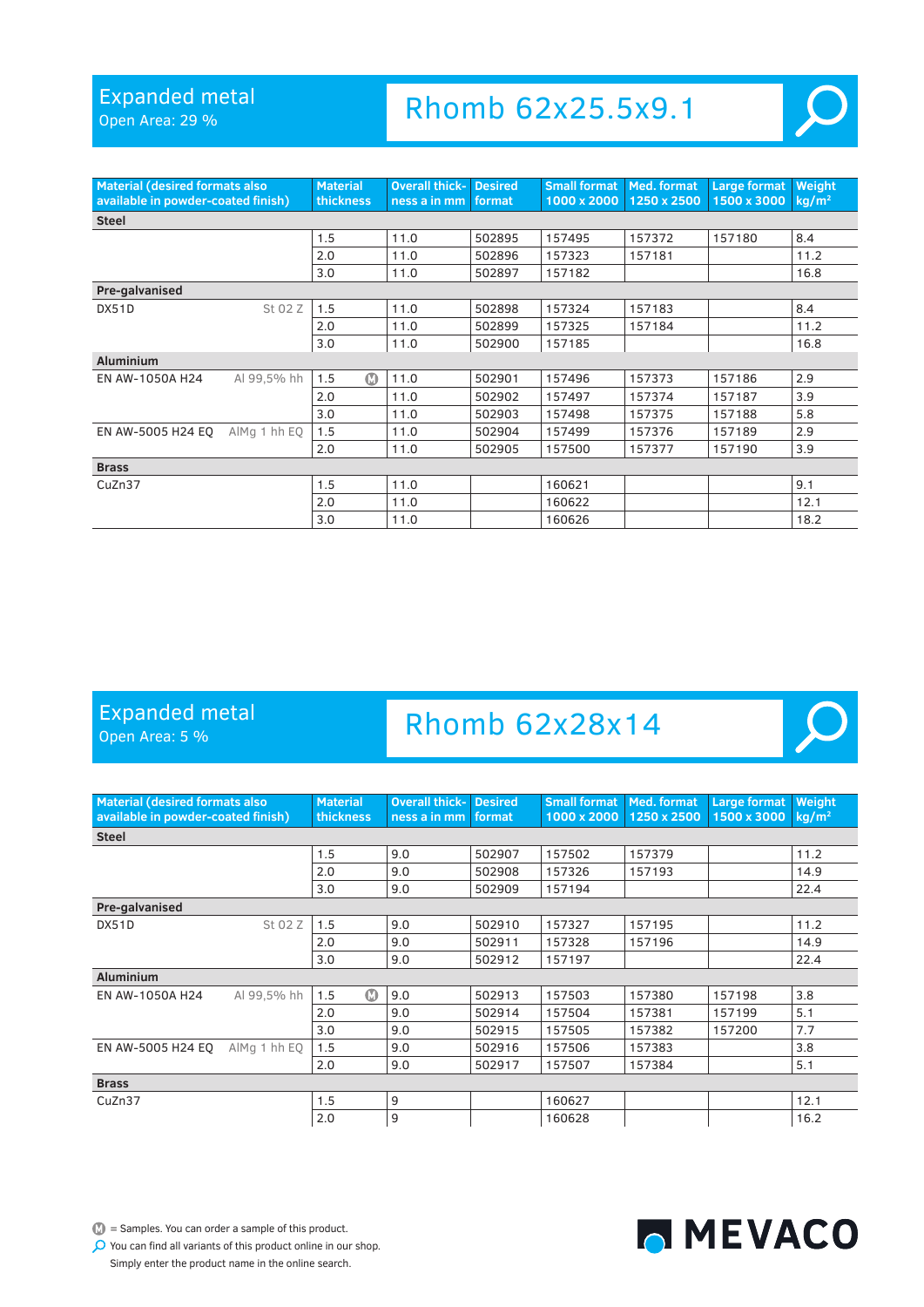Open Area: 29 %

### Rhomb 62x25.5x9.1

| <b>Material (desired formats also</b> |              | <b>Material</b>   | <b>Overall thick-</b> | <b>Desired</b> | <b>Small format</b> | Med. format | Large format | Weight            |
|---------------------------------------|--------------|-------------------|-----------------------|----------------|---------------------|-------------|--------------|-------------------|
| available in powder-coated finish)    |              | thickness         | ness a in mm          | format         | 1000 x 2000         | 1250 x 2500 | 1500 x 3000  | kg/m <sup>2</sup> |
| <b>Steel</b>                          |              |                   |                       |                |                     |             |              |                   |
|                                       |              | 1.5               | 11.0                  | 502895         | 157495              | 157372      | 157180       | 8.4               |
|                                       |              | 2.0               | 11.0                  | 502896         | 157323              | 157181      |              | 11.2              |
|                                       |              | 3.0               | 11.0                  | 502897         | 157182              |             |              | 16.8              |
| Pre-galvanised                        |              |                   |                       |                |                     |             |              |                   |
| DX51D                                 | St 02 Z      | 1.5               | 11.0                  | 502898         | 157324              | 157183      |              | 8.4               |
|                                       |              | 2.0               | 11.0                  | 502899         | 157325              | 157184      |              | 11.2              |
|                                       |              | 3.0               | 11.0                  | 502900         | 157185              |             |              | 16.8              |
| <b>Aluminium</b>                      |              |                   |                       |                |                     |             |              |                   |
| EN AW-1050A H24                       | Al 99.5% hh  | $\bf \Phi$<br>1.5 | 11.0                  | 502901         | 157496              | 157373      | 157186       | 2.9               |
|                                       |              | 2.0               | 11.0                  | 502902         | 157497              | 157374      | 157187       | 3.9               |
|                                       |              | 3.0               | 11.0                  | 502903         | 157498              | 157375      | 157188       | 5.8               |
| EN AW-5005 H24 EO                     | AlMg 1 hh EQ | 1.5               | 11.0                  | 502904         | 157499              | 157376      | 157189       | 2.9               |
|                                       |              | 2.0               | 11.0                  | 502905         | 157500              | 157377      | 157190       | 3.9               |
| <b>Brass</b>                          |              |                   |                       |                |                     |             |              |                   |
| CuZn37                                |              | 1.5               | 11.0                  |                | 160621              |             |              | 9.1               |
|                                       |              | 2.0               | 11.0                  |                | 160622              |             |              | 12.1              |
|                                       |              | 3.0               | 11.0                  |                | 160626              |             |              | 18.2              |

### Expanded metal

Open Area: 5 %

### Rhomb 62x28x14



 $\mathbb{D}$  = Samples. You can order a sample of this product. You can find all variants of this product online in our shop. MEVACO

Simply enter the product name in the online search.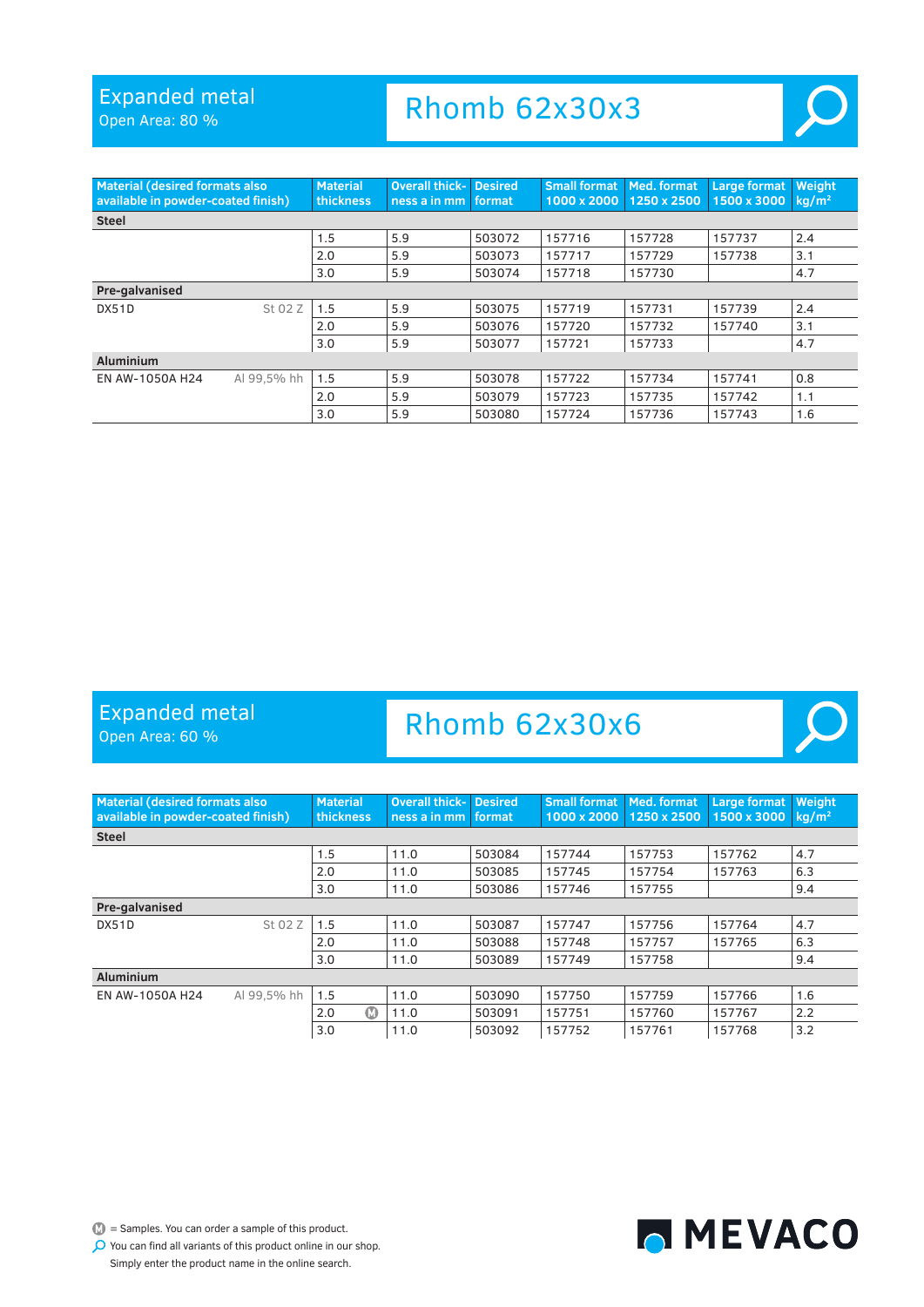Open Area: 80 %

### Rhomb 62x30x3



| <b>Material (desired formats also</b><br>available in powder-coated finish) |             | <b>Material</b><br>thickness | <b>Overall thick- Desired</b><br>ness a in mm   format |        | <b>Small format</b><br>1000 x 2000 | Med. format<br>1250 x 2500 | <b>Large format</b><br>1500 x 3000 | Weight<br>$kq/m^2$ |
|-----------------------------------------------------------------------------|-------------|------------------------------|--------------------------------------------------------|--------|------------------------------------|----------------------------|------------------------------------|--------------------|
| <b>Steel</b>                                                                |             |                              |                                                        |        |                                    |                            |                                    |                    |
|                                                                             |             | 1.5                          | 5.9                                                    | 503072 | 157716                             | 157728                     | 157737                             | 2.4                |
|                                                                             |             | 2.0                          | 5.9                                                    | 503073 | 157717                             | 157729                     | 157738                             | 3.1                |
|                                                                             |             | 3.0                          | 5.9                                                    | 503074 | 157718                             | 157730                     |                                    | 4.7                |
| Pre-galvanised                                                              |             |                              |                                                        |        |                                    |                            |                                    |                    |
| DX51D                                                                       | St 02 Z     | 1.5                          | 5.9                                                    | 503075 | 157719                             | 157731                     | 157739                             | 2.4                |
|                                                                             |             | 2.0                          | 5.9                                                    | 503076 | 157720                             | 157732                     | 157740                             | 3.1                |
|                                                                             |             | 3.0                          | 5.9                                                    | 503077 | 157721                             | 157733                     |                                    | 4.7                |
| <b>Aluminium</b>                                                            |             |                              |                                                        |        |                                    |                            |                                    |                    |
| EN AW-1050A H24                                                             | Al 99.5% hh | 1.5                          | 5.9                                                    | 503078 | 157722                             | 157734                     | 157741                             | 0.8                |
|                                                                             |             | 2.0                          | 5.9                                                    | 503079 | 157723                             | 157735                     | 157742                             | 1.1                |
|                                                                             |             | 3.0                          | 5.9                                                    | 503080 | 157724                             | 157736                     | 157743                             | 1.6                |

### Expanded metal

Open Area: 60 %

### Rhomb 62x30x6



 $\mathbb{D}$  = Samples. You can order a sample of this product.

MEVACO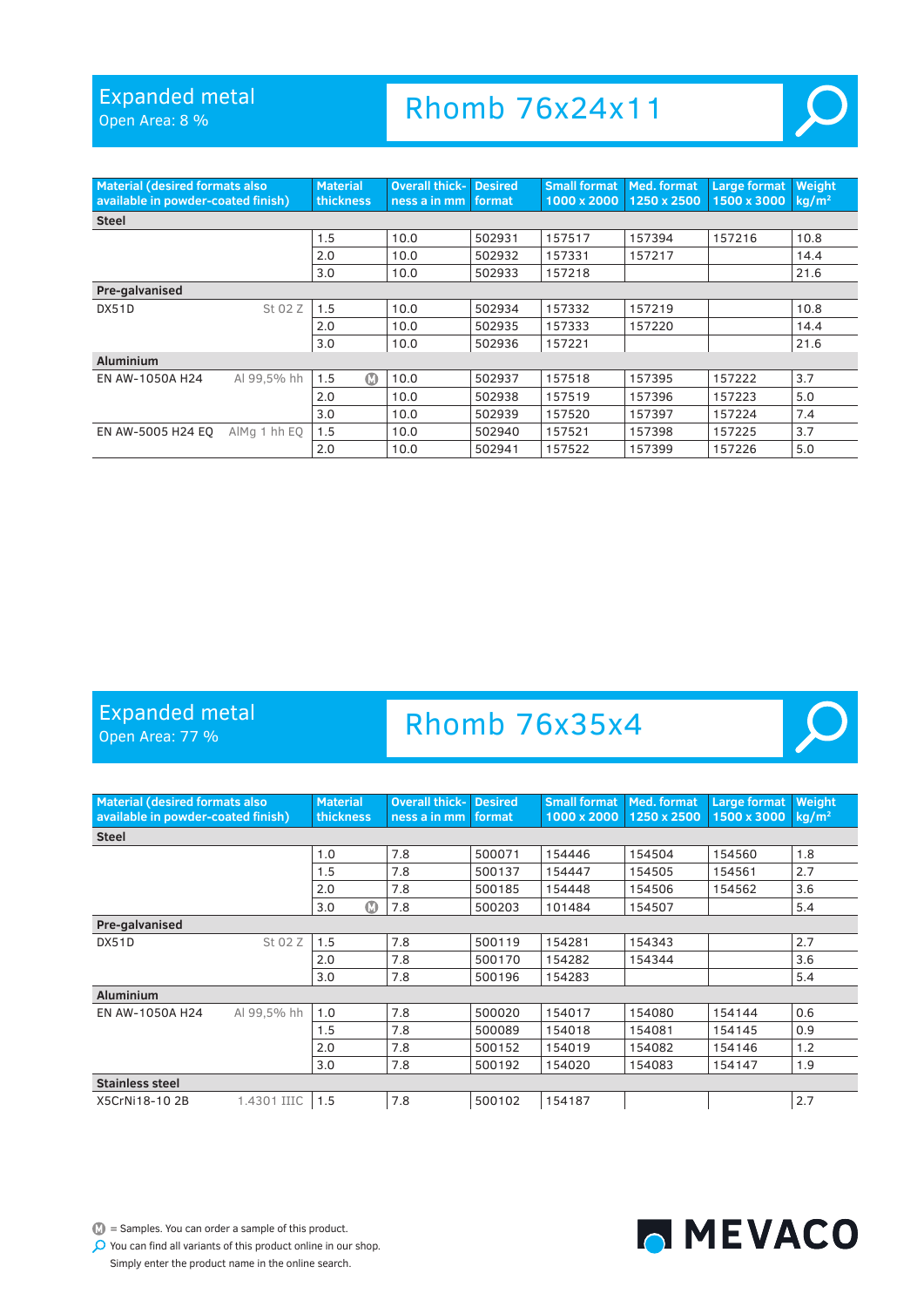Open Area: 8 %

### Rhomb 76x24x11



| <b>Material (desired formats also</b><br>available in powder-coated finish) |              | <b>Material</b><br>thickness | <b>Overall thick-</b><br>ness a in mm format | <b>Desired</b> | <b>Small format</b><br>1000 x 2000 | Med. format<br>1250 x 2500 | <b>Large format</b><br>1500 x 3000 | Weight<br>$kq/m^2$ |
|-----------------------------------------------------------------------------|--------------|------------------------------|----------------------------------------------|----------------|------------------------------------|----------------------------|------------------------------------|--------------------|
| <b>Steel</b>                                                                |              |                              |                                              |                |                                    |                            |                                    |                    |
|                                                                             |              | 1.5                          | 10.0                                         | 502931         | 157517                             | 157394                     | 157216                             | 10.8               |
|                                                                             |              | 2.0                          | 10.0                                         | 502932         | 157331                             | 157217                     |                                    | 14.4               |
|                                                                             |              | 3.0                          | 10.0                                         | 502933         | 157218                             |                            |                                    | 21.6               |
| Pre-galvanised                                                              |              |                              |                                              |                |                                    |                            |                                    |                    |
| DX51D                                                                       | St 02 Z      | 1.5                          | 10.0                                         | 502934         | 157332                             | 157219                     |                                    | 10.8               |
|                                                                             |              | 2.0                          | 10.0                                         | 502935         | 157333                             | 157220                     |                                    | 14.4               |
|                                                                             |              | 3.0                          | 10.0                                         | 502936         | 157221                             |                            |                                    | 21.6               |
| <b>Aluminium</b>                                                            |              |                              |                                              |                |                                    |                            |                                    |                    |
| EN AW-1050A H24                                                             | Al 99.5% hh  | $\Omega$<br>1.5              | 10.0                                         | 502937         | 157518                             | 157395                     | 157222                             | 3.7                |
|                                                                             |              | 2.0                          | 10.0                                         | 502938         | 157519                             | 157396                     | 157223                             | 5.0                |
|                                                                             |              | 3.0                          | 10.0                                         | 502939         | 157520                             | 157397                     | 157224                             | 7.4                |
| EN AW-5005 H24 EO                                                           | AlMa 1 hh EO | 1.5                          | 10.0                                         | 502940         | 157521                             | 157398                     | 157225                             | 3.7                |
|                                                                             |              | 2.0                          | 10.0                                         | 502941         | 157522                             | 157399                     | 157226                             | 5.0                |

#### Expanded metal

Open Area: 77 %

# Rhomb 76x35x4

| <b>Material (desired formats also</b><br>available in powder-coated finish) |             | <b>Material</b><br>thickness | <b>Overall thick-</b><br>ness a in mm | <b>Desired</b><br>format | <b>Small format</b><br>1000 x 2000 | Med. format<br>1250 x 2500 | Large format<br>1500 x 3000 | Weight<br>$kq/m^2$ |  |
|-----------------------------------------------------------------------------|-------------|------------------------------|---------------------------------------|--------------------------|------------------------------------|----------------------------|-----------------------------|--------------------|--|
| <b>Steel</b>                                                                |             |                              |                                       |                          |                                    |                            |                             |                    |  |
|                                                                             |             | 1.0                          | 7.8                                   | 500071                   | 154446                             | 154504                     | 154560                      | 1.8                |  |
|                                                                             |             | 1.5                          | 7.8                                   | 500137                   | 154447                             | 154505                     | 154561                      | 2.7                |  |
|                                                                             |             | 2.0                          | 7.8                                   | 500185                   | 154448                             | 154506                     | 154562                      | 3.6                |  |
|                                                                             |             | $\bullet$<br>3.0             | 7.8                                   | 500203                   | 101484                             | 154507                     |                             | 5.4                |  |
| Pre-galvanised                                                              |             |                              |                                       |                          |                                    |                            |                             |                    |  |
| DX51D                                                                       | St 02 Z     | 1.5                          | 7.8                                   | 500119                   | 154281                             | 154343                     |                             | 2.7                |  |
|                                                                             |             | 2.0                          | 7.8                                   | 500170                   | 154282                             | 154344                     |                             | 3.6                |  |
|                                                                             |             | 3.0                          | 7.8                                   | 500196                   | 154283                             |                            |                             | 5.4                |  |
| <b>Aluminium</b>                                                            |             |                              |                                       |                          |                                    |                            |                             |                    |  |
| EN AW-1050A H24                                                             | Al 99.5% hh | 1.0                          | 7.8                                   | 500020                   | 154017                             | 154080                     | 154144                      | 0.6                |  |
|                                                                             |             | 1.5                          | 7.8                                   | 500089                   | 154018                             | 154081                     | 154145                      | 0.9                |  |
|                                                                             |             | 2.0                          | 7.8                                   | 500152                   | 154019                             | 154082                     | 154146                      | 1.2                |  |
|                                                                             |             | 3.0                          | 7.8                                   | 500192                   | 154020                             | 154083                     | 154147                      | 1.9                |  |
| <b>Stainless steel</b>                                                      |             |                              |                                       |                          |                                    |                            |                             |                    |  |
| X5CrNi18-102B                                                               | 1.4301 IIIC | 1.5                          | 7.8                                   | 500102                   | 154187                             |                            |                             | 2.7                |  |



MEVACO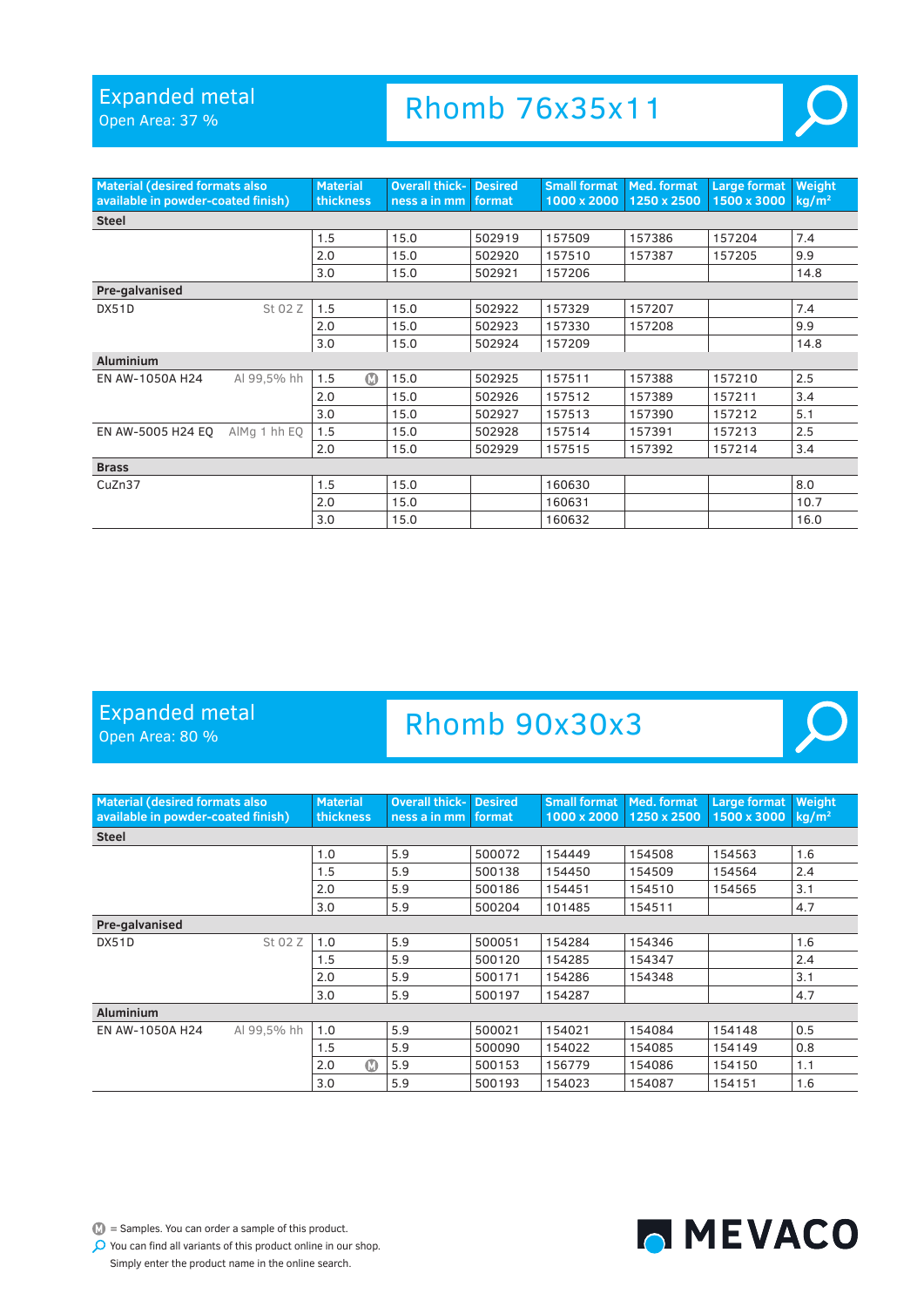Open Area: 37 %

# Rhomb 76x35x11



 $\overline{O}$ 

| <b>Material (desired formats also</b><br>available in powder-coated finish) |              | <b>Material</b><br>thickness | <b>Overall thick-</b><br>ness a in mm format | <b>Desired</b> | <b>Small format Med. format</b> | 1000 x 2000 1250 x 2500 | Large format<br>1500 x 3000 | Weight<br>kg/m <sup>2</sup> |
|-----------------------------------------------------------------------------|--------------|------------------------------|----------------------------------------------|----------------|---------------------------------|-------------------------|-----------------------------|-----------------------------|
| <b>Steel</b>                                                                |              |                              |                                              |                |                                 |                         |                             |                             |
|                                                                             |              | 1.5                          | 15.0                                         | 502919         | 157509                          | 157386                  | 157204                      | 7.4                         |
|                                                                             |              | 2.0                          | 15.0                                         | 502920         | 157510                          | 157387                  | 157205                      | 9.9                         |
|                                                                             |              | 3.0                          | 15.0                                         | 502921         | 157206                          |                         |                             | 14.8                        |
| Pre-galvanised                                                              |              |                              |                                              |                |                                 |                         |                             |                             |
| DX51D                                                                       | St 02 Z      | 1.5                          | 15.0                                         | 502922         | 157329                          | 157207                  |                             | 7.4                         |
|                                                                             |              | 2.0                          | 15.0                                         | 502923         | 157330                          | 157208                  |                             | 9.9                         |
|                                                                             |              | 3.0                          | 15.0                                         | 502924         | 157209                          |                         |                             | 14.8                        |
| <b>Aluminium</b>                                                            |              |                              |                                              |                |                                 |                         |                             |                             |
| EN AW-1050A H24                                                             | Al 99.5% hh  | ത<br>1.5                     | 15.0                                         | 502925         | 157511                          | 157388                  | 157210                      | 2.5                         |
|                                                                             |              | 2.0                          | 15.0                                         | 502926         | 157512                          | 157389                  | 157211                      | 3.4                         |
|                                                                             |              | 3.0                          | 15.0                                         | 502927         | 157513                          | 157390                  | 157212                      | 5.1                         |
| EN AW-5005 H24 EO                                                           | AlMg 1 hh EQ | 1.5                          | 15.0                                         | 502928         | 157514                          | 157391                  | 157213                      | 2.5                         |
|                                                                             |              | 2.0                          | 15.0                                         | 502929         | 157515                          | 157392                  | 157214                      | 3.4                         |
| <b>Brass</b>                                                                |              |                              |                                              |                |                                 |                         |                             |                             |
| CuZn37                                                                      |              | 1.5                          | 15.0                                         |                | 160630                          |                         |                             | 8.0                         |
|                                                                             |              | 2.0                          | 15.0                                         |                | 160631                          |                         |                             | 10.7                        |
|                                                                             |              | 3.0                          | 15.0                                         |                | 160632                          |                         |                             | 16.0                        |

### Expanded metal

Open Area: 80 %

### Rhomb 90x30x3

| <b>Material (desired formats also</b><br>available in powder-coated finish) |             | <b>Material</b><br><b>thickness</b> | <b>Overall thick-</b><br>ness a in mm | <b>Desired</b><br>format | <b>Small format</b><br>1000 x 2000 | Med. format<br>1250 x 2500 | Large format<br>1500 x 3000 | Weight<br>kg/m <sup>2</sup> |
|-----------------------------------------------------------------------------|-------------|-------------------------------------|---------------------------------------|--------------------------|------------------------------------|----------------------------|-----------------------------|-----------------------------|
| <b>Steel</b>                                                                |             |                                     |                                       |                          |                                    |                            |                             |                             |
|                                                                             |             | 1.0                                 | 5.9                                   | 500072                   | 154449                             | 154508                     | 154563                      | 1.6                         |
|                                                                             |             | 1.5                                 | 5.9                                   | 500138                   | 154450                             | 154509                     | 154564                      | 2.4                         |
|                                                                             |             | 2.0                                 | 5.9                                   | 500186                   | 154451                             | 154510                     | 154565                      | 3.1                         |
|                                                                             |             | 3.0                                 | 5.9                                   | 500204                   | 101485                             | 154511                     |                             | 4.7                         |
| Pre-galvanised                                                              |             |                                     |                                       |                          |                                    |                            |                             |                             |
| DX51D                                                                       | St 02 Z     | 1.0                                 | 5.9                                   | 500051                   | 154284                             | 154346                     |                             | 1.6                         |
|                                                                             |             | 1.5                                 | 5.9                                   | 500120                   | 154285                             | 154347                     |                             | 2.4                         |
|                                                                             |             | 2.0                                 | 5.9                                   | 500171                   | 154286                             | 154348                     |                             | 3.1                         |
|                                                                             |             | 3.0                                 | 5.9                                   | 500197                   | 154287                             |                            |                             | 4.7                         |
| <b>Aluminium</b>                                                            |             |                                     |                                       |                          |                                    |                            |                             |                             |
| EN AW-1050A H24                                                             | Al 99.5% hh | 1.0                                 | 5.9                                   | 500021                   | 154021                             | 154084                     | 154148                      | 0.5                         |
|                                                                             |             | 1.5                                 | 5.9                                   | 500090                   | 154022                             | 154085                     | 154149                      | 0.8                         |
|                                                                             |             | $\Omega$<br>2.0                     | 5.9                                   | 500153                   | 156779                             | 154086                     | 154150                      | 1.1                         |
|                                                                             |             | 3.0                                 | 5.9                                   | 500193                   | 154023                             | 154087                     | 154151                      | 1.6                         |

 $\bullet$  = Samples. You can order a sample of this product.

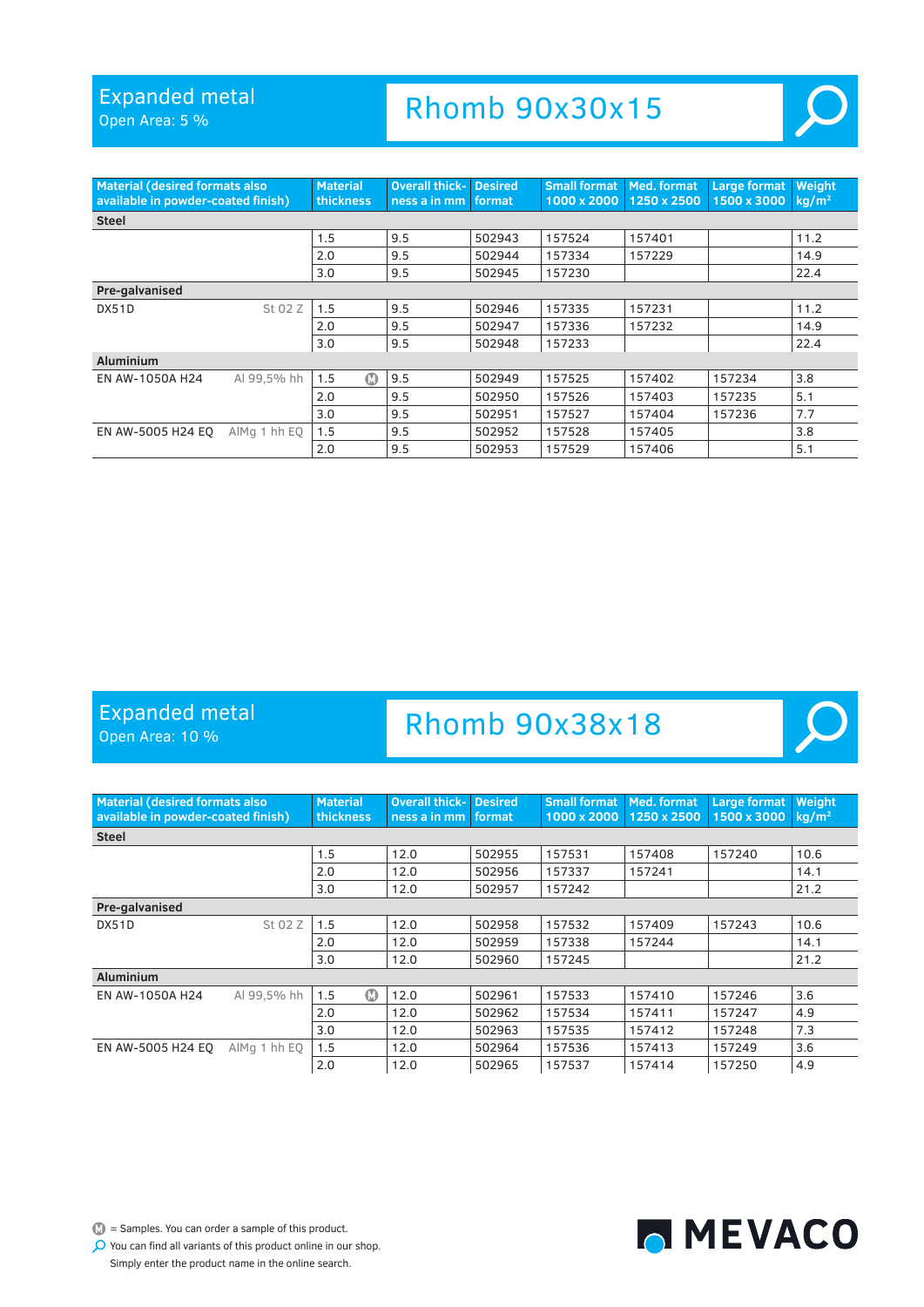Open Area: 5 %

### Rhomb 90x30x15



 $\mathcal{L}$ 

MEVACO

| <b>Material (desired formats also</b><br>available in powder-coated finish) |              | <b>Material</b><br>thickness | <b>Overall thick-</b><br>ness a in mm | <b>Desired</b><br>format | <b>Small format</b><br>1000 x 2000 | Med. format<br>1250 x 2500 | <b>Large format</b><br>1500 x 3000 | Weight<br>$kq/m^2$ |
|-----------------------------------------------------------------------------|--------------|------------------------------|---------------------------------------|--------------------------|------------------------------------|----------------------------|------------------------------------|--------------------|
| <b>Steel</b>                                                                |              |                              |                                       |                          |                                    |                            |                                    |                    |
|                                                                             |              | 1.5                          | 9.5                                   | 502943                   | 157524                             | 157401                     |                                    | 11.2               |
|                                                                             |              | 2.0                          | 9.5                                   | 502944                   | 157334                             | 157229                     |                                    | 14.9               |
|                                                                             |              | 3.0                          | 9.5                                   | 502945                   | 157230                             |                            |                                    | 22.4               |
| Pre-galvanised                                                              |              |                              |                                       |                          |                                    |                            |                                    |                    |
| DX51D                                                                       | St 02 Z      | 1.5                          | 9.5                                   | 502946                   | 157335                             | 157231                     |                                    | 11.2               |
|                                                                             |              | 2.0                          | 9.5                                   | 502947                   | 157336                             | 157232                     |                                    | 14.9               |
|                                                                             |              | 3.0                          | 9.5                                   | 502948                   | 157233                             |                            |                                    | 22.4               |
| <b>Aluminium</b>                                                            |              |                              |                                       |                          |                                    |                            |                                    |                    |
| EN AW-1050A H24                                                             | Al 99.5% hh  | $\bf \Phi$<br>1.5            | 9.5                                   | 502949                   | 157525                             | 157402                     | 157234                             | 3.8                |
|                                                                             |              | 2.0                          | 9.5                                   | 502950                   | 157526                             | 157403                     | 157235                             | 5.1                |
|                                                                             |              | 3.0                          | 9.5                                   | 502951                   | 157527                             | 157404                     | 157236                             | 7.7                |
| EN AW-5005 H24 EO                                                           | AlMg 1 hh EQ | 1.5                          | 9.5                                   | 502952                   | 157528                             | 157405                     |                                    | 3.8                |
|                                                                             |              | 2.0                          | 9.5                                   | 502953                   | 157529                             | 157406                     |                                    | 5.1                |

#### Expanded metal

Open Area: 10 %

### Rhomb 90x38x18

| <b>Material (desired formats also</b><br>available in powder-coated finish) |              | <b>Material</b><br>thickness | <b>Overall thick-</b><br>ness a in mm | <b>Desired</b><br>format | <b>Small format</b><br>1000 x 2000 | Med. format<br>1250 x 2500 | <b>Large format</b><br>1500 x 3000 | Weight<br>$kq/m^2$ |
|-----------------------------------------------------------------------------|--------------|------------------------------|---------------------------------------|--------------------------|------------------------------------|----------------------------|------------------------------------|--------------------|
| <b>Steel</b>                                                                |              |                              |                                       |                          |                                    |                            |                                    |                    |
|                                                                             |              | 1.5                          | 12.0                                  | 502955                   | 157531                             | 157408                     | 157240                             | 10.6               |
|                                                                             |              | 2.0                          | 12.0                                  | 502956                   | 157337                             | 157241                     |                                    | 14.1               |
|                                                                             |              | 3.0                          | 12.0                                  | 502957                   | 157242                             |                            |                                    | 21.2               |
| Pre-galvanised                                                              |              |                              |                                       |                          |                                    |                            |                                    |                    |
| DX51D                                                                       | St 02 Z      | 1.5                          | 12.0                                  | 502958                   | 157532                             | 157409                     | 157243                             | 10.6               |
|                                                                             |              | 2.0                          | 12.0                                  | 502959                   | 157338                             | 157244                     |                                    | 14.1               |
|                                                                             |              | 3.0                          | 12.0                                  | 502960                   | 157245                             |                            |                                    | 21.2               |
| <b>Aluminium</b>                                                            |              |                              |                                       |                          |                                    |                            |                                    |                    |
| EN AW-1050A H24                                                             | Al 99.5% hh  | $\Omega$<br>1.5              | 12.0                                  | 502961                   | 157533                             | 157410                     | 157246                             | 3.6                |
|                                                                             |              | 2.0                          | 12.0                                  | 502962                   | 157534                             | 157411                     | 157247                             | 4.9                |
|                                                                             |              | 3.0                          | 12.0                                  | 502963                   | 157535                             | 157412                     | 157248                             | 7.3                |
| EN AW-5005 H24 EO                                                           | AlMg 1 hh EQ | 1.5                          | 12.0                                  | 502964                   | 157536                             | 157413                     | 157249                             | 3.6                |
|                                                                             |              | 2.0                          | 12.0                                  | 502965                   | 157537                             | 157414                     | 157250                             | 4.9                |

 $\bullet$  = Samples. You can order a sample of this product.

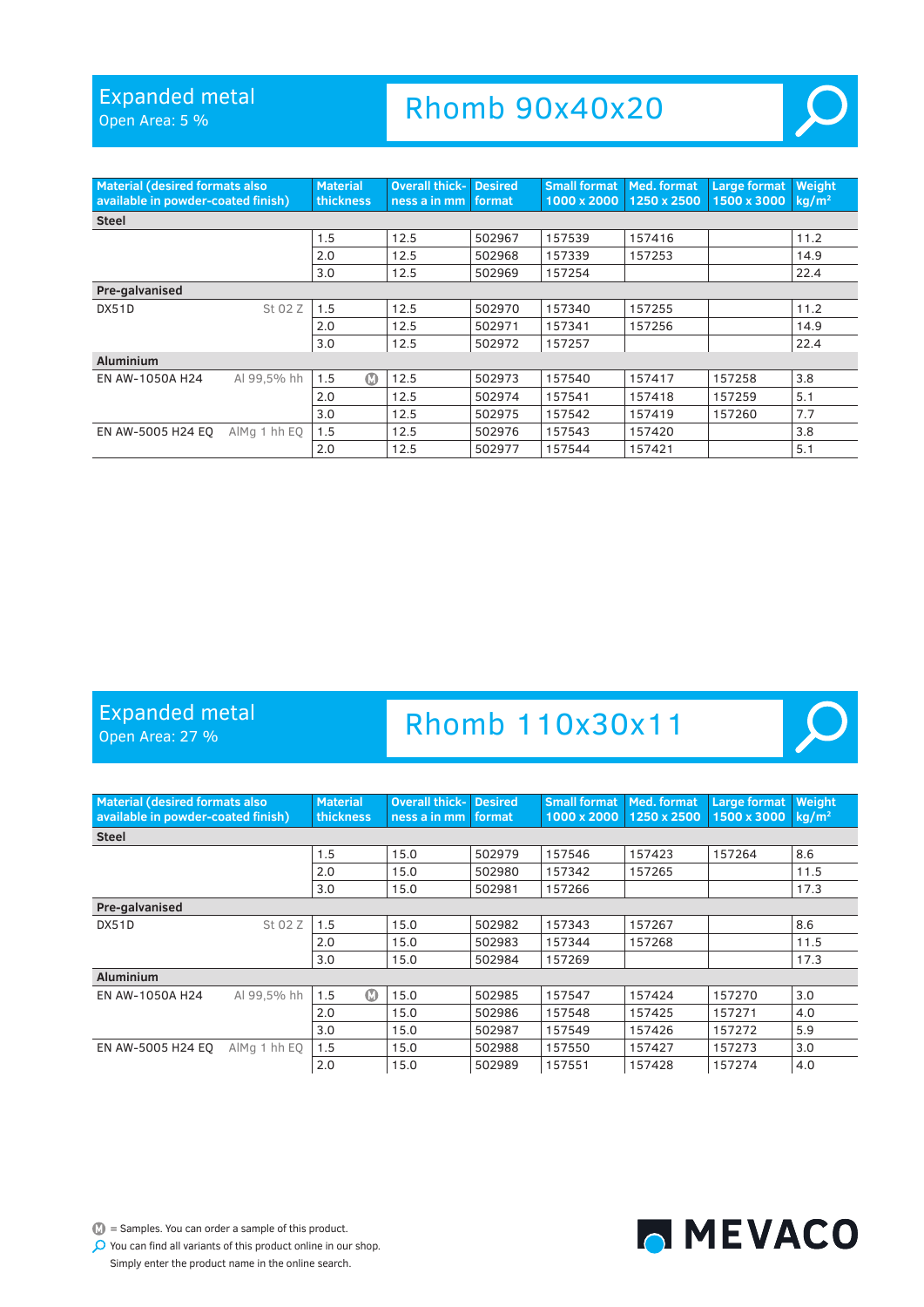Open Area: 5 %

### Rhomb 90x40x20



| <b>Material (desired formats also</b><br>available in powder-coated finish) |              | <b>Material</b><br>thickness | <b>Overall thick-</b><br>ness a in mm   format | <b>Desired</b> | <b>Small format</b><br>1000 x 2000 | Med. format<br>1250 x 2500 | <b>Large format</b><br>1500 x 3000 | Weight<br>$kq/m^2$ |
|-----------------------------------------------------------------------------|--------------|------------------------------|------------------------------------------------|----------------|------------------------------------|----------------------------|------------------------------------|--------------------|
| <b>Steel</b>                                                                |              |                              |                                                |                |                                    |                            |                                    |                    |
|                                                                             |              | 1.5                          | 12.5                                           | 502967         | 157539                             | 157416                     |                                    | 11.2               |
|                                                                             |              | 2.0                          | 12.5                                           | 502968         | 157339                             | 157253                     |                                    | 14.9               |
|                                                                             |              | 3.0                          | 12.5                                           | 502969         | 157254                             |                            |                                    | 22.4               |
| Pre-galvanised                                                              |              |                              |                                                |                |                                    |                            |                                    |                    |
| DX51D                                                                       | St 02 Z      | 1.5                          | 12.5                                           | 502970         | 157340                             | 157255                     |                                    | 11.2               |
|                                                                             |              | 2.0                          | 12.5                                           | 502971         | 157341                             | 157256                     |                                    | 14.9               |
|                                                                             |              | 3.0                          | 12.5                                           | 502972         | 157257                             |                            |                                    | 22.4               |
| <b>Aluminium</b>                                                            |              |                              |                                                |                |                                    |                            |                                    |                    |
| EN AW-1050A H24                                                             | Al 99.5% hh  | $\Omega$<br>1.5              | 12.5                                           | 502973         | 157540                             | 157417                     | 157258                             | 3.8                |
|                                                                             |              | 2.0                          | 12.5                                           | 502974         | 157541                             | 157418                     | 157259                             | 5.1                |
|                                                                             |              | 3.0                          | 12.5                                           | 502975         | 157542                             | 157419                     | 157260                             | 7.7                |
| EN AW-5005 H24 EO                                                           | AlMa 1 hh EO | 1.5                          | 12.5                                           | 502976         | 157543                             | 157420                     |                                    | 3.8                |
|                                                                             |              | 2.0                          | 12.5                                           | 502977         | 157544                             | 157421                     |                                    | 5.1                |

### Expanded metal

Open Area: 27 %

### Rhomb 110x30x11





 $\mathbb{D}$  = Samples. You can order a sample of this product.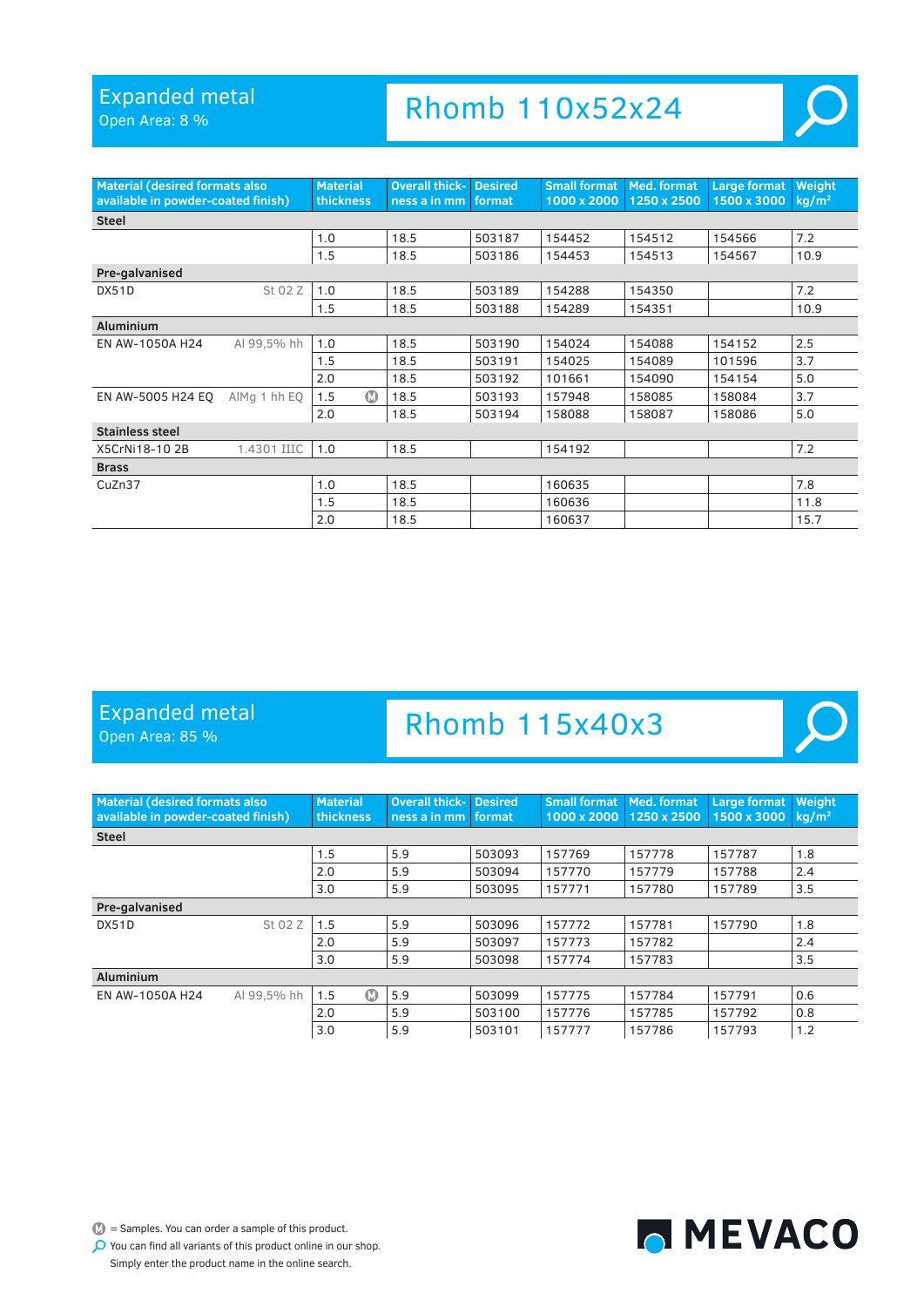Open Area: 8 %

# Rhomb 110x52x24



 $\overline{O}$ 

| <b>Material (desired formats also</b><br>available in powder-coated finish) |              | <b>Material</b><br>thickness | <b>Overall thick-</b><br>ness a in mm | <b>Desired</b><br>format | <b>Small format</b><br>1000 x 2000 | Med. format<br>1250 x 2500 | Large format<br>1500 x 3000 | Weight<br>$kq/m^2$ |
|-----------------------------------------------------------------------------|--------------|------------------------------|---------------------------------------|--------------------------|------------------------------------|----------------------------|-----------------------------|--------------------|
| <b>Steel</b>                                                                |              |                              |                                       |                          |                                    |                            |                             |                    |
|                                                                             |              | 1.0                          | 18.5                                  | 503187                   | 154452                             | 154512                     | 154566                      | 7.2                |
|                                                                             |              | 1.5                          | 18.5                                  | 503186                   | 154453                             | 154513                     | 154567                      | 10.9               |
| Pre-galvanised                                                              |              |                              |                                       |                          |                                    |                            |                             |                    |
| DX51D                                                                       | St 02 Z      | 1.0                          | 18.5                                  | 503189                   | 154288                             | 154350                     |                             | 7.2                |
|                                                                             |              | 1.5                          | 18.5                                  | 503188                   | 154289                             | 154351                     |                             | 10.9               |
| <b>Aluminium</b>                                                            |              |                              |                                       |                          |                                    |                            |                             |                    |
| EN AW-1050A H24                                                             | Al 99.5% hh  | 1.0                          | 18.5                                  | 503190                   | 154024                             | 154088                     | 154152                      | 2.5                |
|                                                                             |              | 1.5                          | 18.5                                  | 503191                   | 154025                             | 154089                     | 101596                      | 3.7                |
|                                                                             |              | 2.0                          | 18.5                                  | 503192                   | 101661                             | 154090                     | 154154                      | 5.0                |
| EN AW-5005 H24 EQ                                                           | AlMa 1 hh EO | $\Omega$<br>1.5              | 18.5                                  | 503193                   | 157948                             | 158085                     | 158084                      | 3.7                |
|                                                                             |              | 2.0                          | 18.5                                  | 503194                   | 158088                             | 158087                     | 158086                      | 5.0                |
| Stainless steel                                                             |              |                              |                                       |                          |                                    |                            |                             |                    |
| X5CrNi18-102B                                                               | 1.4301 IIIC  | 1.0                          | 18.5                                  |                          | 154192                             |                            |                             | 7.2                |
| <b>Brass</b>                                                                |              |                              |                                       |                          |                                    |                            |                             |                    |
| CuZn37                                                                      |              | 1.0                          | 18.5                                  |                          | 160635                             |                            |                             | 7.8                |
|                                                                             |              | 1.5                          | 18.5                                  |                          | 160636                             |                            |                             | 11.8               |
|                                                                             |              | 2.0                          | 18.5                                  |                          | 160637                             |                            |                             | 15.7               |

### Expanded metal

Open Area: 85 %

### Rhomb 115x40x3

| <b>Material (desired formats also</b><br>available in powder-coated finish) |             | <b>Material</b><br>thickness | <b>Overall thick- Desired</b><br>ness a in mm | format | <b>Small format Med. format</b><br>1000 x 2000 1250 x 2500 |        | <b>Large format</b><br>1500 x 3000 | Weight<br>kg/m <sup>2</sup> |
|-----------------------------------------------------------------------------|-------------|------------------------------|-----------------------------------------------|--------|------------------------------------------------------------|--------|------------------------------------|-----------------------------|
| <b>Steel</b>                                                                |             |                              |                                               |        |                                                            |        |                                    |                             |
|                                                                             |             | 1.5                          | 5.9                                           | 503093 | 157769                                                     | 157778 | 157787                             | 1.8                         |
|                                                                             |             | 2.0                          | 5.9                                           | 503094 | 157770                                                     | 157779 | 157788                             | 2.4                         |
|                                                                             |             | 3.0                          | 5.9                                           | 503095 | 157771                                                     | 157780 | 157789                             | 3.5                         |
| Pre-galvanised                                                              |             |                              |                                               |        |                                                            |        |                                    |                             |
| DX51D                                                                       | St 02 Z     | 1.5                          | 5.9                                           | 503096 | 157772                                                     | 157781 | 157790                             | 1.8                         |
|                                                                             |             | 2.0                          | 5.9                                           | 503097 | 157773                                                     | 157782 |                                    | 2.4                         |
|                                                                             |             | 3.0                          | 5.9                                           | 503098 | 157774                                                     | 157783 |                                    | 3.5                         |
| <b>Aluminium</b>                                                            |             |                              |                                               |        |                                                            |        |                                    |                             |
| EN AW-1050A H24                                                             | Al 99.5% hh | $\Omega$<br>1.5              | 5.9                                           | 503099 | 157775                                                     | 157784 | 157791                             | 0.6                         |
|                                                                             |             | 2.0                          | 5.9                                           | 503100 | 157776                                                     | 157785 | 157792                             | 0.8                         |
|                                                                             |             | 3.0                          | 5.9                                           | 503101 | 157777                                                     | 157786 | 157793                             | 1.2                         |

 $\mathbb{D}$  = Samples. You can order a sample of this product.

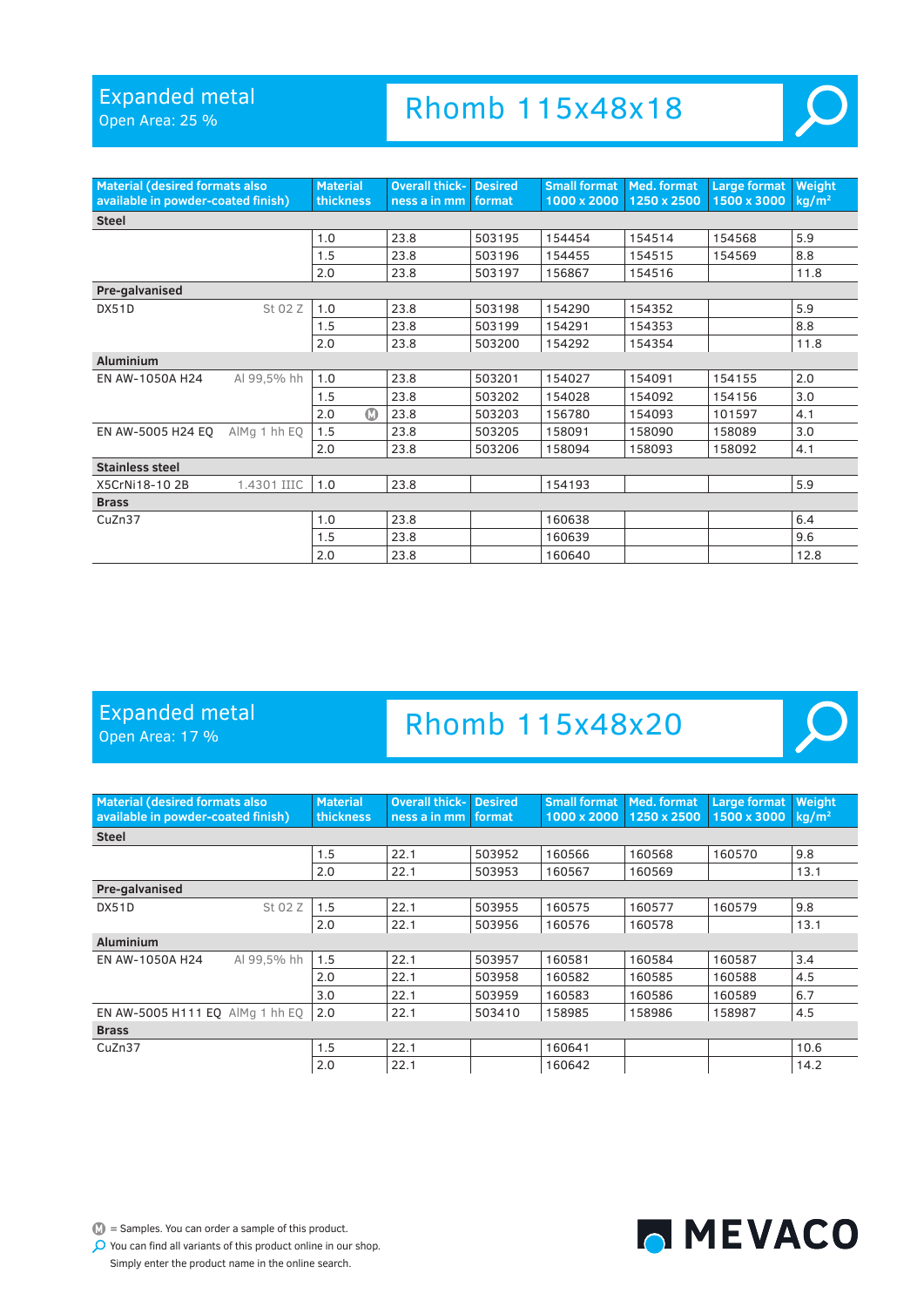Open Area: 25 %

# Rhomb 115x48x18



 $\overline{O}$ 

| <b>Material (desired formats also</b><br>available in powder-coated finish) |              | <b>Material</b><br><b>thickness</b> | <b>Overall thick-</b><br>ness a in mm | <b>Desired</b><br>format | <b>Small format</b><br>1000 x 2000 | Med. format<br>1250 x 2500 | Large format<br>1500 x 3000 | Weight<br>$kq/m^2$ |
|-----------------------------------------------------------------------------|--------------|-------------------------------------|---------------------------------------|--------------------------|------------------------------------|----------------------------|-----------------------------|--------------------|
| <b>Steel</b>                                                                |              |                                     |                                       |                          |                                    |                            |                             |                    |
|                                                                             |              | 1.0                                 | 23.8                                  | 503195                   | 154454                             | 154514                     | 154568                      | 5.9                |
|                                                                             |              | 1.5                                 | 23.8                                  | 503196                   | 154455                             | 154515                     | 154569                      | 8.8                |
|                                                                             |              | 2.0                                 | 23.8                                  | 503197                   | 156867                             | 154516                     |                             | 11.8               |
| Pre-galvanised                                                              |              |                                     |                                       |                          |                                    |                            |                             |                    |
| DX51D                                                                       | St 02 Z      | 1.0                                 | 23.8                                  | 503198                   | 154290                             | 154352                     |                             | 5.9                |
|                                                                             |              | 1.5                                 | 23.8                                  | 503199                   | 154291                             | 154353                     |                             | 8.8                |
|                                                                             |              | 2.0                                 | 23.8                                  | 503200                   | 154292                             | 154354                     |                             | 11.8               |
| <b>Aluminium</b>                                                            |              |                                     |                                       |                          |                                    |                            |                             |                    |
| EN AW-1050A H24                                                             | Al 99,5% hh  | 1.0                                 | 23.8                                  | 503201                   | 154027                             | 154091                     | 154155                      | 2.0                |
|                                                                             |              | 1.5                                 | 23.8                                  | 503202                   | 154028                             | 154092                     | 154156                      | 3.0                |
|                                                                             |              | $\bf \Omega$<br>2.0                 | 23.8                                  | 503203                   | 156780                             | 154093                     | 101597                      | 4.1                |
| EN AW-5005 H24 EQ                                                           | AlMg 1 hh EQ | 1.5                                 | 23.8                                  | 503205                   | 158091                             | 158090                     | 158089                      | 3.0                |
|                                                                             |              | 2.0                                 | 23.8                                  | 503206                   | 158094                             | 158093                     | 158092                      | 4.1                |
| <b>Stainless steel</b>                                                      |              |                                     |                                       |                          |                                    |                            |                             |                    |
| X5CrNi18-102B                                                               | 1.4301 IIIC  | 1.0                                 | 23.8                                  |                          | 154193                             |                            |                             | 5.9                |
| <b>Brass</b>                                                                |              |                                     |                                       |                          |                                    |                            |                             |                    |
| CuZn37                                                                      |              | 1.0                                 | 23.8                                  |                          | 160638                             |                            |                             | 6.4                |
|                                                                             |              | 1.5                                 | 23.8                                  |                          | 160639                             |                            |                             | 9.6                |
|                                                                             |              | 2.0                                 | 23.8                                  |                          | 160640                             |                            |                             | 12.8               |

### Expanded metal

Open Area: 17 %

# Rhomb 115x48x20

| <b>Material (desired formats also</b><br>available in powder-coated finish) |             | <b>Material</b><br>thickness | <b>Overall thick-II</b><br>ness a in mm | <b>Desired</b><br>format | Small format<br>1000 x 2000 | Med. format<br>1250 x 2500 | <b>Large format</b><br>1500 x 3000 | Weight<br>$kq/m^2$ |
|-----------------------------------------------------------------------------|-------------|------------------------------|-----------------------------------------|--------------------------|-----------------------------|----------------------------|------------------------------------|--------------------|
| <b>Steel</b>                                                                |             |                              |                                         |                          |                             |                            |                                    |                    |
|                                                                             |             | 1.5                          | 22.1                                    | 503952                   | 160566                      | 160568                     | 160570                             | 9.8                |
|                                                                             |             | 2.0                          | 22.1                                    | 503953                   | 160567                      | 160569                     |                                    | 13.1               |
| Pre-galvanised                                                              |             |                              |                                         |                          |                             |                            |                                    |                    |
| DX51D                                                                       | St 02 Z     | 1.5                          | 22.1                                    | 503955                   | 160575                      | 160577                     | 160579                             | 9.8                |
|                                                                             |             | 2.0                          | 22.1                                    | 503956                   | 160576                      | 160578                     |                                    | 13.1               |
| <b>Aluminium</b>                                                            |             |                              |                                         |                          |                             |                            |                                    |                    |
| EN AW-1050A H24                                                             | Al 99.5% hh | 1.5                          | 22.1                                    | 503957                   | 160581                      | 160584                     | 160587                             | 3.4                |
|                                                                             |             | 2.0                          | 22.1                                    | 503958                   | 160582                      | 160585                     | 160588                             | 4.5                |
|                                                                             |             | 3.0                          | 22.1                                    | 503959                   | 160583                      | 160586                     | 160589                             | 6.7                |
| EN AW-5005 H111 EO AlMa 1 hh EO                                             |             | 2.0                          | 22.1                                    | 503410                   | 158985                      | 158986                     | 158987                             | 4.5                |
| <b>Brass</b>                                                                |             |                              |                                         |                          |                             |                            |                                    |                    |
| CuZn37                                                                      |             | 1.5                          | 22.1                                    |                          | 160641                      |                            |                                    | 10.6               |
|                                                                             |             | 2.0                          | 22.1                                    |                          | 160642                      |                            |                                    | 14.2               |



 $\mathbb{D}$  = Samples. You can order a sample of this product.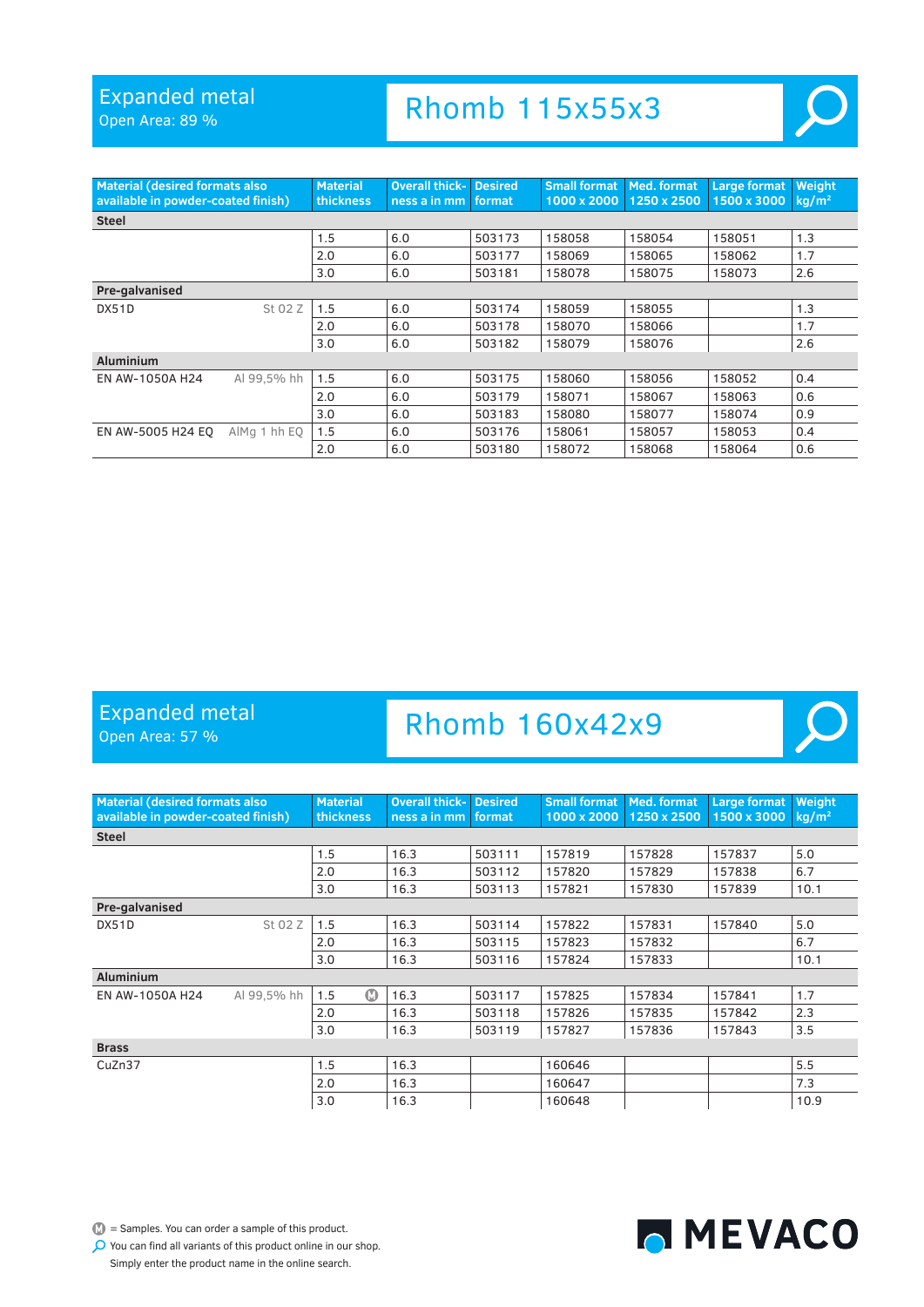Open Area: 89 %

# Rhomb 115x55x3



 $\mathcal{L}$ 

| <b>Material (desired formats also</b><br>available in powder-coated finish) |              | <b>Material</b><br><b>thickness</b> | <b>Overall thick-</b><br>ness a in mm | <b>Desired</b><br>format | <b>Small format</b><br>1000 x 2000 | <b>Med. format</b><br>1250 x 2500 | Large format<br>1500 x 3000 | Weight<br>kg/m <sup>2</sup> |
|-----------------------------------------------------------------------------|--------------|-------------------------------------|---------------------------------------|--------------------------|------------------------------------|-----------------------------------|-----------------------------|-----------------------------|
| <b>Steel</b>                                                                |              |                                     |                                       |                          |                                    |                                   |                             |                             |
|                                                                             |              | 1.5                                 | 6.0                                   | 503173                   | 158058                             | 158054                            | 158051                      | 1.3                         |
|                                                                             |              | 2.0                                 | 6.0                                   | 503177                   | 158069                             | 158065                            | 158062                      | 1.7                         |
|                                                                             |              | 3.0                                 | 6.0                                   | 503181                   | 158078                             | 158075                            | 158073                      | 2.6                         |
| Pre-galvanised                                                              |              |                                     |                                       |                          |                                    |                                   |                             |                             |
| DX51D                                                                       | St 02 Z      | 1.5                                 | 6.0                                   | 503174                   | 158059                             | 158055                            |                             | 1.3                         |
|                                                                             |              | 2.0                                 | 6.0                                   | 503178                   | 158070                             | 158066                            |                             | 1.7                         |
|                                                                             |              | 3.0                                 | 6.0                                   | 503182                   | 158079                             | 158076                            |                             | 2.6                         |
| <b>Aluminium</b>                                                            |              |                                     |                                       |                          |                                    |                                   |                             |                             |
| EN AW-1050A H24                                                             | Al 99,5% hh  | 1.5                                 | 6.0                                   | 503175                   | 158060                             | 158056                            | 158052                      | 0.4                         |
|                                                                             |              | 2.0                                 | 6.0                                   | 503179                   | 158071                             | 158067                            | 158063                      | 0.6                         |
|                                                                             |              | 3.0                                 | 6.0                                   | 503183                   | 158080                             | 158077                            | 158074                      | 0.9                         |
| EN AW-5005 H24 EO                                                           | AlMg 1 hh EQ | 1.5                                 | 6.0                                   | 503176                   | 158061                             | 158057                            | 158053                      | 0.4                         |
|                                                                             |              | 2.0                                 | 6.0                                   | 503180                   | 158072                             | 158068                            | 158064                      | 0.6                         |

#### Expanded metal

Open Area: 57 %

### Rhomb 160x42x9

| <b>Material (desired formats also</b><br>available in powder-coated finish) |             | <b>Material</b><br><b>thickness</b> | <b>Overall thick-</b><br>ness a in mm | <b>Desired</b><br>format | <b>Small format</b><br>1000 x 2000 | Med. format<br>1250 x 2500 | <b>Large format</b><br>1500 x 3000 | Weight<br>$kq/m^2$ |
|-----------------------------------------------------------------------------|-------------|-------------------------------------|---------------------------------------|--------------------------|------------------------------------|----------------------------|------------------------------------|--------------------|
| <b>Steel</b>                                                                |             |                                     |                                       |                          |                                    |                            |                                    |                    |
|                                                                             |             | 1.5                                 | 16.3                                  | 503111                   | 157819                             | 157828                     | 157837                             | 5.0                |
|                                                                             |             | 2.0                                 | 16.3                                  | 503112                   | 157820                             | 157829                     | 157838                             | 6.7                |
|                                                                             |             | 3.0                                 | 16.3                                  | 503113                   | 157821                             | 157830                     | 157839                             | 10.1               |
| Pre-galvanised                                                              |             |                                     |                                       |                          |                                    |                            |                                    |                    |
| DX51D                                                                       | St 02 Z     | 1.5                                 | 16.3                                  | 503114                   | 157822                             | 157831                     | 157840                             | 5.0                |
|                                                                             |             | 2.0                                 | 16.3                                  | 503115                   | 157823                             | 157832                     |                                    | 6.7                |
|                                                                             |             | 3.0                                 | 16.3                                  | 503116                   | 157824                             | 157833                     |                                    | 10.1               |
| <b>Aluminium</b>                                                            |             |                                     |                                       |                          |                                    |                            |                                    |                    |
| EN AW-1050A H24                                                             | Al 99,5% hh | $\boldsymbol{\Omega}$<br>1.5        | 16.3                                  | 503117                   | 157825                             | 157834                     | 157841                             | 1.7                |
|                                                                             |             | 2.0                                 | 16.3                                  | 503118                   | 157826                             | 157835                     | 157842                             | 2.3                |
|                                                                             |             | 3.0                                 | 16.3                                  | 503119                   | 157827                             | 157836                     | 157843                             | 3.5                |
| <b>Brass</b>                                                                |             |                                     |                                       |                          |                                    |                            |                                    |                    |
| CuZn37                                                                      |             | 1.5                                 | 16.3                                  |                          | 160646                             |                            |                                    | 5.5                |
|                                                                             |             | 2.0                                 | 16.3                                  |                          | 160647                             |                            |                                    | 7.3                |
|                                                                             |             | 3.0                                 | 16.3                                  |                          | 160648                             |                            |                                    | 10.9               |

 $\mathbb{D}$  = Samples. You can order a sample of this product.

MEVACO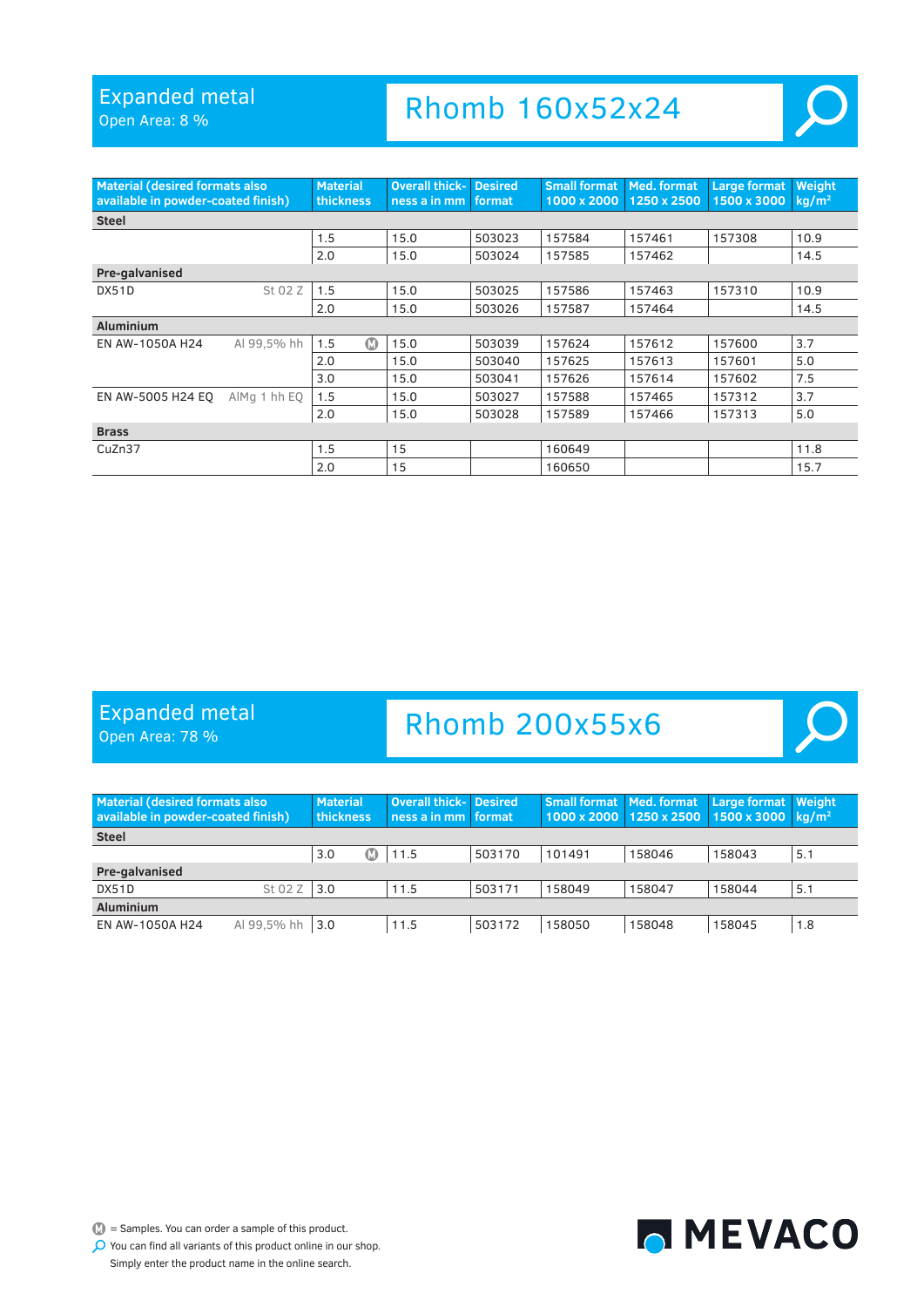Open Area: 8 %

# Rhomb 160x52x24



 $\blacksquare$ 

| <b>Material (desired formats also</b><br>available in powder-coated finish) |              | <b>Material</b><br>thickness | <b>Overall thick-</b><br>ness a in mm | <b>Desired</b><br>format | <b>Small format</b><br>1000 x 2000 | <b>Med. format</b><br>1250 x 2500 | <b>Large format</b><br>1500 x 3000 | Weight<br>$kq/m^2$ |  |  |
|-----------------------------------------------------------------------------|--------------|------------------------------|---------------------------------------|--------------------------|------------------------------------|-----------------------------------|------------------------------------|--------------------|--|--|
| <b>Steel</b>                                                                |              |                              |                                       |                          |                                    |                                   |                                    |                    |  |  |
|                                                                             |              | 1.5                          | 15.0                                  | 503023                   | 157584                             | 157461                            | 157308                             | 10.9               |  |  |
|                                                                             |              | 2.0                          | 15.0                                  | 503024                   | 157585                             | 157462                            |                                    | 14.5               |  |  |
| Pre-galvanised                                                              |              |                              |                                       |                          |                                    |                                   |                                    |                    |  |  |
| DX51D                                                                       | St 02 Z      | 1.5                          | 15.0                                  | 503025                   | 157586                             | 157463                            | 157310                             | 10.9               |  |  |
|                                                                             |              | 2.0                          | 15.0                                  | 503026                   | 157587                             | 157464                            |                                    | 14.5               |  |  |
| <b>Aluminium</b>                                                            |              |                              |                                       |                          |                                    |                                   |                                    |                    |  |  |
| EN AW-1050A H24                                                             | Al 99.5% hh  | ത<br>1.5                     | 15.0                                  | 503039                   | 157624                             | 157612                            | 157600                             | 3.7                |  |  |
|                                                                             |              | 2.0                          | 15.0                                  | 503040                   | 157625                             | 157613                            | 157601                             | 5.0                |  |  |
|                                                                             |              | 3.0                          | 15.0                                  | 503041                   | 157626                             | 157614                            | 157602                             | 7.5                |  |  |
| EN AW-5005 H24 EO                                                           | AlMg 1 hh EQ | 1.5                          | 15.0                                  | 503027                   | 157588                             | 157465                            | 157312                             | 3.7                |  |  |
|                                                                             |              | 2.0                          | 15.0                                  | 503028                   | 157589                             | 157466                            | 157313                             | 5.0                |  |  |
| <b>Brass</b>                                                                |              |                              |                                       |                          |                                    |                                   |                                    |                    |  |  |
| CuZn37                                                                      |              | 1.5                          | 15                                    |                          | 160649                             |                                   |                                    | 11.8               |  |  |
|                                                                             |              | 2.0                          | 15                                    |                          | 160650                             |                                   |                                    | 15.7               |  |  |

#### Expanded metal

Open Area: 78 %

### Rhomb 200x55x6

| <b>Material (desired formats also</b><br>available in powder-coated finish) |             | <b>Material</b><br>thickness |  | Overall thick- Desired<br>ness a in mm format |        | <b>Small format   Med. format</b><br>1000 x 2000 1250 x 2500 |        | Large format Weight<br>1500 x 3000 $\,$ kg/m <sup>2</sup> |     |
|-----------------------------------------------------------------------------|-------------|------------------------------|--|-----------------------------------------------|--------|--------------------------------------------------------------|--------|-----------------------------------------------------------|-----|
| <b>Steel</b>                                                                |             |                              |  |                                               |        |                                                              |        |                                                           |     |
|                                                                             |             | 3.0                          |  | 11.5                                          | 503170 | 101491                                                       | 158046 | 158043                                                    | 5.1 |
| Pre-galvanised                                                              |             |                              |  |                                               |        |                                                              |        |                                                           |     |
| DX51D                                                                       | St 02 Z     | 3.0                          |  | 11.5                                          | 503171 | 158049                                                       | 158047 | 158044                                                    | 5.1 |
| <b>Aluminium</b>                                                            |             |                              |  |                                               |        |                                                              |        |                                                           |     |
| EN AW-1050A H24                                                             | Al 99.5% hh | 3.0                          |  | 11.5                                          | 503172 | 158050                                                       | 158048 | 158045                                                    | 1.8 |



 $\mathbb{D}$  = Samples. You can order a sample of this product.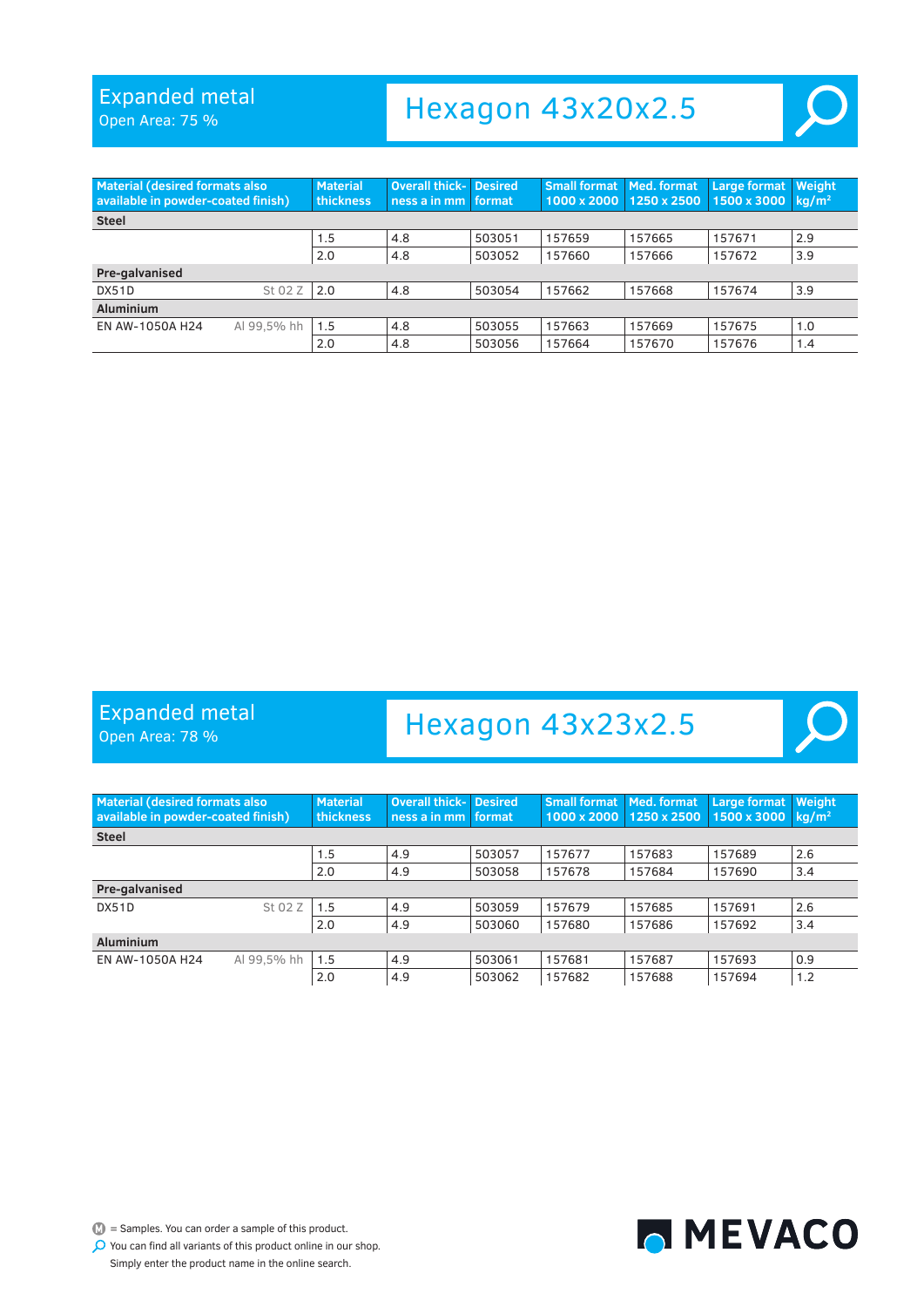Open Area: 75 %

# Hexagon 43x20x2.5

<span id="page-23-0"></span>

| <b>Material (desired formats also</b><br>available in powder-coated finish) |             | <b>Material</b><br><b>thickness</b> | <b>Overall thick- Desired</b><br>ness a in mm | format | <b>Small format Med. format</b> | 1000 x 2000 1250 x 2500 | <b>Large format</b><br>$1500 \times 3000$ kg/m <sup>2</sup> | <b>Weight</b> |  |  |
|-----------------------------------------------------------------------------|-------------|-------------------------------------|-----------------------------------------------|--------|---------------------------------|-------------------------|-------------------------------------------------------------|---------------|--|--|
| <b>Steel</b>                                                                |             |                                     |                                               |        |                                 |                         |                                                             |               |  |  |
|                                                                             |             | 1.5                                 | 4.8                                           | 503051 | 157659                          | 157665                  | 157671                                                      | 2.9           |  |  |
|                                                                             |             | 2.0                                 | 4.8                                           | 503052 | 157660                          | 157666                  | 157672                                                      | 3.9           |  |  |
| Pre-galvanised                                                              |             |                                     |                                               |        |                                 |                         |                                                             |               |  |  |
| DX51D                                                                       | St 02 Z     | 2.0                                 | 4.8                                           | 503054 | 157662                          | 157668                  | 157674                                                      | 3.9           |  |  |
| <b>Aluminium</b>                                                            |             |                                     |                                               |        |                                 |                         |                                                             |               |  |  |
| EN AW-1050A H24                                                             | Al 99,5% hh | 1.5                                 | 4.8                                           | 503055 | 157663                          | 157669                  | 157675                                                      | 1.0           |  |  |
|                                                                             |             | 2.0                                 | 4.8                                           | 503056 | 157664                          | 157670                  | 157676                                                      | 1.4           |  |  |

#### Expanded metal

Open Area: 78 %

### Hexagon 43x23x2.5

| <b>Material (desired formats also)</b><br>available in powder-coated finish) |             | <b>Material</b><br>thickness | <b>Overall thick-</b><br>ness a in mm. | <b>Desired</b><br>format | <b>Small format Med. format</b> | 1000 x 2000 1250 x 2500 | Large format<br>1500 x 3000 | <b>Weight</b><br>ka/m <sup>2</sup> |  |  |
|------------------------------------------------------------------------------|-------------|------------------------------|----------------------------------------|--------------------------|---------------------------------|-------------------------|-----------------------------|------------------------------------|--|--|
| <b>Steel</b>                                                                 |             |                              |                                        |                          |                                 |                         |                             |                                    |  |  |
|                                                                              |             | 1.5                          | 4.9                                    | 503057                   | 157677                          | 157683                  | 157689                      | 2.6                                |  |  |
|                                                                              |             | 2.0                          | 4.9                                    | 503058                   | 157678                          | 157684                  | 157690                      | 3.4                                |  |  |
| Pre-galvanised                                                               |             |                              |                                        |                          |                                 |                         |                             |                                    |  |  |
| DX51D                                                                        | St 02 Z     | 1.5                          | 4.9                                    | 503059                   | 157679                          | 157685                  | 157691                      | 2.6                                |  |  |
|                                                                              |             | 2.0                          | 4.9                                    | 503060                   | 157680                          | 157686                  | 157692                      | 3.4                                |  |  |
| <b>Aluminium</b>                                                             |             |                              |                                        |                          |                                 |                         |                             |                                    |  |  |
| EN AW-1050A H24                                                              | Al 99.5% hh | 1.5                          | 4.9                                    | 503061                   | 157681                          | 157687                  | 157693                      | 0.9                                |  |  |
|                                                                              |             | 2.0                          | 4.9                                    | 503062                   | 157682                          | 157688                  | 157694                      | 1.2                                |  |  |



 $\mathbb{D}$  = Samples. You can order a sample of this product.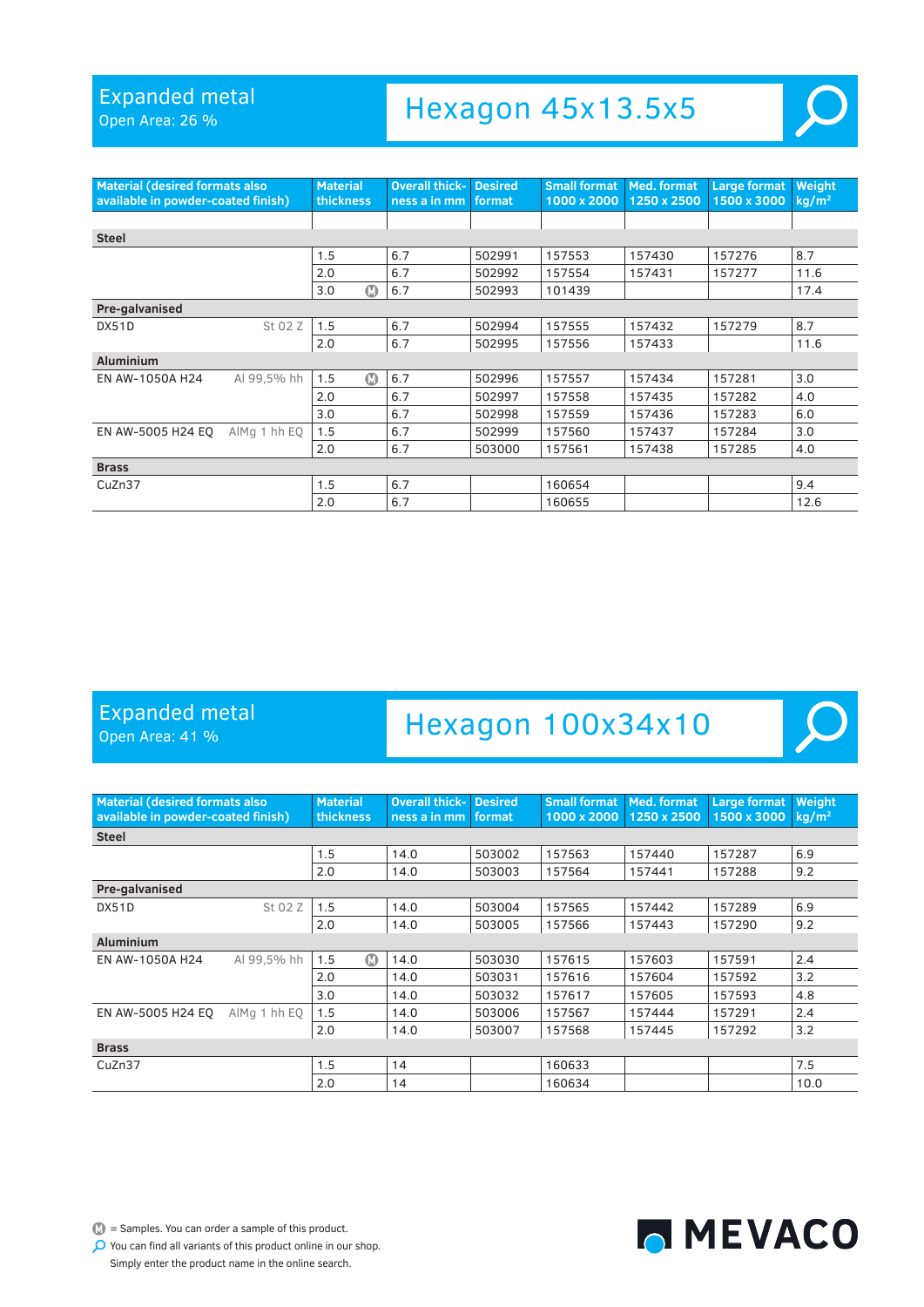Open Area: 26 %

### Hexagon 45x13.5x5

| <b>Material (desired formats also</b><br>available in powder-coated finish) |              | <b>Material</b><br>thickness | <b>Overall thick-</b><br>ness a in mm | <b>Desired</b><br>format | <b>Small format</b><br>1000 x 2000 | Med. format<br>1250 x 2500 | Large format<br>1500 x 3000 | Weight<br>kg/m <sup>2</sup> |
|-----------------------------------------------------------------------------|--------------|------------------------------|---------------------------------------|--------------------------|------------------------------------|----------------------------|-----------------------------|-----------------------------|
|                                                                             |              |                              |                                       |                          |                                    |                            |                             |                             |
| <b>Steel</b>                                                                |              |                              |                                       |                          |                                    |                            |                             |                             |
|                                                                             |              | 1.5                          | 6.7                                   | 502991                   | 157553                             | 157430                     | 157276                      | 8.7                         |
|                                                                             |              | 2.0                          | 6.7                                   | 502992                   | 157554                             | 157431                     | 157277                      | 11.6                        |
|                                                                             |              | $\bf \Phi$<br>3.0            | 6.7                                   | 502993                   | 101439                             |                            |                             | 17.4                        |
| Pre-galvanised                                                              |              |                              |                                       |                          |                                    |                            |                             |                             |
| DX51D                                                                       | St 02 Z      | 1.5                          | 6.7                                   | 502994                   | 157555                             | 157432                     | 157279                      | 8.7                         |
|                                                                             |              | 2.0                          | 6.7                                   | 502995                   | 157556                             | 157433                     |                             | 11.6                        |
| <b>Aluminium</b>                                                            |              |                              |                                       |                          |                                    |                            |                             |                             |
| EN AW-1050A H24                                                             | Al 99.5% hh  | $\bf \Omega$<br>1.5          | 6.7                                   | 502996                   | 157557                             | 157434                     | 157281                      | 3.0                         |
|                                                                             |              | 2.0                          | 6.7                                   | 502997                   | 157558                             | 157435                     | 157282                      | 4.0                         |
|                                                                             |              | 3.0                          | 6.7                                   | 502998                   | 157559                             | 157436                     | 157283                      | 6.0                         |
| EN AW-5005 H24 EQ                                                           | AlMg 1 hh EQ | 1.5                          | 6.7                                   | 502999                   | 157560                             | 157437                     | 157284                      | 3.0                         |
|                                                                             |              | 2.0                          | 6.7                                   | 503000                   | 157561                             | 157438                     | 157285                      | 4.0                         |
| <b>Brass</b>                                                                |              |                              |                                       |                          |                                    |                            |                             |                             |
| CuZn37                                                                      |              | 1.5                          | 6.7                                   |                          | 160654                             |                            |                             | 9.4                         |
|                                                                             |              | 2.0                          | 6.7                                   |                          | 160655                             |                            |                             | 12.6                        |

#### Expanded metal

Open Area: 41 %

### Hexagon 100x34x10



 $\mathbb{D}$  = Samples. You can order a sample of this product.

MEVACO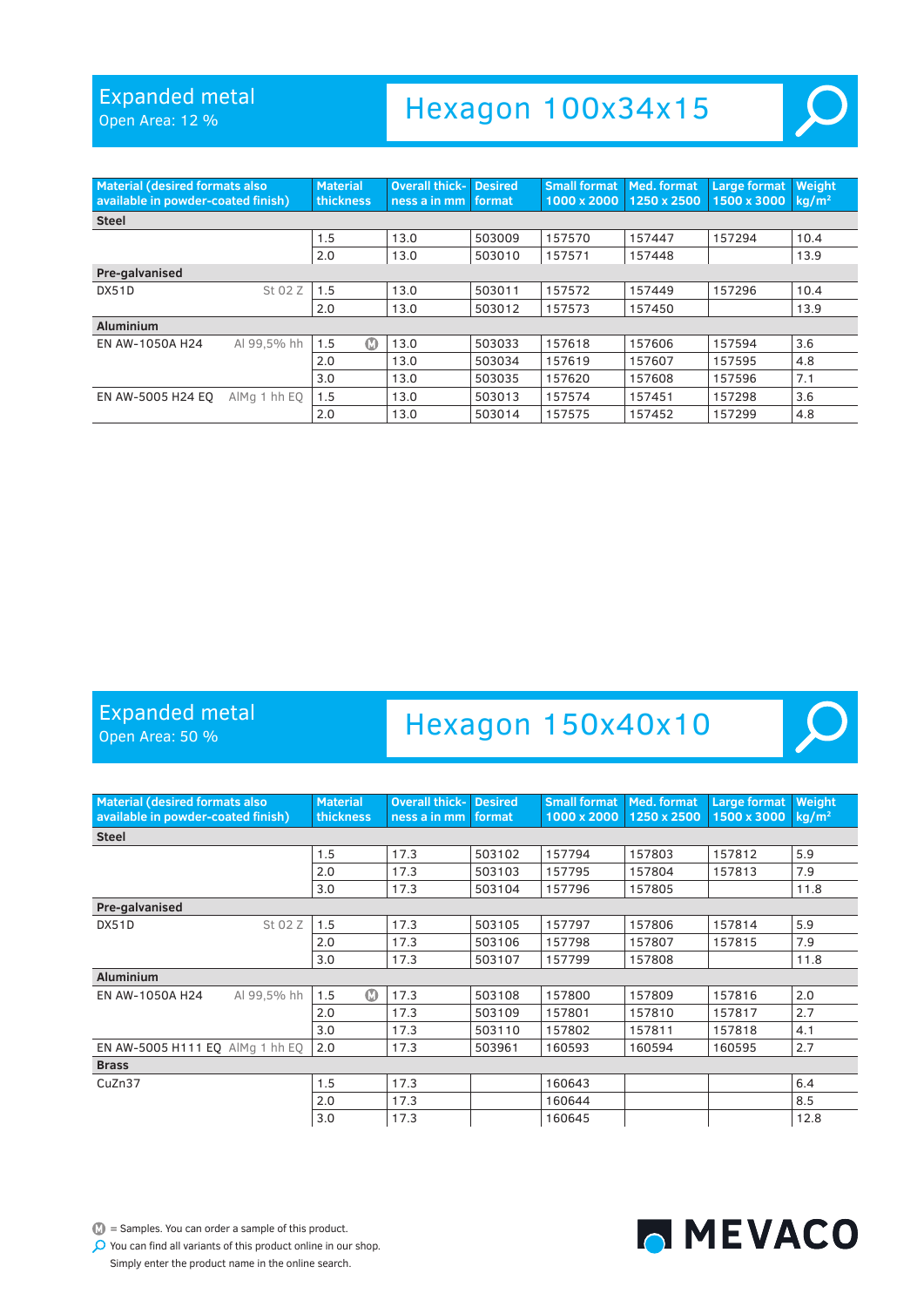Open Area: 12 %

# Hexagon 100x34x15

| <b>Material (desired formats also</b><br>available in powder-coated finish) |              | <b>Material</b><br>thickness | Overall thick-<br>ness a in mm | <b>Desired</b><br>format | <b>Small format</b><br>1000 x 2000 | Med. format<br>1250 x 2500 | <b>Large format</b><br>1500 x 3000 | Weight<br>$kq/m^2$ |
|-----------------------------------------------------------------------------|--------------|------------------------------|--------------------------------|--------------------------|------------------------------------|----------------------------|------------------------------------|--------------------|
| <b>Steel</b>                                                                |              |                              |                                |                          |                                    |                            |                                    |                    |
|                                                                             |              | 1.5                          | 13.0                           | 503009                   | 157570                             | 157447                     | 157294                             | 10.4               |
|                                                                             |              | 2.0                          | 13.0                           | 503010                   | 157571                             | 157448                     |                                    | 13.9               |
| Pre-galvanised                                                              |              |                              |                                |                          |                                    |                            |                                    |                    |
| <b>DX51D</b>                                                                | St 02 Z      | 1.5                          | 13.0                           | 503011                   | 157572                             | 157449                     | 157296                             | 10.4               |
|                                                                             |              | 2.0                          | 13.0                           | 503012                   | 157573                             | 157450                     |                                    | 13.9               |
| <b>Aluminium</b>                                                            |              |                              |                                |                          |                                    |                            |                                    |                    |
| EN AW-1050A H24                                                             | Al 99.5% hh  | ത<br>1.5                     | 13.0                           | 503033                   | 157618                             | 157606                     | 157594                             | 3.6                |
|                                                                             |              | 2.0                          | 13.0                           | 503034                   | 157619                             | 157607                     | 157595                             | 4.8                |
|                                                                             |              | 3.0                          | 13.0                           | 503035                   | 157620                             | 157608                     | 157596                             | 7.1                |
| EN AW-5005 H24 EO                                                           | AlMg 1 hh EQ | 1.5                          | 13.0                           | 503013                   | 157574                             | 157451                     | 157298                             | 3.6                |
|                                                                             |              | 2.0                          | 13.0                           | 503014                   | 157575                             | 157452                     | 157299                             | 4.8                |

#### Expanded metal

Open Area: 50 %

### Hexagon 150x40x10

| <b>Material (desired formats also</b><br>available in powder-coated finish) |             | <b>Material</b><br>thickness | <b>Overall thick-</b><br>ness a in mm | <b>Desired</b><br>format | <b>Small format</b><br>1000 x 2000 | Med. format<br>1250 x 2500 | Large format<br>1500 x 3000 | Weight<br>kg/m <sup>2</sup> |  |
|-----------------------------------------------------------------------------|-------------|------------------------------|---------------------------------------|--------------------------|------------------------------------|----------------------------|-----------------------------|-----------------------------|--|
| <b>Steel</b>                                                                |             |                              |                                       |                          |                                    |                            |                             |                             |  |
|                                                                             |             | 1.5                          | 17.3                                  | 503102                   | 157794                             | 157803                     | 157812                      | 5.9                         |  |
|                                                                             |             | 2.0                          | 17.3                                  | 503103                   | 157795                             | 157804                     | 157813                      | 7.9                         |  |
|                                                                             |             | 3.0                          | 17.3                                  | 503104                   | 157796                             | 157805                     |                             | 11.8                        |  |
| Pre-galvanised                                                              |             |                              |                                       |                          |                                    |                            |                             |                             |  |
| DX51D                                                                       | St 02 Z     | 1.5                          | 17.3                                  | 503105                   | 157797                             | 157806                     | 157814                      | 5.9                         |  |
|                                                                             |             | 2.0                          | 17.3                                  | 503106                   | 157798                             | 157807                     | 157815                      | 7.9                         |  |
|                                                                             |             | 3.0                          | 17.3                                  | 503107                   | 157799                             | 157808                     |                             | 11.8                        |  |
| <b>Aluminium</b>                                                            |             |                              |                                       |                          |                                    |                            |                             |                             |  |
| EN AW-1050A H24                                                             | Al 99,5% hh | $\Omega$<br>1.5              | 17.3                                  | 503108                   | 157800                             | 157809                     | 157816                      | 2.0                         |  |
|                                                                             |             | 2.0                          | 17.3                                  | 503109                   | 157801                             | 157810                     | 157817                      | 2.7                         |  |
|                                                                             |             | 3.0                          | 17.3                                  | 503110                   | 157802                             | 157811                     | 157818                      | 4.1                         |  |
| EN AW-5005 H111 EO AlMq 1 hh EO                                             |             | 2.0                          | 17.3                                  | 503961                   | 160593                             | 160594                     | 160595                      | 2.7                         |  |
| <b>Brass</b>                                                                |             |                              |                                       |                          |                                    |                            |                             |                             |  |
| CuZn37                                                                      |             | 1.5                          | 17.3                                  |                          | 160643                             |                            |                             | 6.4                         |  |
|                                                                             |             | 2.0                          | 17.3                                  |                          | 160644                             |                            |                             | 8.5                         |  |
|                                                                             |             | 3.0                          | 17.3                                  |                          | 160645                             |                            |                             | 12.8                        |  |

 $\mathbb{D}$  = Samples. You can order a sample of this product.

MEVACO

 $\overline{O}$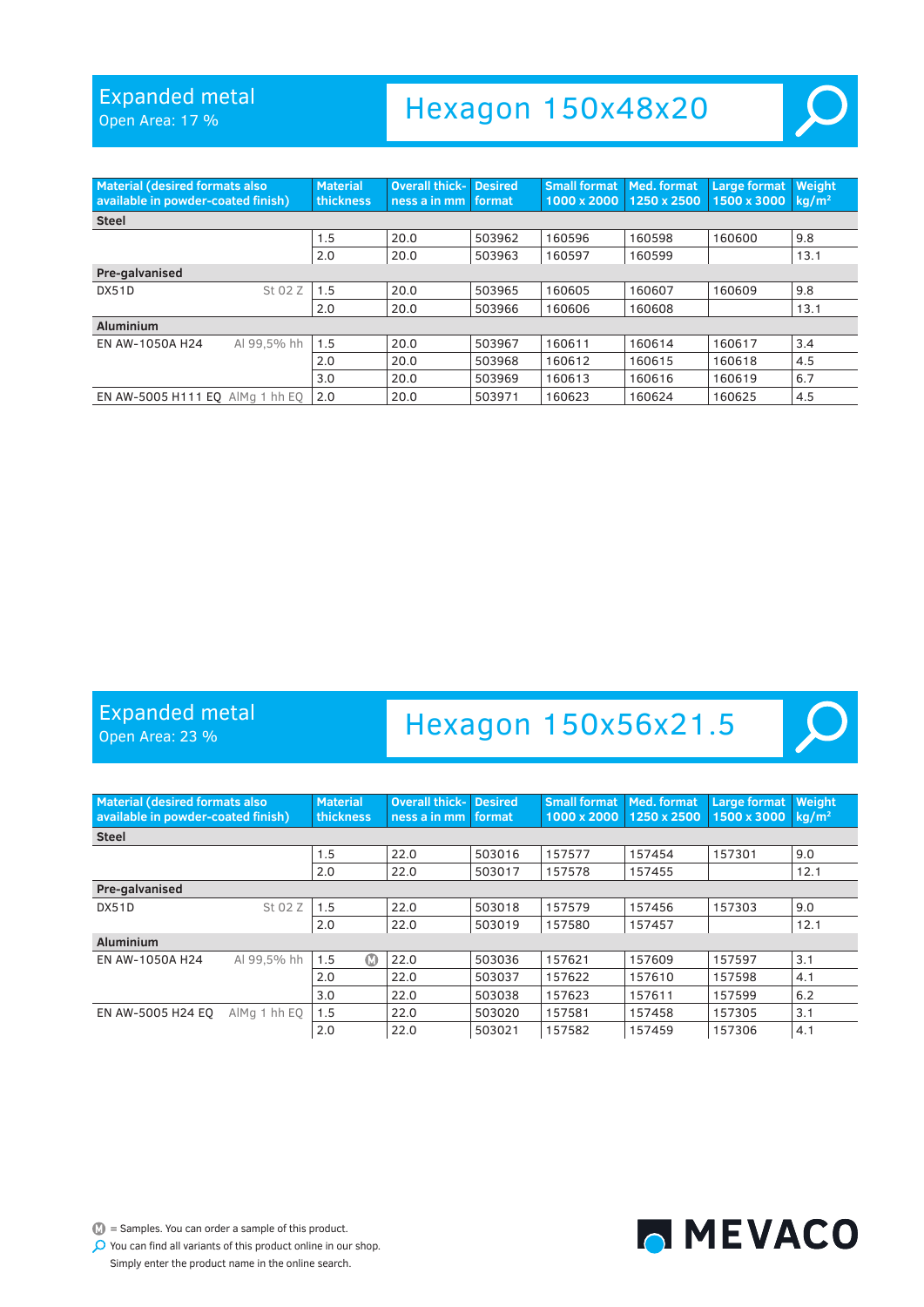Open Area: 17 %

### Hexagon 150x48x20

| <b>Material (desired formats also</b><br>available in powder-coated finish) |             | <b>Material</b><br>thickness | <b>Overall thick- Desired</b><br>ness a in mm format |        | <b>Small format</b><br>1000 x 2000 | Med. format<br>1250 x 2500 | Large format<br>1500 x 3000 | Weight<br>$kq/m^2$ |  |  |
|-----------------------------------------------------------------------------|-------------|------------------------------|------------------------------------------------------|--------|------------------------------------|----------------------------|-----------------------------|--------------------|--|--|
| <b>Steel</b>                                                                |             |                              |                                                      |        |                                    |                            |                             |                    |  |  |
|                                                                             |             | 1.5                          | 20.0                                                 | 503962 | 160596                             | 160598                     | 160600                      | 9.8                |  |  |
|                                                                             |             | 2.0                          | 20.0                                                 | 503963 | 160597                             | 160599                     |                             | 13.1               |  |  |
| Pre-galvanised                                                              |             |                              |                                                      |        |                                    |                            |                             |                    |  |  |
| <b>DX51D</b>                                                                | St 02 Z     | 1.5                          | 20.0                                                 | 503965 | 160605                             | 160607                     | 160609                      | 9.8                |  |  |
|                                                                             |             | 2.0                          | 20.0                                                 | 503966 | 160606                             | 160608                     |                             | 13.1               |  |  |
| <b>Aluminium</b>                                                            |             |                              |                                                      |        |                                    |                            |                             |                    |  |  |
| EN AW-1050A H24                                                             | Al 99.5% hh | 1.5                          | 20.0                                                 | 503967 | 160611                             | 160614                     | 160617                      | 3.4                |  |  |
|                                                                             |             | 2.0                          | 20.0                                                 | 503968 | 160612                             | 160615                     | 160618                      | 4.5                |  |  |
|                                                                             |             | 3.0                          | 20.0                                                 | 503969 | 160613                             | 160616                     | 160619                      | 6.7                |  |  |
| EN AW-5005 H111 EQ AlMg 1 hh EQ                                             |             | 2.0                          | 20.0                                                 | 503971 | 160623                             | 160624                     | 160625                      | 4.5                |  |  |

#### Expanded metal

Open Area: 23 %

### Hexagon 150x56x21.5

| <b>Material (desired formats also</b><br>available in powder-coated finish) |              | <b>Material</b><br><b>thickness</b> | <b>Overall thick-</b><br>ness a in mm | <b>Desired</b><br>format | <b>Small format</b><br>1000 x 2000 | Med. format<br>1250 x 2500 | Large format<br>1500 x 3000 | Weight<br>$kq/m^2$ |
|-----------------------------------------------------------------------------|--------------|-------------------------------------|---------------------------------------|--------------------------|------------------------------------|----------------------------|-----------------------------|--------------------|
| <b>Steel</b>                                                                |              |                                     |                                       |                          |                                    |                            |                             |                    |
|                                                                             |              | 1.5                                 | 22.0                                  | 503016                   | 157577                             | 157454                     | 157301                      | 9.0                |
|                                                                             |              | 2.0                                 | 22.0                                  | 503017                   | 157578                             | 157455                     |                             | 12.1               |
| Pre-galvanised                                                              |              |                                     |                                       |                          |                                    |                            |                             |                    |
| DX51D                                                                       | St 02 Z      | 1.5                                 | 22.0                                  | 503018                   | 157579                             | 157456                     | 157303                      | 9.0                |
|                                                                             |              | 2.0                                 | 22.0                                  | 503019                   | 157580                             | 157457                     |                             | 12.1               |
| <b>Aluminium</b>                                                            |              |                                     |                                       |                          |                                    |                            |                             |                    |
| EN AW-1050A H24                                                             | Al 99.5% hh  | $\circ$<br>1.5                      | 22.0                                  | 503036                   | 157621                             | 157609                     | 157597                      | 3.1                |
|                                                                             |              | 2.0                                 | 22.0                                  | 503037                   | 157622                             | 157610                     | 157598                      | 4.1                |
|                                                                             |              | 3.0                                 | 22.0                                  | 503038                   | 157623                             | 157611                     | 157599                      | 6.2                |
| EN AW-5005 H24 EO                                                           | AlMg 1 hh EQ | 1.5                                 | 22.0                                  | 503020                   | 157581                             | 157458                     | 157305                      | 3.1                |
|                                                                             |              | 2.0                                 | 22.0                                  | 503021                   | 157582                             | 157459                     | 157306                      | 4.1                |

 $\mathbb{D}$  = Samples. You can order a sample of this product. You can find all variants of this product online in our shop.



Simply enter the product name in the online search.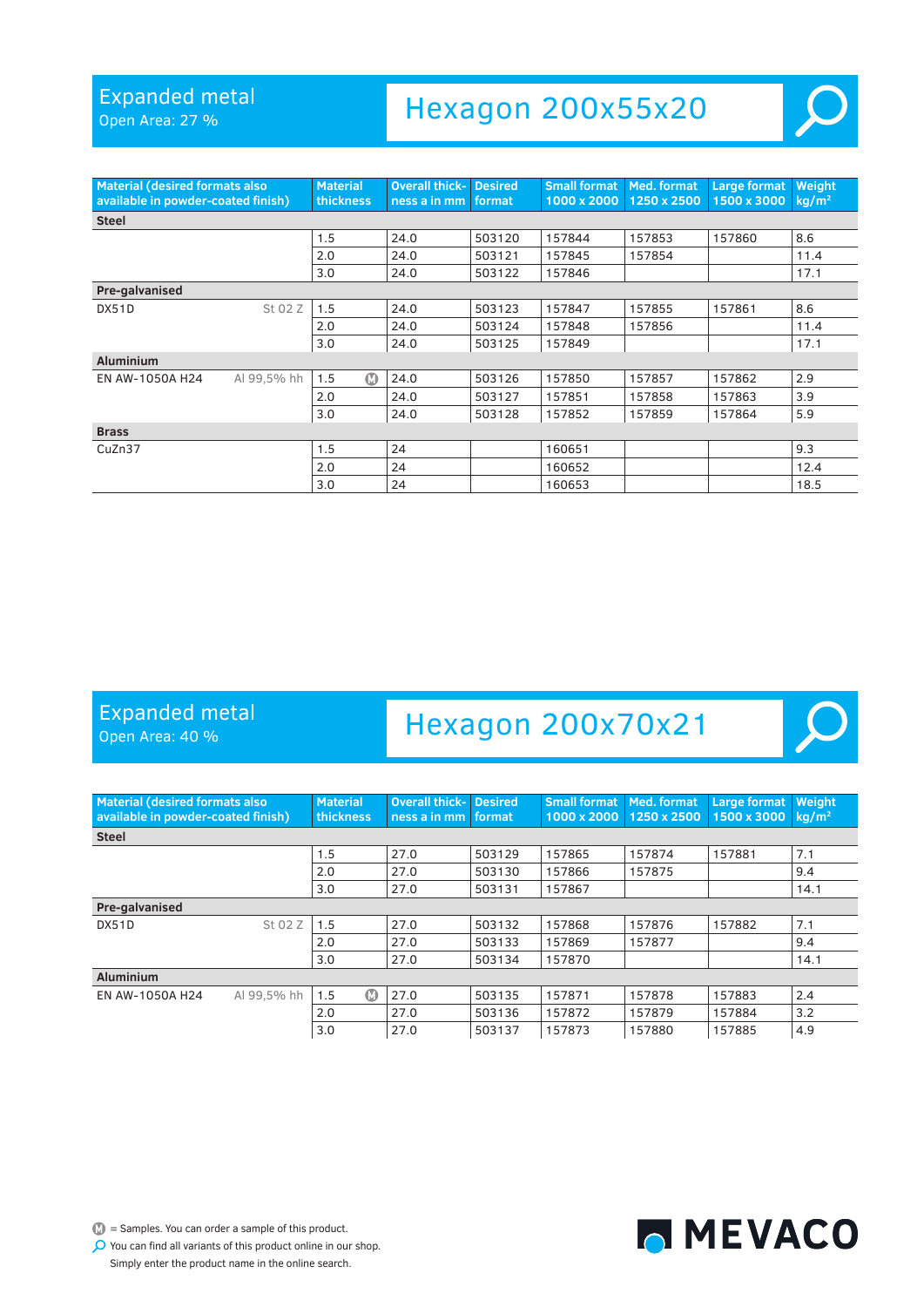Open Area: 27 %

### Hexagon 200x55x20

| <b>Material (desired formats also</b><br>available in powder-coated finish) |             | <b>Material</b><br>thickness | <b>Overall thick-</b><br>ness a in mm | <b>Desired</b><br>format | <b>Small format</b><br>1000 x 2000 | Med. format<br>1250 x 2500 | <b>Large format</b><br>1500 x 3000 | Weight<br>kg/m <sup>2</sup> |
|-----------------------------------------------------------------------------|-------------|------------------------------|---------------------------------------|--------------------------|------------------------------------|----------------------------|------------------------------------|-----------------------------|
| <b>Steel</b>                                                                |             |                              |                                       |                          |                                    |                            |                                    |                             |
|                                                                             |             | 1.5                          | 24.0                                  | 503120                   | 157844                             | 157853                     | 157860                             | 8.6                         |
|                                                                             |             | 2.0                          | 24.0                                  | 503121                   | 157845                             | 157854                     |                                    | 11.4                        |
|                                                                             |             | 3.0                          | 24.0                                  | 503122                   | 157846                             |                            |                                    | 17.1                        |
| Pre-galvanised                                                              |             |                              |                                       |                          |                                    |                            |                                    |                             |
| DX51D                                                                       | St 02 Z     | 1.5                          | 24.0                                  | 503123                   | 157847                             | 157855                     | 157861                             | 8.6                         |
|                                                                             |             | 2.0                          | 24.0                                  | 503124                   | 157848                             | 157856                     |                                    | 11.4                        |
|                                                                             |             | 3.0                          | 24.0                                  | 503125                   | 157849                             |                            |                                    | 17.1                        |
| <b>Aluminium</b>                                                            |             |                              |                                       |                          |                                    |                            |                                    |                             |
| EN AW-1050A H24                                                             | Al 99,5% hh | $\bf \Omega$<br>1.5          | 24.0                                  | 503126                   | 157850                             | 157857                     | 157862                             | 2.9                         |
|                                                                             |             | 2.0                          | 24.0                                  | 503127                   | 157851                             | 157858                     | 157863                             | 3.9                         |
|                                                                             |             | 3.0                          | 24.0                                  | 503128                   | 157852                             | 157859                     | 157864                             | 5.9                         |
| <b>Brass</b>                                                                |             |                              |                                       |                          |                                    |                            |                                    |                             |
| CuZn37                                                                      |             | 1.5                          | 24                                    |                          | 160651                             |                            |                                    | 9.3                         |
|                                                                             |             | 2.0                          | 24                                    |                          | 160652                             |                            |                                    | 12.4                        |
|                                                                             |             | 3.0                          | 24                                    |                          | 160653                             |                            |                                    | 18.5                        |

#### Expanded metal

Open Area: 40 %

### Hexagon 200x70x21

| <b>Material (desired formats also)</b><br>available in powder-coated finish) |             | <b>Material</b><br><b>thickness</b> | Overall thick-<br>ness a in mm | <b>Desired</b><br>format | <b>Small format</b><br>1000 x 2000 | Med. format<br>1250 x 2500 | Large format<br>1500 x 3000 | Weight<br>$\kappa$ a/m <sup>2</sup> |
|------------------------------------------------------------------------------|-------------|-------------------------------------|--------------------------------|--------------------------|------------------------------------|----------------------------|-----------------------------|-------------------------------------|
| <b>Steel</b>                                                                 |             |                                     |                                |                          |                                    |                            |                             |                                     |
|                                                                              |             | 1.5                                 | 27.0                           | 503129                   | 157865                             | 157874                     | 157881                      | 7.1                                 |
|                                                                              |             | 2.0                                 | 27.0                           | 503130                   | 157866                             | 157875                     |                             | 9.4                                 |
|                                                                              |             | 3.0                                 | 27.0                           | 503131                   | 157867                             |                            |                             | 14.1                                |
| Pre-galvanised                                                               |             |                                     |                                |                          |                                    |                            |                             |                                     |
| DX51D                                                                        | St 02 Z     | 1.5                                 | 27.0                           | 503132                   | 157868                             | 157876                     | 157882                      | 7.1                                 |
|                                                                              |             | 2.0                                 | 27.0                           | 503133                   | 157869                             | 157877                     |                             | 9.4                                 |
|                                                                              |             | 3.0                                 | 27.0                           | 503134                   | 157870                             |                            |                             | 14.1                                |
| <b>Aluminium</b>                                                             |             |                                     |                                |                          |                                    |                            |                             |                                     |
| EN AW-1050A H24                                                              | Al 99.5% hh | $\Omega$<br>1.5                     | 27.0                           | 503135                   | 157871                             | 157878                     | 157883                      | 2.4                                 |
|                                                                              |             | 2.0                                 | 27.0                           | 503136                   | 157872                             | 157879                     | 157884                      | 3.2                                 |
|                                                                              |             | 3.0                                 | 27.0                           | 503137                   | 157873                             | 157880                     | 157885                      | 4.9                                 |

 $\mathbb{D}$  = Samples. You can order a sample of this product.



 $\bullet$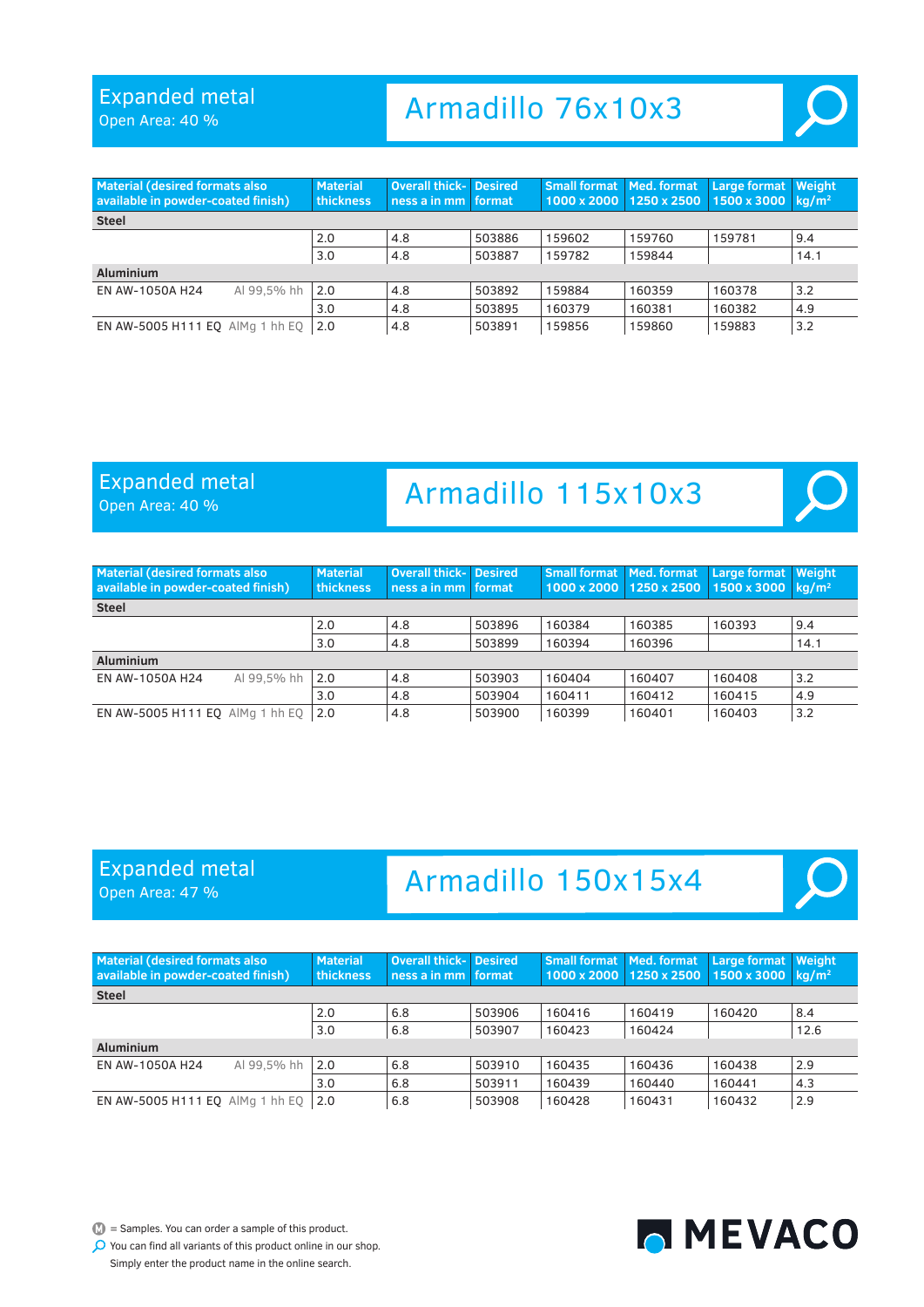Open Area: 40 %

# Armadillo 76x10x3



| <b>Material (desired formats also</b><br>available in powder-coated finish) | <b>Material</b><br><b>thickness</b> | <b>Overall thick- Desired</b><br>ness a in mm format |        | <b>Small format   Med. format</b> | 1000 x 2000 1250 x 2500 | <b>Large format</b><br>1500 x 3000 | Weight<br>ka/m <sup>2</sup> |
|-----------------------------------------------------------------------------|-------------------------------------|------------------------------------------------------|--------|-----------------------------------|-------------------------|------------------------------------|-----------------------------|
| <b>Steel</b>                                                                |                                     |                                                      |        |                                   |                         |                                    |                             |
|                                                                             | 2.0                                 | 4.8                                                  | 503886 | 159602                            | 159760                  | 159781                             | 9.4                         |
|                                                                             | 3.0                                 | 4.8                                                  | 503887 | 159782                            | 159844                  |                                    | 14.1                        |
| <b>Aluminium</b>                                                            |                                     |                                                      |        |                                   |                         |                                    |                             |
| Al 99.5% hh<br>EN AW-1050A H24                                              | 2.0                                 | 4.8                                                  | 503892 | 159884                            | 160359                  | 160378                             | 3.2                         |
|                                                                             | 3.0                                 | 4.8                                                  | 503895 | 160379                            | 160381                  | 160382                             | 4.9                         |
| EN AW-5005 H111 EQ AlMg 1 hh EQ                                             | 2.0                                 | 4.8                                                  | 503891 | 159856                            | 159860                  | 159883                             | 3.2                         |

#### Expanded metal

Open Area: 40 %

# Armadillo 115x10x3

| <b>Material (desired formats also</b><br>available in powder-coated finish) | <b>Material</b><br>thickness | <b>Overall thick- Desired</b><br>ness a in mm format |        | <b>Small format   Med. format</b> | 1000 x 2000 1250 x 2500 | <b>Large format</b><br>1500 x 3000 | Weight<br>ka/m <sup>2</sup> |
|-----------------------------------------------------------------------------|------------------------------|------------------------------------------------------|--------|-----------------------------------|-------------------------|------------------------------------|-----------------------------|
| <b>Steel</b>                                                                |                              |                                                      |        |                                   |                         |                                    |                             |
|                                                                             | 2.0                          | 4.8                                                  | 503896 | 160384                            | 160385                  | 160393                             | 9.4                         |
|                                                                             | 3.0                          | 4.8                                                  | 503899 | 160394                            | 160396                  |                                    | 14.1                        |
| <b>Aluminium</b>                                                            |                              |                                                      |        |                                   |                         |                                    |                             |
| Al 99.5% hh<br>EN AW-1050A H24                                              | 2.0                          | 4.8                                                  | 503903 | 160404                            | 160407                  | 160408                             | 3.2                         |
|                                                                             | 3.0                          | 4.8                                                  | 503904 | 160411                            | 160412                  | 160415                             | 4.9                         |
| EN AW-5005 H111 EQ AlMg 1 hh EQ                                             | 2.0                          | 4.8                                                  | 503900 | 160399                            | 160401                  | 160403                             | 3.2                         |

#### Expanded metal Open Area: 47 %

# Armadillo 150x15x4



| <b>Material (desired formats also</b><br>available in powder-coated finish) |             | <b>Material</b><br>thickness | <b>Overall thick- Desired</b><br>ness a in mm format |        | <b>Small format   Med. format</b> | 1000 x 2000 1250 x 2500 | <b>Large format</b><br>1500 x 3000 | <b>Weight</b><br>ka/m <sup>2</sup> |
|-----------------------------------------------------------------------------|-------------|------------------------------|------------------------------------------------------|--------|-----------------------------------|-------------------------|------------------------------------|------------------------------------|
| <b>Steel</b>                                                                |             |                              |                                                      |        |                                   |                         |                                    |                                    |
|                                                                             |             | 2.0                          | 6.8                                                  | 503906 | 160416                            | 160419                  | 160420                             | 8.4                                |
|                                                                             |             | 3.0                          | 6.8                                                  | 503907 | 160423                            | 160424                  |                                    | 12.6                               |
| <b>Aluminium</b>                                                            |             |                              |                                                      |        |                                   |                         |                                    |                                    |
| EN AW-1050A H24                                                             | Al 99.5% hh | 2.0                          | 6.8                                                  | 503910 | 160435                            | 160436                  | 160438                             | 2.9                                |
|                                                                             |             | 3.0                          | 6.8                                                  | 503911 | 160439                            | 160440                  | 160441                             | 4.3                                |
| EN AW-5005 H111 EQ AlMg 1 hh EQ                                             |             | 2.0                          | 6.8                                                  | 503908 | 160428                            | 160431                  | 160432                             | 2.9                                |

 $\mathbb{D}$  = Samples. You can order a sample of this product.

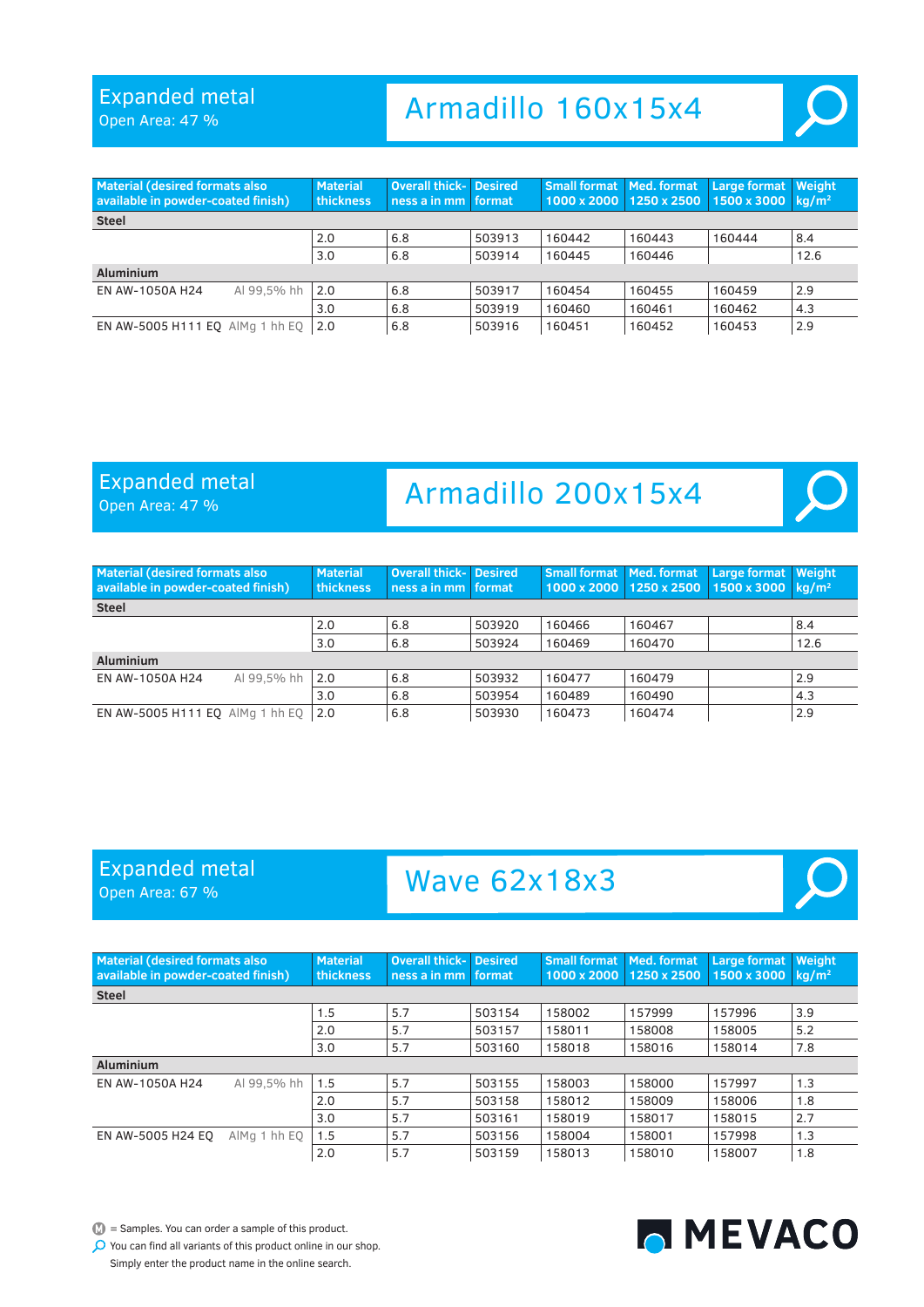Open Area: 47 %

### Armadillo 160x15x4



#### Expanded metal

Open Area: 47 %

### Armadillo 200x15x4

| Material (desired formats also<br>available in powder-coated finish) |             | <b>Material</b><br><b>thickness</b> | <b>Overall thick- Desired</b><br>ness a in mm format |        | <b>Small format   Med. format</b> | 1000 x 2000 1250 x 2500 | <b>Large format</b><br>1500 x 3000 | <b>Weight</b><br>ka/m <sup>2</sup> |
|----------------------------------------------------------------------|-------------|-------------------------------------|------------------------------------------------------|--------|-----------------------------------|-------------------------|------------------------------------|------------------------------------|
| <b>Steel</b>                                                         |             |                                     |                                                      |        |                                   |                         |                                    |                                    |
|                                                                      |             | 2.0                                 | 6.8                                                  | 503920 | 160466                            | 160467                  |                                    | 8.4                                |
|                                                                      |             | 3.0                                 | 6.8                                                  | 503924 | 160469                            | 160470                  |                                    | 12.6                               |
| <b>Aluminium</b>                                                     |             |                                     |                                                      |        |                                   |                         |                                    |                                    |
| EN AW-1050A H24                                                      | Al 99.5% hh | 2.0                                 | 6.8                                                  | 503932 | 160477                            | 160479                  |                                    | 2.9                                |
|                                                                      |             | 3.0                                 | 6.8                                                  | 503954 | 160489                            | 160490                  |                                    | 4.3                                |
| EN AW-5005 H111 EQ AlMg 1 hh EQ                                      |             | 2.0                                 | 6.8                                                  | 503930 | 160473                            | 160474                  |                                    | 2.9                                |

#### Expanded metal Open Area: 67 %

### Wave 62x18x3

<span id="page-29-0"></span>

| <b>Material (desired formats also</b><br>available in powder-coated finish) |              | <b>Material</b><br>thickness | <b>Overall thick-</b><br>ness a in mm | <b>Desired</b><br>format. | <b>Small format   Med. format</b><br>1000 x 2000 1250 x 2500 |        | Large format<br>1500 x 3000 | Weight<br>$kq/m^2$ |
|-----------------------------------------------------------------------------|--------------|------------------------------|---------------------------------------|---------------------------|--------------------------------------------------------------|--------|-----------------------------|--------------------|
| <b>Steel</b>                                                                |              |                              |                                       |                           |                                                              |        |                             |                    |
|                                                                             |              | 1.5                          | 5.7                                   | 503154                    | 158002                                                       | 157999 | 157996                      | 3.9                |
|                                                                             |              | 2.0                          | 5.7                                   | 503157                    | 158011                                                       | 158008 | 158005                      | 5.2                |
|                                                                             |              | 3.0                          | 5.7                                   | 503160                    | 158018                                                       | 158016 | 158014                      | 7.8                |
| <b>Aluminium</b>                                                            |              |                              |                                       |                           |                                                              |        |                             |                    |
| EN AW-1050A H24                                                             | Al 99.5% hh  | 1.5                          | 5.7                                   | 503155                    | 158003                                                       | 158000 | 157997                      | 1.3                |
|                                                                             |              | 2.0                          | 5.7                                   | 503158                    | 158012                                                       | 158009 | 158006                      | 1.8                |
|                                                                             |              | 3.0                          | 5.7                                   | 503161                    | 158019                                                       | 158017 | 158015                      | 2.7                |
| EN AW-5005 H24 EO                                                           | AlMa 1 hh EO | 1.5                          | 5.7                                   | 503156                    | 158004                                                       | 158001 | 157998                      | 1.3                |
|                                                                             |              | 2.0                          | 5.7                                   | 503159                    | 158013                                                       | 158010 | 158007                      | 1.8                |

 $\mathbb{D}$  = Samples. You can order a sample of this product.

You can find all variants of this product online in our shop.

Simply enter the product name in the online search.

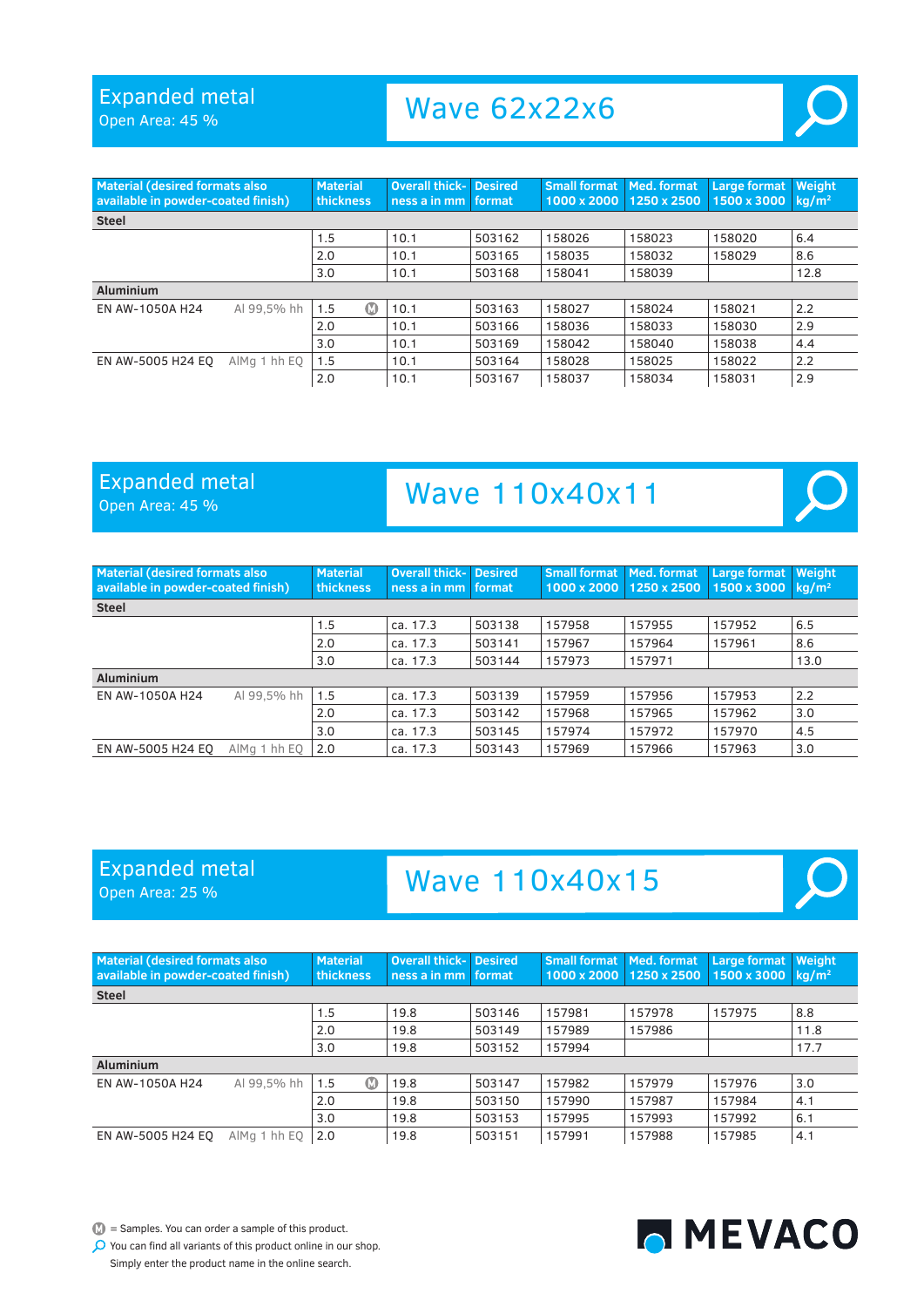Open Area: 45 %

### Wave 62x22x6



| <b>Material (desired formats also</b><br>available in powder-coated finish) |              | <b>Material</b><br>thickness | <b>Overall thick- Desired</b><br>ness a in mm format |        | <b>Small format</b><br>1000 x 2000 | Med. format<br>1250 x 2500 | <b>Large format</b><br>1500 x 3000 | Weight<br>$kq/m^2$ |
|-----------------------------------------------------------------------------|--------------|------------------------------|------------------------------------------------------|--------|------------------------------------|----------------------------|------------------------------------|--------------------|
| <b>Steel</b>                                                                |              |                              |                                                      |        |                                    |                            |                                    |                    |
|                                                                             |              | 1.5                          | 10.1                                                 | 503162 | 158026                             | 158023                     | 158020                             | 6.4                |
|                                                                             |              | 2.0                          | 10.1                                                 | 503165 | 158035                             | 158032                     | 158029                             | 8.6                |
|                                                                             |              | 3.0                          | 10.1                                                 | 503168 | 158041                             | 158039                     |                                    | 12.8               |
| <b>Aluminium</b>                                                            |              |                              |                                                      |        |                                    |                            |                                    |                    |
| EN AW-1050A H24                                                             | Al 99.5% hh  | ത<br>1.5                     | 10.1                                                 | 503163 | 158027                             | 158024                     | 158021                             | 2.2                |
|                                                                             |              | 2.0                          | 10.1                                                 | 503166 | 158036                             | 158033                     | 158030                             | 2.9                |
|                                                                             |              | 3.0                          | 10.1                                                 | 503169 | 158042                             | 158040                     | 158038                             | 4.4                |
| EN AW-5005 H24 EO                                                           | AlMa 1 hh EO | 1.5                          | 10.1                                                 | 503164 | 158028                             | 158025                     | 158022                             | 2.2                |
|                                                                             |              | 2.0                          | 10.1                                                 | 503167 | 158037                             | 158034                     | 158031                             | 2.9                |

#### Expanded metal

Open Area: 45 %

### Wave 110x40x11



| <b>Material (desired formats also</b><br>available in powder-coated finish) |              | <b>Material</b><br>thickness, | Overall thick-<br>ness a in mm | <b>Desired</b><br><b>format</b> | <b>Small format</b><br>1000 x 2000 1250 x 2500 | Med. format | Large format<br>$1500 \times 3000$ kg/m <sup>2</sup> | <b>Weight</b> |
|-----------------------------------------------------------------------------|--------------|-------------------------------|--------------------------------|---------------------------------|------------------------------------------------|-------------|------------------------------------------------------|---------------|
| <b>Steel</b>                                                                |              |                               |                                |                                 |                                                |             |                                                      |               |
|                                                                             |              | 1.5                           | ca. 17.3                       | 503138                          | 157958                                         | 157955      | 157952                                               | 6.5           |
|                                                                             |              | 2.0                           | ca. 17.3                       | 503141                          | 157967                                         | 157964      | 157961                                               | 8.6           |
|                                                                             |              | 3.0                           | ca. 17.3                       | 503144                          | 157973                                         | 157971      |                                                      | 13.0          |
| <b>Aluminium</b>                                                            |              |                               |                                |                                 |                                                |             |                                                      |               |
| EN AW-1050A H24                                                             | Al 99.5% hh  | 1.5                           | ca. 17.3                       | 503139                          | 157959                                         | 157956      | 157953                                               | 2.2           |
|                                                                             |              | 2.0                           | ca. 17.3                       | 503142                          | 157968                                         | 157965      | 157962                                               | 3.0           |
|                                                                             |              | 3.0                           | ca. 17.3                       | 503145                          | 157974                                         | 157972      | 157970                                               | 4.5           |
| EN AW-5005 H24 EO                                                           | AlMa 1 hh EO | 2.0                           | ca. 17.3                       | 503143                          | 157969                                         | 157966      | 157963                                               | 3.0           |

#### Expanded metal Open Area: 25 %

# Wave 110x40x15



| <b>Material (desired formats also</b><br>available in powder-coated finish) |              | <b>Material</b><br><b>thickness</b> | <b>Overall thick- Desired</b><br>ness a in mm format |        | <b>Small format   Med. format</b> | 1000 x 2000 1250 x 2500 | Large format<br>1500 x 3000 | Weight<br>$kq/m^2$ |
|-----------------------------------------------------------------------------|--------------|-------------------------------------|------------------------------------------------------|--------|-----------------------------------|-------------------------|-----------------------------|--------------------|
| <b>Steel</b>                                                                |              |                                     |                                                      |        |                                   |                         |                             |                    |
|                                                                             |              | 1.5                                 | 19.8                                                 | 503146 | 157981                            | 157978                  | 157975                      | 8.8                |
|                                                                             |              | 2.0                                 | 19.8                                                 | 503149 | 157989                            | 157986                  |                             | 11.8               |
|                                                                             |              | 3.0                                 | 19.8                                                 | 503152 | 157994                            |                         |                             | 17.7               |
| <b>Aluminium</b>                                                            |              |                                     |                                                      |        |                                   |                         |                             |                    |
| EN AW-1050A H24                                                             | Al 99.5% hh  | 1.5<br>M                            | 19.8                                                 | 503147 | 157982                            | 157979                  | 157976                      | 3.0                |
|                                                                             |              | 2.0                                 | 19.8                                                 | 503150 | 157990                            | 157987                  | 157984                      | 4.1                |
|                                                                             |              | 3.0                                 | 19.8                                                 | 503153 | 157995                            | 157993                  | 157992                      | 6.1                |
| EN AW-5005 H24 EO                                                           | AlMa 1 hh EO | 2.0                                 | 19.8                                                 | 503151 | 157991                            | 157988                  | 157985                      | 4.1                |

 $\mathbb{D}$  = Samples. You can order a sample of this product.

You can find all variants of this product online in our shop.

Simply enter the product name in the online search.

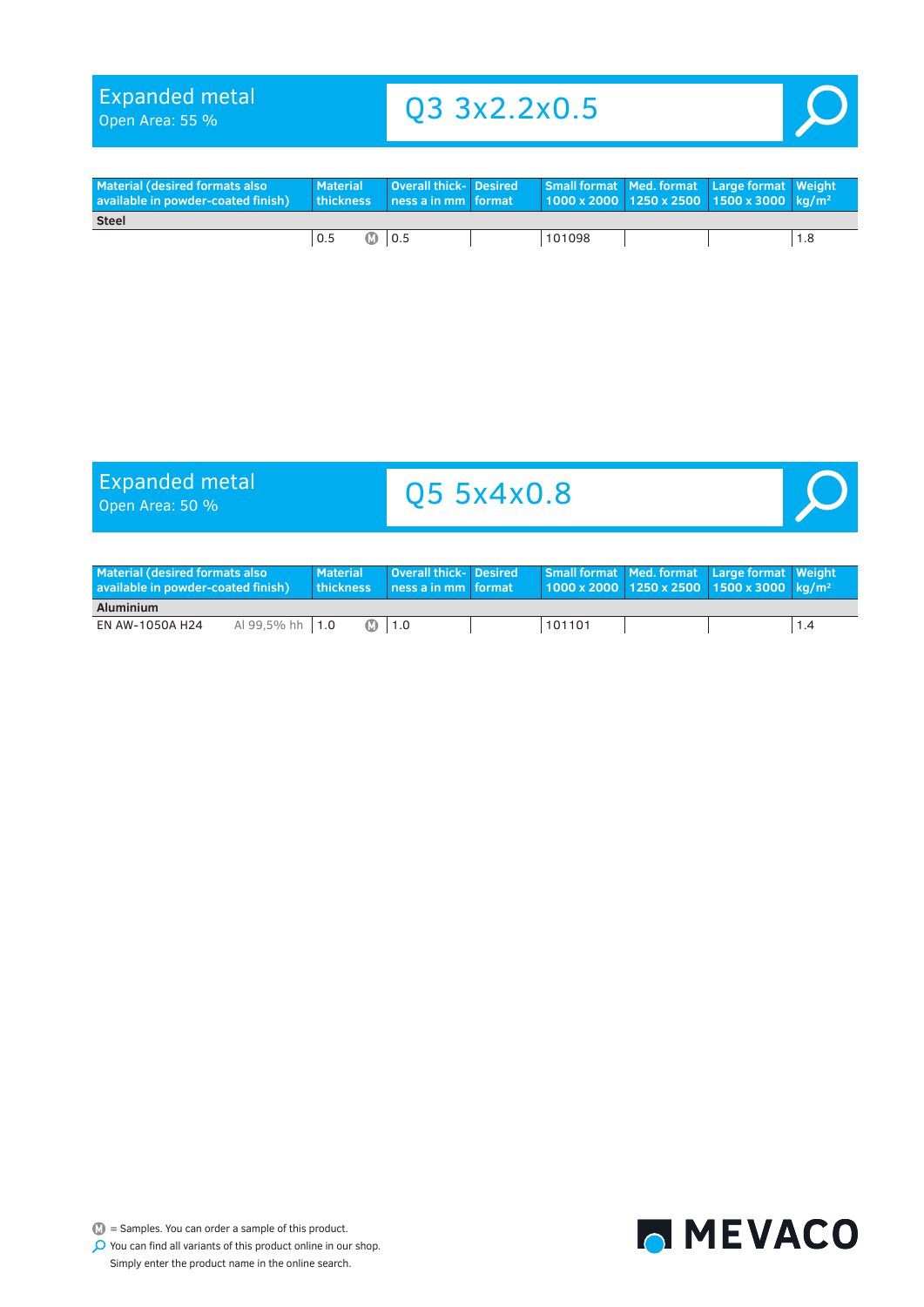Open Area: 55 %

### Q3 3x2.2x0.5

<span id="page-31-0"></span>

| <b>Material (desired formats also</b><br>available in powder-coated finish) | Material | <b>Overall thick- Desired</b><br>thickness Iness a in mm I format |  |        |  | Small format   Med. format   Large format   Weight<br>$1000 \times 2000$ 1250 x 2500 1500 x 3000 kg/m <sup>2</sup> |  |  |  |  |
|-----------------------------------------------------------------------------|----------|-------------------------------------------------------------------|--|--------|--|--------------------------------------------------------------------------------------------------------------------|--|--|--|--|
| <b>Steel</b>                                                                |          |                                                                   |  |        |  |                                                                                                                    |  |  |  |  |
|                                                                             | 0.5<br>M | 0.5                                                               |  | 101098 |  |                                                                                                                    |  |  |  |  |

# Expanded metal<br>Open Area: 50 %

### Q5 5x4x0.8



| <b>Material (desired formats also</b><br>available in powder-coated finish) |                   | <b>Material</b><br>thickness | <b>Overall thick- Desired</b><br>l ness a in mm format ' |        | Small format Med. format Large format Weight<br>  1000 x 2000   1250 x 2500   1500 x 3000   kg/m <sup>2  </sup> |  |
|-----------------------------------------------------------------------------|-------------------|------------------------------|----------------------------------------------------------|--------|-----------------------------------------------------------------------------------------------------------------|--|
| Aluminium                                                                   |                   |                              |                                                          |        |                                                                                                                 |  |
| EN AW-1050A H24                                                             | Al 99.5% hh $1.0$ |                              | <b>M</b> 1.0                                             | 101101 |                                                                                                                 |  |



 $\bullet$  = Samples. You can order a sample of this product.